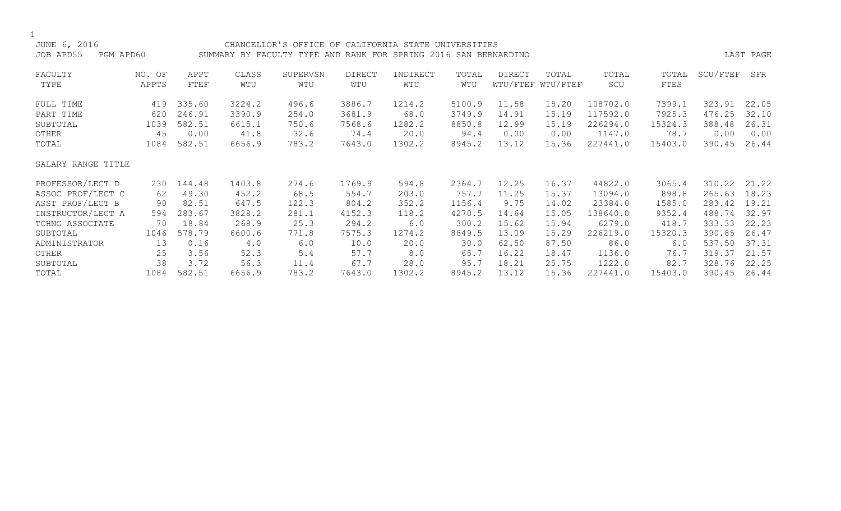| JUNE 6, 2016           |        |              |        | CHANCELLOR'S OFFICE OF CALIFORNIA STATE UNIVERSITIES            |        |          |        |        |                   |                               |         |          |           |
|------------------------|--------|--------------|--------|-----------------------------------------------------------------|--------|----------|--------|--------|-------------------|-------------------------------|---------|----------|-----------|
| JOB APD55<br>PGM APD60 |        |              |        | SUMMARY BY FACULTY TYPE AND RANK FOR SPRING 2016 SAN BERNARDINO |        |          |        |        |                   |                               |         |          | LAST PAGE |
|                        |        |              |        |                                                                 |        |          |        |        |                   |                               |         |          |           |
| FACULTY                | NO. OF | APPT         | CLASS  | SUPERVSN                                                        | DIRECT | INDIRECT | TOTAL  | DIRECT | TOTAL             | TOTAL                         | TOTAL   | SCU/FTEF | SFR       |
| TYPE                   | APPTS  | ${\tt FTEF}$ | WTU    | WTU                                                             | WTU    | WTU      | WTU    |        | WTU/FTEF WTU/FTEF | $\operatorname{\mathsf{SCU}}$ | FTES    |          |           |
| FULL TIME              | 419    | 335.60       | 3224.2 | 496.6                                                           | 3886.7 | 1214.2   | 5100.9 | 11.58  | 15.20             | 108702.0                      | 7399.1  | 323.91   | 22.05     |
| PART TIME              | 620    | 246.91       | 3390.9 | 254.0                                                           | 3681.9 | 68.0     | 3749.9 | 14.91  | 15.19             | 117592.0                      | 7925.3  | 476.25   | 32.10     |
| SUBTOTAL               | 1039   | 582.51       | 6615.1 | 750.6                                                           | 7568.6 | 1282.2   | 8850.8 | 12.99  | 15.19             | 226294.0                      | 15324.3 | 388.48   | 26.31     |
| OTHER                  | 45     | 0.00         | 41.8   | 32.6                                                            | 74.4   | 20.0     | 94.4   | 0.00   | 0.00              | 1147.0                        | 78.7    | 0.00     | 0.00      |
| TOTAL                  | 1084   | 582.51       | 6656.9 | 783.2                                                           | 7643.0 | 1302.2   | 8945.2 | 13.12  | 15.36             | 227441.0                      | 15403.0 | 390.45   | 26.44     |
| SALARY RANGE TITLE     |        |              |        |                                                                 |        |          |        |        |                   |                               |         |          |           |
|                        |        |              |        |                                                                 |        |          |        |        |                   |                               |         |          |           |
| PROFESSOR/LECT D       | 230    | 144.48       | 1403.8 | 274.6                                                           | 1769.9 | 594.8    | 2364.7 | 12.25  | 16.37             | 44822.0                       | 3065.4  | 310.22   | 21.22     |
| ASSOC PROF/LECT C      | 62     | 49.30        | 452.2  | 68.5                                                            | 554.7  | 203.0    | 757.7  | 11.25  | 15.37             | 13094.0                       | 898.8   | 265.63   | 18.23     |
| ASST PROF/LECT B       | 90     | 82.51        | 647.5  | 122.3                                                           | 804.2  | 352.2    | 1156.4 | 9.75   | 14.02             | 23384.0                       | 1585.0  | 283.42   | 19.21     |
| INSTRUCTOR/LECT A      | 594    | 283.67       | 3828.2 | 281.1                                                           | 4152.3 | 118.2    | 4270.5 | 14.64  | 15.05             | 138640.0                      | 9352.4  | 488.74   | 32.97     |
| TCHNG ASSOCIATE        | 70     | 18.84        | 268.9  | 25.3                                                            | 294.2  | 6.0      | 300.2  | 15.62  | 15.94             | 6279.0                        | 418.7   | 333.33   | 22.23     |
| SUBTOTAL               | 1046   | 578.79       | 6600.6 | 771.8                                                           | 7575.3 | 1274.2   | 8849.5 | 13.09  | 15.29             | 226219.0                      | 15320.3 | 390.85   | 26.47     |
| ADMINISTRATOR          | 13     | 0.16         | 4.0    | 6.0                                                             | 10.0   | 20.0     | 30.0   | 62.50  | 87.50             | 86.0                          | 6.0     | 537.50   | 37.31     |
| OTHER                  | 25     | 3.56         | 52.3   | 5.4                                                             | 57.7   | 8.0      | 65.7   | 16.22  | 18.47             | 1136.0                        | 76.7    | 319.37   | 21.57     |
| SUBTOTAL               | 38     | 3.72         | 56.3   | 11.4                                                            | 67.7   | 28.0     | 95.7   | 18.21  | 25.75             | 1222.0                        | 82.7    | 328.76   | 22.25     |
| TOTAL                  | 1084   | 582.51       | 6656.9 | 783.2                                                           | 7643.0 | 1302.2   | 8945.2 | 13.12  | 15.36             | 227441.0                      | 15403.0 | 390.45   | 26.44     |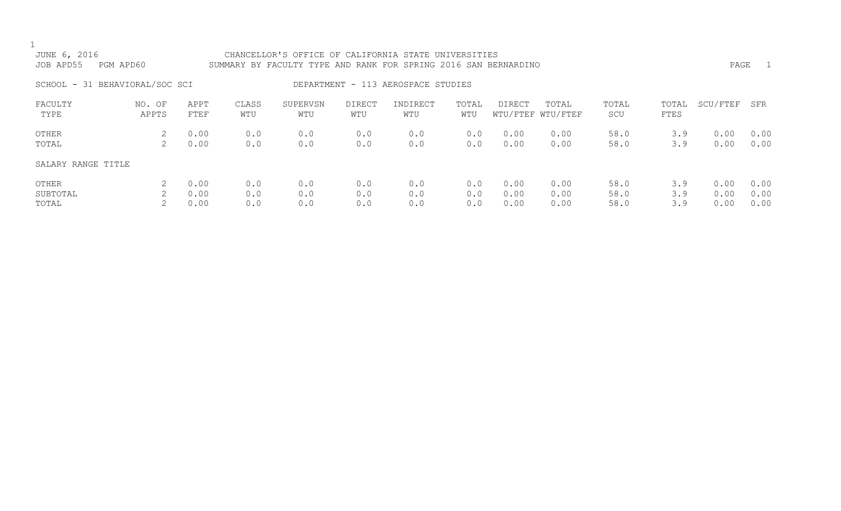| JUNE 6, 2016<br>JOB APD55      | PGM APD60       |                      |                   | CHANCELLOR'S OFFICE OF CALIFORNIA STATE UNIVERSITIES<br>SUMMARY BY FACULTY TYPE AND RANK FOR SPRING 2016 SAN BERNARDINO |                   |                                    |                   |                      |                            |                      |                   | PAGE                 | $\overline{1}$       |
|--------------------------------|-----------------|----------------------|-------------------|-------------------------------------------------------------------------------------------------------------------------|-------------------|------------------------------------|-------------------|----------------------|----------------------------|----------------------|-------------------|----------------------|----------------------|
| SCHOOL - 31 BEHAVIORAL/SOC SCI |                 |                      |                   |                                                                                                                         |                   | DEPARTMENT - 113 AEROSPACE STUDIES |                   |                      |                            |                      |                   |                      |                      |
| FACULTY<br>TYPE                | NO. OF<br>APPTS | APPT<br>FTEF         | CLASS<br>WTU      | SUPERVSN<br>WTU                                                                                                         | DIRECT<br>WTU     | INDIRECT<br>WTU                    | TOTAL<br>WTU      | DIRECT               | TOTAL<br>WTU/FTEF WTU/FTEF | TOTAL<br>SCU         | TOTAL<br>FTES     | SCU/FTEF             | SFR                  |
| OTHER<br>TOTAL                 | 2<br>2          | 0.00<br>0.00         | 0.0<br>0.0        | 0.0<br>0.0                                                                                                              | 0.0<br>0.0        | 0.0<br>0.0                         | 0.0<br>0.0        | 0.00<br>0.00         | 0.00<br>0.00               | 58.0<br>58.0         | 3.9<br>3.9        | 0.00<br>0.00         | 0.00<br>0.00         |
| SALARY RANGE TITLE             |                 |                      |                   |                                                                                                                         |                   |                                    |                   |                      |                            |                      |                   |                      |                      |
| OTHER<br>SUBTOTAL<br>TOTAL     |                 | 0.00<br>0.00<br>0.00 | 0.0<br>0.0<br>0.0 | 0.0<br>0.0<br>0.0                                                                                                       | 0.0<br>0.0<br>0.0 | 0.0<br>0.0<br>0.0                  | 0.0<br>0.0<br>0.0 | 0.00<br>0.00<br>0.00 | 0.00<br>0.00<br>0.00       | 58.0<br>58.0<br>58.0 | 3.9<br>3.9<br>3.9 | 0.00<br>0.00<br>0.00 | 0.00<br>0.00<br>0.00 |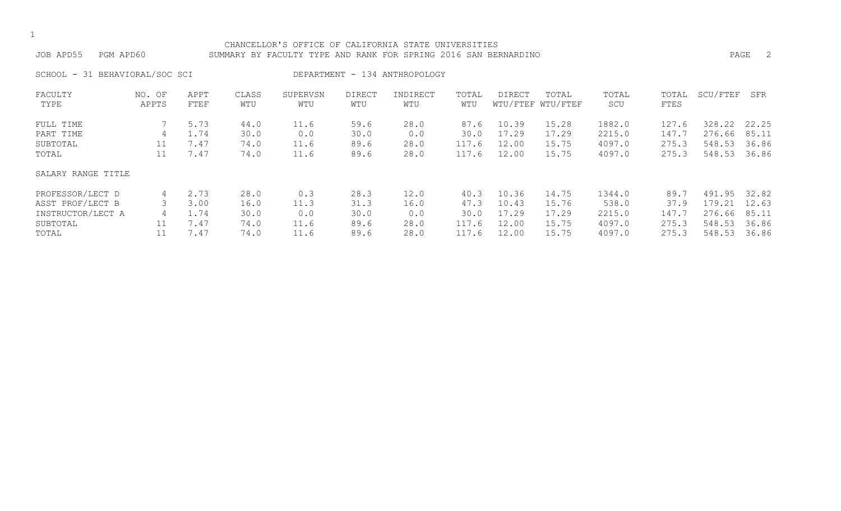#### CHANCELLOR'S OFFICE OF CALIFORNIA STATE UNIVERSITIES JOB APD55 PGM APD60 SUMMARY BY FACULTY TYPE AND RANK FOR SPRING 2016 SAN BERNARDINO PAGE 2

SCHOOL - 31 BEHAVIORAL/SOC SCI DEPARTMENT - 134 ANTHROPOLOGY

| FACULTY            | NO. OF | APPT | CLASS | SUPERVSN | DIRECT | INDIRECT | TOTAL | DIRECT | TOTAL             | TOTAL  | TOTAL | SCU/FTEF    | SFR   |
|--------------------|--------|------|-------|----------|--------|----------|-------|--------|-------------------|--------|-------|-------------|-------|
| TYPE               | APPTS  | FTEF | WTU   | WTU      | WTU    | WTU      | WTU   |        | WTU/FTEF WTU/FTEF | SCU    | FTES  |             |       |
| FULL TIME          |        | 5.73 | 44.0  | 11.6     | 59.6   | 28.0     | 87.6  | 10.39  | 15.28             | 1882.0 | 127.6 | 328.22      | 22.25 |
| PART TIME          | 4      | 1.74 | 30.0  | 0.0      | 30.0   | 0.0      | 30.0  | 17.29  | 17.29             | 2215.0 | 147.7 | 276.66      | 85.11 |
| SUBTOTAL           | 11     | 7.47 | 74.0  | 11.6     | 89.6   | 28.0     | 117.6 | 12.00  | 15.75             | 4097.0 | 275.3 | 548.<br>.53 | 36.86 |
| TOTAL              | 11     | 7.47 | 74.0  | 11.6     | 89.6   | 28.0     | 117.6 | 12.00  | 15.75             | 4097.0 | 275.3 | 548.53      | 36.86 |
| SALARY RANGE TITLE |        |      |       |          |        |          |       |        |                   |        |       |             |       |
| PROFESSOR/LECT D   | 4      | 2.73 | 28.0  | 0.3      | 28.3   | 12.0     | 40.3  | 10.36  | 14.75             | 1344.0 | 89.7  | 491.95      | 32.82 |
| ASST PROF/LECT B   |        | 3.00 | 16.0  | 11.3     | 31.3   | 16.0     | 47.3  | 10.43  | 15.76             | 538.0  | 37.9  | 179.21      | 12.63 |
| INSTRUCTOR/LECT A  | 4      | 1.74 | 30.0  | 0.0      | 30.0   | 0.0      | 30.0  | 17.29  | 17.29             | 2215.0 | 147.7 | 276.66      | 85.11 |
| SUBTOTAL           |        | 7.47 | 74.0  | 11.6     | 89.6   | 28.0     | 117.6 | 12.00  | 15.75             | 4097.0 | 275.3 | 548.53      | 36.86 |
| TOTAL              | 11     | 7.47 | 74.0  | 11.6     | 89.6   | 28.0     | 117.6 | 12.00  | 15.75             | 4097.0 | 275.3 | 548.53      | 36.86 |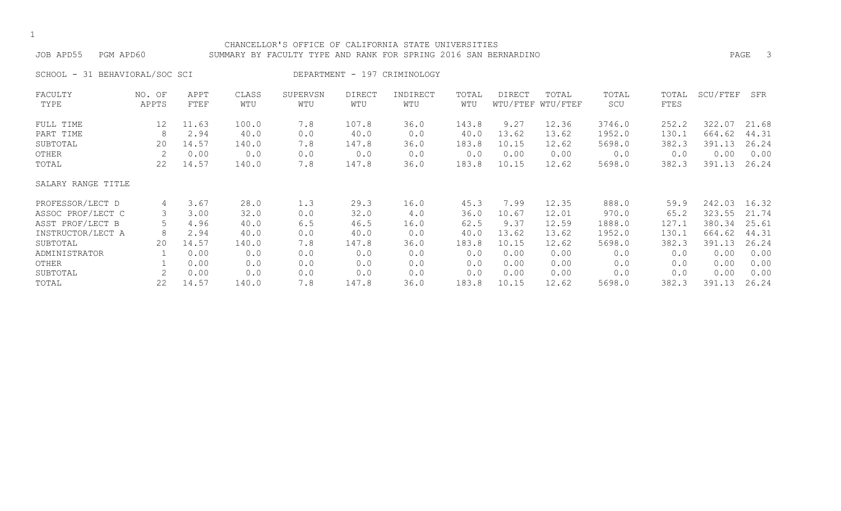#### CHANCELLOR'S OFFICE OF CALIFORNIA STATE UNIVERSITIES JOB APD55 PGM APD60 SUMMARY BY FACULTY TYPE AND RANK FOR SPRING 2016 SAN BERNARDINO PAGE 3

SCHOOL - 31 BEHAVIORAL/SOC SCI DEPARTMENT - 197 CRIMINOLOGY

| FACULTY            | NO. OF | APPT  | CLASS | SUPERVSN | <b>DIRECT</b> | INDIRECT | TOTAL | DIRECT | TOTAL             | TOTAL  | TOTAL | SCU/FTEF | SFR   |
|--------------------|--------|-------|-------|----------|---------------|----------|-------|--------|-------------------|--------|-------|----------|-------|
| TYPE               | APPTS  | FTEF  | WTU   | WTU      | WTU           | WTU      | WTU   |        | WTU/FTEF WTU/FTEF | SCU    | FTES  |          |       |
| FULL TIME          | 12     | 11.63 | 100.0 | 7.8      | 107.8         | 36.0     | 143.8 | 9.27   | 12.36             | 3746.0 | 252.2 | 322.07   | 21.68 |
| PART TIME          | 8      | 2.94  | 40.0  | 0.0      | 40.0          | 0.0      | 40.0  | 13.62  | 13.62             | 1952.0 | 130.1 | 664.62   | 44.31 |
| SUBTOTAL           | 20     | 14.57 | 140.0 | 7.8      | 147.8         | 36.0     | 183.8 | 10.15  | 12.62             | 5698.0 | 382.3 | 391.13   | 26.24 |
| OTHER              | 2      | 0.00  | 0.0   | 0.0      | 0.0           | 0.0      | 0.0   | 0.00   | 0.00              | 0.0    | 0.0   | 0.00     | 0.00  |
| TOTAL              | 22     | 14.57 | 140.0 | 7.8      | 147.8         | 36.0     | 183.8 | 10.15  | 12.62             | 5698.0 | 382.3 | 391.13   | 26.24 |
| SALARY RANGE TITLE |        |       |       |          |               |          |       |        |                   |        |       |          |       |
| PROFESSOR/LECT D   | 4      | 3.67  | 28.0  | 1.3      | 29.3          | 16.0     | 45.3  | 7.99   | 12.35             | 888.0  | 59.9  | 242.03   | 16.32 |
| ASSOC PROF/LECT C  | 3      | 3.00  | 32.0  | 0.0      | 32.0          | 4.0      | 36.0  | 10.67  | 12.01             | 970.0  | 65.2  | 323.55   | 21.74 |
| ASST PROF/LECT B   | 5      | 4.96  | 40.0  | 6.5      | 46.5          | 16.0     | 62.5  | 9.37   | 12.59             | 1888.0 | 127.1 | 380.34   | 25.61 |
| INSTRUCTOR/LECT A  | 8      | 2.94  | 40.0  | 0.0      | 40.0          | 0.0      | 40.0  | 13.62  | 13.62             | 1952.0 | 130.1 | 664.62   | 44.31 |
| SUBTOTAL           | 20     | 14.57 | 140.0 | 7.8      | 147.8         | 36.0     | 183.8 | 10.15  | 12.62             | 5698.0 | 382.3 | 391.13   | 26.24 |
| ADMINISTRATOR      |        | 0.00  | 0.0   | 0.0      | 0.0           | 0.0      | 0.0   | 0.00   | 0.00              | 0.0    | 0.0   | 0.00     | 0.00  |
| OTHER              |        | 0.00  | 0.0   | 0.0      | 0.0           | 0.0      | 0.0   | 0.00   | 0.00              | 0.0    | 0.0   | 0.00     | 0.00  |
| SUBTOTAL           | 2      | 0.00  | 0.0   | 0.0      | 0.0           | 0.0      | 0.0   | 0.00   | 0.00              | 0.0    | 0.0   | 0.00     | 0.00  |
| TOTAL              | 22     | 14.57 | 140.0 | 7.8      | 147.8         | 36.0     | 183.8 | 10.15  | 12.62             | 5698.0 | 382.3 | 391.13   | 26.24 |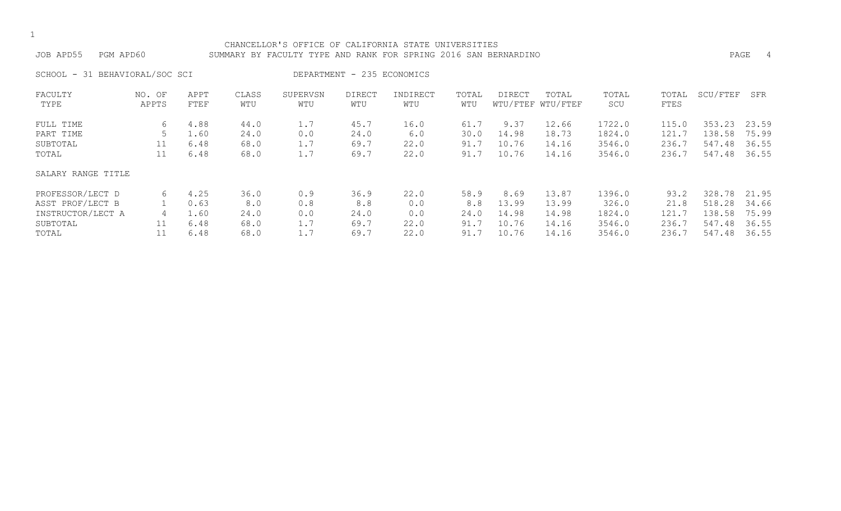#### CHANCELLOR'S OFFICE OF CALIFORNIA STATE UNIVERSITIES JOB APD55 PGM APD60 SUMMARY BY FACULTY TYPE AND RANK FOR SPRING 2016 SAN BERNARDINO PAGE 4

SCHOOL - 31 BEHAVIORAL/SOC SCI DEPARTMENT - 235 ECONOMICS

| FACULTY            | NO. OF | APPT | CLASS | SUPERVSN | <b>DIRECT</b> | INDIRECT | TOTAL | DIRECT | TOTAL             | TOTAL  | TOTAL | SCU/FTEF | SFR   |
|--------------------|--------|------|-------|----------|---------------|----------|-------|--------|-------------------|--------|-------|----------|-------|
| TYPE               | APPTS  | FTEF | WTU   | WTU      | WTU           | WTU      | WTU   |        | WTU/FTEF WTU/FTEF | SCU    | FTES  |          |       |
| FULL TIME          | 6      | 4.88 | 44.0  | 1.7      | 45.7          | 16.0     | 61.7  | 9.37   | 12.66             | 1722.0 | 115.0 | 353.23   | 23.59 |
| PART TIME          |        | 1.60 | 24.0  | 0.0      | 24.0          | 6.0      | 30.0  | 14.98  | 18.73             | 1824.0 | 121.7 | 138.58   | 75.99 |
| SUBTOTAL           | 11     | 6.48 | 68.0  | 1.7      | 69.7          | 22.0     | 91.7  | 10.76  | 14.16             | 3546.0 | 236.7 | 547.48   | 36.55 |
| TOTAL              | 11     | 6.48 | 68.0  | 1.7      | 69.7          | 22.0     | 91.7  | 10.76  | 14.16             | 3546.0 | 236.7 | 547.48   | 36.55 |
| SALARY RANGE TITLE |        |      |       |          |               |          |       |        |                   |        |       |          |       |
| PROFESSOR/LECT D   | 6      | 4.25 | 36.0  | 0.9      | 36.9          | 22.0     | 58.9  | 8.69   | 13.87             | 1396.0 | 93.2  | 328.78   | 21.95 |
| ASST PROF/LECT B   |        | 0.63 | 8.0   | 0.8      | 8.8           | 0.0      | 8.8   | 13.99  | 13.99             | 326.0  | 21.8  | 518.28   | 34.66 |
| INSTRUCTOR/LECT A  | 4      | 1.60 | 24.0  | 0.0      | 24.0          | 0.0      | 24.0  | 14.98  | 14.98             | 1824.0 | 121.7 | 138.58   | 75.99 |
| SUBTOTAL           | 11     | 6.48 | 68.0  | 1.7      | 69.7          | 22.0     | 91.7  | 10.76  | 14.16             | 3546.0 | 236.7 | 547.48   | 36.55 |
| TOTAL              |        | 6.48 | 68.0  | 1.7      | 69.7          | 22.0     | 91.7  | 10.76  | 14.16             | 3546.0 | 236.7 | 547.48   | 36.55 |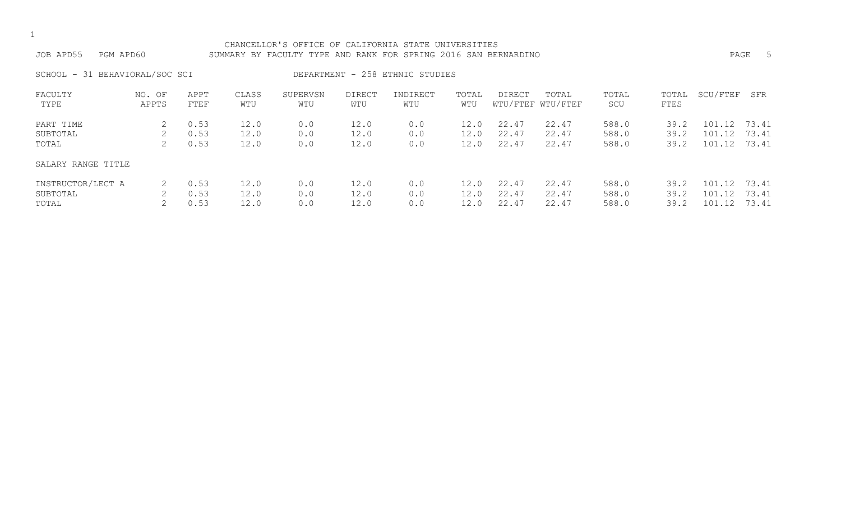#### CHANCELLOR'S OFFICE OF CALIFORNIA STATE UNIVERSITIES JOB APD55 PGM APD60 SUMMARY BY FACULTY TYPE AND RANK FOR SPRING 2016 SAN BERNARDINO PAGE 5

SCHOOL - 31 BEHAVIORAL/SOC SCI DEPARTMENT - 258 ETHNIC STUDIES

| FACULTY<br>TYPE    | NO. OF<br>APPTS | APPT<br>FTEF | CLASS<br>WTU | SUPERVSN<br>WTU | <b>DIRECT</b><br>WTU | INDIRECT<br>WTU | TOTAL<br>WTU | <b>DIRECT</b> | TOTAL<br>WTU/FTEF WTU/FTEF | TOTAL<br>SCU | TOTAL<br>FTES | SCU/FTEF     | SFR   |
|--------------------|-----------------|--------------|--------------|-----------------|----------------------|-----------------|--------------|---------------|----------------------------|--------------|---------------|--------------|-------|
| PART TIME          |                 | 0.53         | 12.0         | 0.0             | 12.0                 | 0.0             | 12.0         | 22.47         | 22.47                      | 588.0        | 39.2          | 101.12 73.41 |       |
| SUBTOTAL           |                 | 0.53         | 12.0         | 0.0             | 12.0                 | 0.0             | 12.0         | 22.47         | 22.47                      | 588.0        | 39.2          | 101.12       | 73.41 |
| TOTAL              | 2               | 0.53         | 12.0         | 0.0             | 12.0                 | 0.0             | 12.0         | 22.47         | 22.47                      | 588.0        | 39.2          | 101.12       | 73.41 |
| SALARY RANGE TITLE |                 |              |              |                 |                      |                 |              |               |                            |              |               |              |       |
| INSTRUCTOR/LECT A  |                 | 0.53         | 12.0         | 0.0             | 12.0                 | 0.0             | 12.0         | 22.47         | 22.47                      | 588.0        | 39.2          | 101.12       | 73.41 |
| SUBTOTAL           |                 | 0.53         | 12.0         | 0.0             | 12.0                 | 0.0             | 12.0         | 22.47         | 22.47                      | 588.0        | 39.2          | 101.12       | 73.41 |
| TOTAL              |                 | 0.53         | 12.0         | 0.0             | 12.0                 | 0.0             | 12.0         | 22.47         | 22.47                      | 588.0        | 39.2          | 101.12       | 73.41 |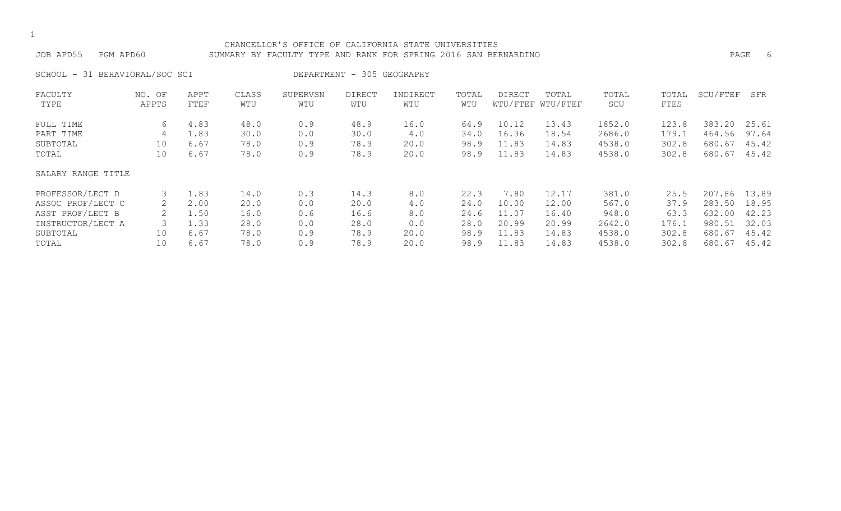#### CHANCELLOR'S OFFICE OF CALIFORNIA STATE UNIVERSITIES JOB APD55 PGM APD60 SUMMARY BY FACULTY TYPE AND RANK FOR SPRING 2016 SAN BERNARDINO PAGE 6

SCHOOL - 31 BEHAVIORAL/SOC SCI DEPARTMENT - 305 GEOGRAPHY

| FACULTY            | NO. OF | APPT | CLASS | SUPERVSN | <b>DIRECT</b> | INDIRECT | TOTAL | DIRECT | TOTAL             | TOTAL  | TOTAL | SCU/FTEF | SFR   |
|--------------------|--------|------|-------|----------|---------------|----------|-------|--------|-------------------|--------|-------|----------|-------|
| TYPE               | APPTS  | FTEF | WTU   | WTU      | WTU           | WTU      | WTU   |        | WTU/FTEF WTU/FTEF | SCU    | FTES  |          |       |
| FULL TIME          | 6      | 4.83 | 48.0  | 0.9      | 48.9          | 16.0     | 64.9  | 10.12  | 13.43             | 1852.0 | 123.8 | 383.20   | 25.61 |
| PART TIME          | 4      | 1.83 | 30.0  | 0.0      | 30.0          | 4.0      | 34.0  | 16.36  | 18.54             | 2686.0 | 179.1 | 464.56   | 97.64 |
| SUBTOTAL           | 10     | 6.67 | 78.0  | 0.9      | 78.9          | 20.0     | 98.9  | 11.83  | 14.83             | 4538.0 | 302.8 | 680.67   | 45.42 |
| TOTAL              | 10     | 6.67 | 78.0  | 0.9      | 78.9          | 20.0     | 98.9  | 11.83  | 14.83             | 4538.0 | 302.8 | 680.67   | 45.42 |
| SALARY RANGE TITLE |        |      |       |          |               |          |       |        |                   |        |       |          |       |
| PROFESSOR/LECT D   |        | 1.83 | 14.0  | 0.3      | 14.3          | 8.0      | 22.3  | 7.80   | 12.17             | 381.0  | 25.5  | 207.86   | 13.89 |
| ASSOC PROF/LECT C  |        | 2.00 | 20.0  | 0.0      | 20.0          | 4.0      | 24.0  | 10.00  | 12.00             | 567.0  | 37.9  | 283.50   | 18.95 |
| ASST PROF/LECT B   |        | 1.50 | 16.0  | 0.6      | 16.6          | 8.0      | 24.6  | 11.07  | 16.40             | 948.0  | 63.3  | 632.00   | 42.23 |
| INSTRUCTOR/LECT A  |        | 1.33 | 28.0  | 0.0      | 28.0          | 0.0      | 28.0  | 20.99  | 20.99             | 2642.0 | 176.1 | 980.51   | 32.03 |
| SUBTOTAL           | 10     | 6.67 | 78.0  | 0.9      | 78.9          | 20.0     | 98.9  | 11.83  | 14.83             | 4538.0 | 302.8 | 680.67   | 45.42 |
| TOTAL              | 10     | 6.67 | 78.0  | 0.9      | 78.9          | 20.0     | 98.9  | 11.83  | 14.83             | 4538.0 | 302.8 | 680.67   | 45.42 |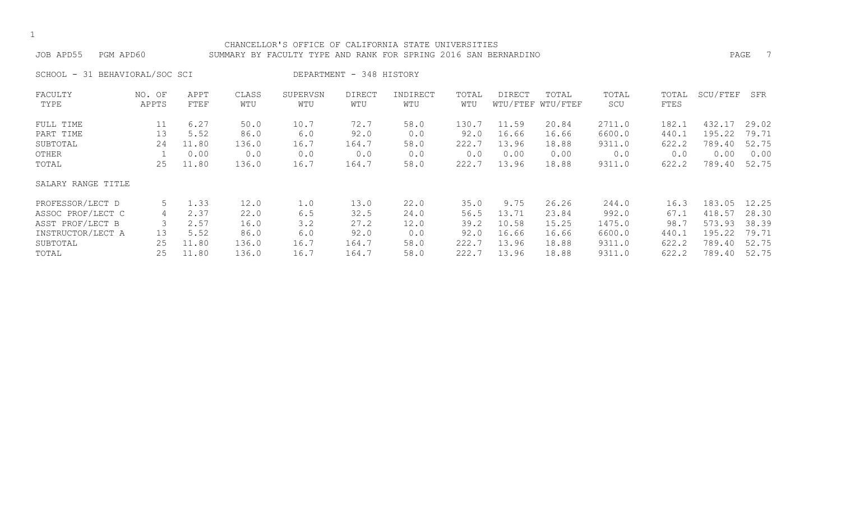#### CHANCELLOR'S OFFICE OF CALIFORNIA STATE UNIVERSITIES JOB APD55 PGM APD60 SUMMARY BY FACULTY TYPE AND RANK FOR SPRING 2016 SAN BERNARDINO PAGE 7

SCHOOL - 31 BEHAVIORAL/SOC SCI DEPARTMENT - 348 HISTORY

| FACULTY            | NO. OF | APPT  | CLASS | SUPERVSN | <b>DIRECT</b> | INDIRECT | TOTAL | <b>DIRECT</b> | TOTAL             | TOTAL  | TOTAL | SCU/FTEF | SFR   |
|--------------------|--------|-------|-------|----------|---------------|----------|-------|---------------|-------------------|--------|-------|----------|-------|
| TYPE               | APPTS  | FTEF  | WTU   | WTU      | WTU           | WTU      | WTU   |               | WTU/FTEF WTU/FTEF | SCU    | FTES  |          |       |
| FULL TIME          | 11     | 6.27  | 50.0  | 10.7     | 72.7          | 58.0     | 130.7 | 11.59         | 20.84             | 2711.0 | 182.1 | 432.17   | 29.02 |
| PART TIME          | 13     | 5.52  | 86.0  | 6.0      | 92.0          | 0.0      | 92.0  | 16.66         | 16.66             | 6600.0 | 440.1 | 195.22   | 79.71 |
| SUBTOTAL           | 24     | 11.80 | 136.0 | 16.7     | 164.7         | 58.0     | 222.7 | 13.96         | 18.88             | 9311.0 | 622.2 | 789.40   | 52.75 |
| OTHER              |        | 0.00  | 0.0   | 0.0      | 0.0           | 0.0      | 0.0   | 0.00          | 0.00              | 0.0    | 0.0   | 0.00     | 0.00  |
| TOTAL              | 25     | 11.80 | 136.0 | 16.7     | 164.7         | 58.0     | 222.7 | 13.96         | 18.88             | 9311.0 | 622.2 | 789.40   | 52.75 |
| SALARY RANGE TITLE |        |       |       |          |               |          |       |               |                   |        |       |          |       |
| PROFESSOR/LECT D   | 5      | 1.33  | 12.0  | 1.0      | 13.0          | 22.0     | 35.0  | 9.75          | 26.26             | 244.0  | 16.3  | 183.05   | 12.25 |
| ASSOC PROF/LECT C  | 4      | 2.37  | 22.0  | 6.5      | 32.5          | 24.0     | 56.5  | 13.71         | 23.84             | 992.0  | 67.1  | 418.57   | 28.30 |
| ASST PROF/LECT B   |        | 2.57  | 16.0  | 3.2      | 27.2          | 12.0     | 39.2  | 10.58         | 15.25             | 1475.0 | 98.7  | 573.93   | 38.39 |
| INSTRUCTOR/LECT A  | 13     | 5.52  | 86.0  | 6.0      | 92.0          | 0.0      | 92.0  | 16.66         | 16.66             | 6600.0 | 440.1 | 195.22   | 79.71 |
| SUBTOTAL           | 25     | 11.80 | 136.0 | 16.7     | 164.7         | 58.0     | 222.7 | 13.96         | 18.88             | 9311.0 | 622.2 | 789.40   | 52.75 |
| TOTAL              | 25     | 11.80 | 136.0 | 16.7     | 164.7         | 58.0     | 222.7 | 13.96         | 18.88             | 9311.0 | 622.2 | 789.40   | 52.75 |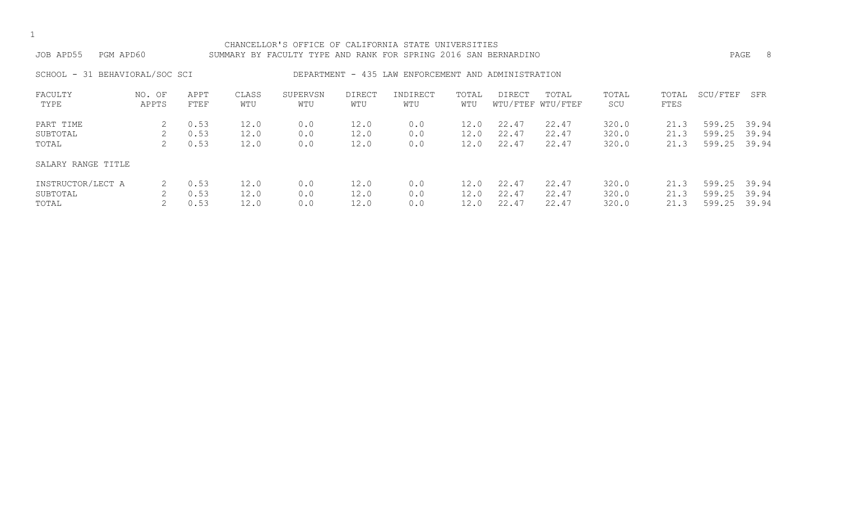|  | ۰.  |
|--|-----|
|  | . . |

#### SCHOOL - 31 BEHAVIORAL/SOC SCI BEPARTMENT - 435 LAW ENFORCEMENT AND ADMINISTRATION

| FACULTY            | NO. OF | APPT | CLASS | SUPERVSN | <b>DIRECT</b> | INDIRECT | TOTAL | <b>DIRECT</b> | TOTAL             | TOTAL | TOTAL | SCU/FTEF | SFR   |
|--------------------|--------|------|-------|----------|---------------|----------|-------|---------------|-------------------|-------|-------|----------|-------|
| TYPE               | APPTS  | FTEF | WTU   | WTU      | WTU           | WTU      | WTU   |               | WTU/FTEF WTU/FTEF | SCU   | FTES  |          |       |
| PART TIME          |        | 0.53 | 12.0  | 0.0      | 12.0          | 0.0      | 12.0  | 22.47         | 22.47             | 320.0 | 21.3  | 599.25   | 39.94 |
| SUBTOTAL           | 2.     | 0.53 | 12.0  | 0.0      | 12.0          | 0.0      | 12.0  | 22.47         | 22.47             | 320.0 | 21.3  | 599.25   | 39.94 |
| TOTAL              |        | 0.53 | 12.0  | 0.0      | 12.0          | 0.0      | 12.0  | 22.47         | 22.47             | 320.0 | 21.3  | 599.25   | 39.94 |
| SALARY RANGE TITLE |        |      |       |          |               |          |       |               |                   |       |       |          |       |
| INSTRUCTOR/LECT A  |        | 0.53 | 12.0  | 0.0      | 12.0          | 0.0      | 12.0  | 22.47         | 22.47             | 320.0 | 21.3  | 599.25   | 39.94 |
| SUBTOTAL           |        | 0.53 | 12.0  | 0.0      | 12.0          | 0.0      | 12.0  | 22.47         | 22.47             | 320.0 | 21.3  | 599.25   | 39.94 |
| TOTAL              |        | 0.53 | 12.0  | 0.0      | 12.0          | 0.0      |       | 22.47         | 22.47             | 320.0 | 21.3  | 599.25   | 39.94 |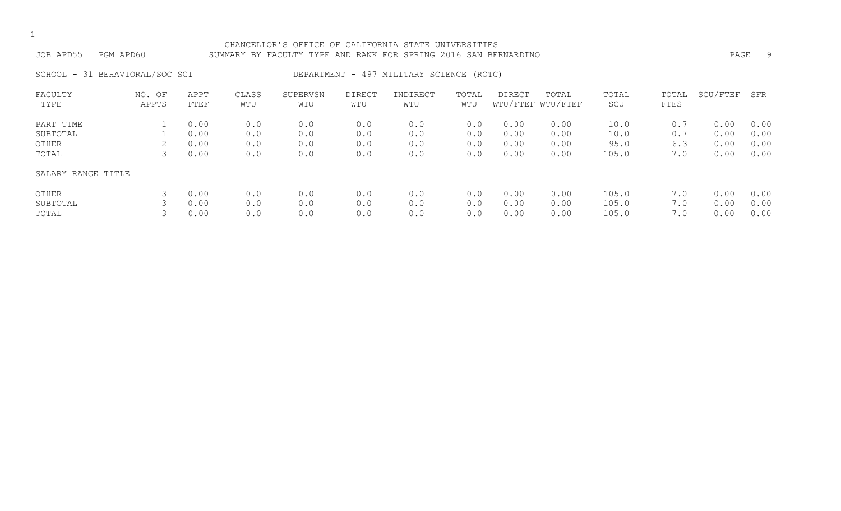#### CHANCELLOR'S OFFICE OF CALIFORNIA STATE UNIVERSITIES JOB APD55 PGM APD60 SUMMARY BY FACULTY TYPE AND RANK FOR SPRING 2016 SAN BERNARDINO PAGE 9

SCHOOL - 31 BEHAVIORAL/SOC SCI DEPARTMENT - 497 MILITARY SCIENCE (ROTC)

| FACULTY            | NO. OF | APPT | CLASS | SUPERVSN | DIRECT | INDIRECT | TOTAL | <b>DIRECT</b> | TOTAL             | TOTAL | TOTAL | SCU/FTEF | SFR  |
|--------------------|--------|------|-------|----------|--------|----------|-------|---------------|-------------------|-------|-------|----------|------|
| TYPE               | APPTS  | FTEF | WTU   | WTU      | WTU    | WTU      | WTU   |               | WTU/FTEF WTU/FTEF | SCU   | FTES  |          |      |
| PART TIME          |        | 0.00 | 0.0   | 0.0      | 0.0    | 0.0      | 0.0   | 0.00          | 0.00              | 10.0  | 0.7   | 0.00     | 0.00 |
| SUBTOTAL           |        | 0.00 | 0.0   | 0.0      | 0.0    | 0.0      | 0.0   | 0.00          | 0.00              | 10.0  | 0.7   | 0.00     | 0.00 |
| OTHER              |        | 0.00 | 0.0   | 0.0      | 0.0    | 0.0      | 0.0   | 0.00          | 0.00              | 95.0  | 6.3   | 0.00     | 0.00 |
| TOTAL              | 3      | 0.00 | 0.0   | 0.0      | 0.0    | 0.0      | 0.0   | 0.00          | 0.00              | 105.0 | 7.0   | 0.00     | 0.00 |
| SALARY RANGE TITLE |        |      |       |          |        |          |       |               |                   |       |       |          |      |
| OTHER              |        | 0.00 | 0.0   | 0.0      | 0.0    | 0.0      | 0.0   | 0.00          | 0.00              | 105.0 | 7.0   | 0.00     | 0.00 |
| SUBTOTAL           |        | 0.00 | 0.0   | 0.0      | 0.0    | 0.0      | 0.0   | 0.00          | 0.00              | 105.0 | 7.0   | 0.00     | 0.00 |
| TOTAL              |        | 0.00 | 0.0   | 0.0      | 0.0    | 0.0      | 0.0   | 0.00          | 0.00              | 105.0 | 7.0   | 0.00     | 0.00 |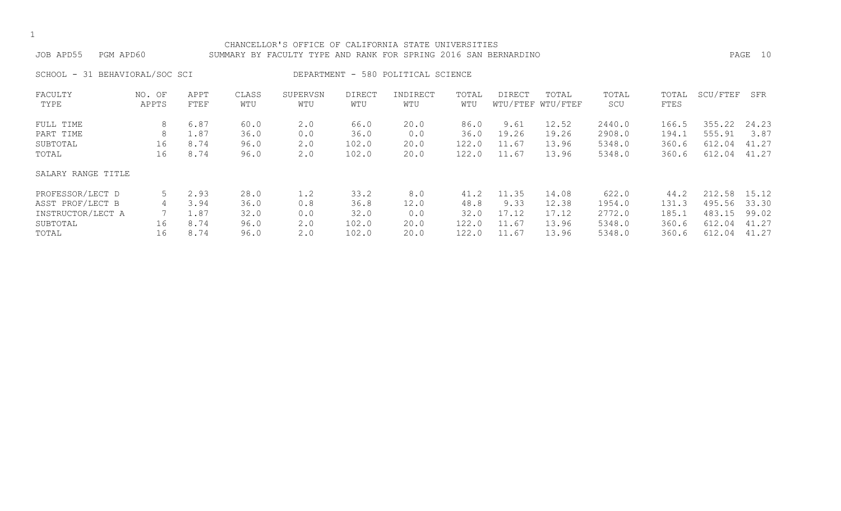#### CHANCELLOR'S OFFICE OF CALIFORNIA STATE UNIVERSITIES JOB APD55 PGM APD60 SUMMARY BY FACULTY TYPE AND RANK FOR SPRING 2016 SAN BERNARDINO PAGE 10

SCHOOL - 31 BEHAVIORAL/SOC SCI DEPARTMENT - 580 POLITICAL SCIENCE

| FACULTY            | NO. OF | APPT | CLASS | SUPERVSN    | <b>DIRECT</b> | INDIRECT | TOTAL | DIRECT | TOTAL             | TOTAL  | TOTAL | SCU/FTEF | SFR   |
|--------------------|--------|------|-------|-------------|---------------|----------|-------|--------|-------------------|--------|-------|----------|-------|
| TYPE               | APPTS  | FTEF | WTU   | WTU         | WTU           | WTU      | WTU   |        | WTU/FTEF WTU/FTEF | SCU    | FTES  |          |       |
| FULL TIME          | 8      | 6.87 | 60.0  | $2 \cdot 0$ | 66.0          | 20.0     | 86.0  | 9.61   | 12.52             | 2440.0 | 166.5 | 355.22   | 24.23 |
| PART TIME          | 8      | 1.87 | 36.0  | 0.0         | 36.0          | 0.0      | 36.0  | 19.26  | 19.26             | 2908.0 | 194.1 | 555.91   | 3.87  |
| SUBTOTAL           | 16     | 8.74 | 96.0  | 2.0         | 102.0         | 20.0     | 122.0 | 11.67  | 13.96             | 5348.0 | 360.6 | 612.04   | 41.27 |
| TOTAL              | 16     | 8.74 | 96.0  | 2.0         | 102.0         | 20.0     | 122.0 | 11.67  | 13.96             | 5348.0 | 360.6 | 612.04   | 41.27 |
| SALARY RANGE TITLE |        |      |       |             |               |          |       |        |                   |        |       |          |       |
| PROFESSOR/LECT D   | 5      | 2.93 | 28.0  | 1.2         | 33.2          | 8.0      | 41.2  | 11.35  | 14.08             | 622.0  | 44.2  | 212.58   | 15.12 |
| ASST PROF/LECT B   | 4      | 3.94 | 36.0  | 0.8         | 36.8          | 12.0     | 48.8  | 9.33   | 12.38             | 1954.0 | 131.3 | 495.56   | 33.30 |
| INSTRUCTOR/LECT A  |        | 1.87 | 32.0  | 0.0         | 32.0          | 0.0      | 32.0  | 17.12  | 17.12             | 2772.0 | 185.1 | 483.15   | 99.02 |
| SUBTOTAL           | 16     | 8.74 | 96.0  | 2.0         | 102.0         | 20.0     | 122.0 | 11.67  | 13.96             | 5348.0 | 360.6 | 612.04   | 41.27 |
| TOTAL              | 16     | 8.74 | 96.0  | 2.0         | 102.0         | 20.0     | 122.0 | 11.67  | 13.96             | 5348.0 | 360.6 | 612.04   | 41.27 |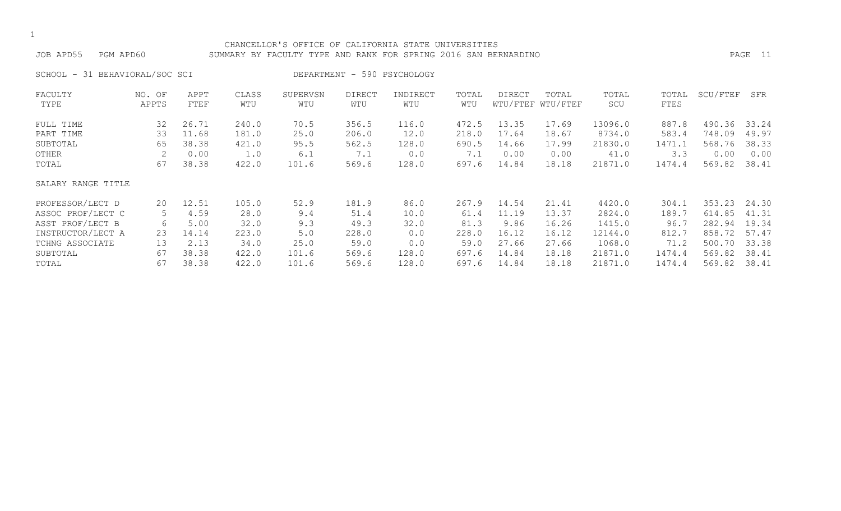#### CHANCELLOR'S OFFICE OF CALIFORNIA STATE UNIVERSITIES JOB APD55 PGM APD60 SUMMARY BY FACULTY TYPE AND RANK FOR SPRING 2016 SAN BERNARDINO PAGE 11

SCHOOL - 31 BEHAVIORAL/SOC SCI DEPARTMENT - 590 PSYCHOLOGY

| FACULTY            | NO. OF | APPT  | CLASS | SUPERVSN | <b>DIRECT</b> | INDIRECT | TOTAL | DIRECT | TOTAL             | TOTAL   | TOTAL  | SCU/FTEF | SFR   |
|--------------------|--------|-------|-------|----------|---------------|----------|-------|--------|-------------------|---------|--------|----------|-------|
| TYPE               | APPTS  | FTEF  | WTU   | WTU      | WTU           | WTU      | WTU   |        | WTU/FTEF WTU/FTEF | SCU     | FTES   |          |       |
| FULL TIME          | 32     | 26.71 | 240.0 | 70.5     | 356.5         | 116.0    | 472.5 | 13.35  | 17.69             | 13096.0 | 887.8  | 490.36   | 33.24 |
| PART TIME          | 33     | 11.68 | 181.0 | 25.0     | 206.0         | 12.0     | 218.0 | 17.64  | 18.67             | 8734.0  | 583.4  | 748.09   | 49.97 |
| SUBTOTAL           | 65     | 38.38 | 421.0 | 95.5     | 562.5         | 128.0    | 690.5 | 14.66  | 17.99             | 21830.0 | 1471.1 | 568.76   | 38.33 |
| OTHER              |        | 0.00  | 1.0   | 6.1      | 7.1           | 0.0      | 7.1   | 0.00   | 0.00              | 41.0    | 3.3    | 0.00     | 0.00  |
| TOTAL              | 67     | 38.38 | 422.0 | 101.6    | 569.6         | 128.0    | 697.6 | 14.84  | 18.18             | 21871.0 | 1474.4 | 569.82   | 38.41 |
| SALARY RANGE TITLE |        |       |       |          |               |          |       |        |                   |         |        |          |       |
| PROFESSOR/LECT D   | 20     | 12.51 | 105.0 | 52.9     | 181.9         | 86.0     | 267.9 | 14.54  | 21.41             | 4420.0  | 304.1  | 353.23   | 24.30 |
| ASSOC PROF/LECT C  | 5      | 4.59  | 28.0  | 9.4      | 51.4          | 10.0     | 61.4  | 11.19  | 13.37             | 2824.0  | 189.7  | 614.85   | 41.31 |
| ASST PROF/LECT B   | 6      | 5.00  | 32.0  | 9.3      | 49.3          | 32.0     | 81.3  | 9.86   | 16.26             | 1415.0  | 96.7   | 282.94   | 19.34 |
| INSTRUCTOR/LECT A  | 23     | 14.14 | 223.0 | 5.0      | 228.0         | 0.0      | 228.0 | 16.12  | 16.12             | 12144.0 | 812.7  | 858.72   | 57.47 |
| TCHNG ASSOCIATE    | 13     | 2.13  | 34.0  | 25.0     | 59.0          | 0.0      | 59.0  | 27.66  | 27.66             | 1068.0  | 71.2   | 500.70   | 33.38 |
| SUBTOTAL           | 67     | 38.38 | 422.0 | 101.6    | 569.6         | 128.0    | 697.6 | 14.84  | 18.18             | 21871.0 | 1474.4 | 569.82   | 38.41 |
| TOTAL              | 67     | 38.38 | 422.0 | 101.6    | 569.6         | 128.0    | 697.6 | 14.84  | 18.18             | 21871.0 | 1474.4 | 569.82   | 38.41 |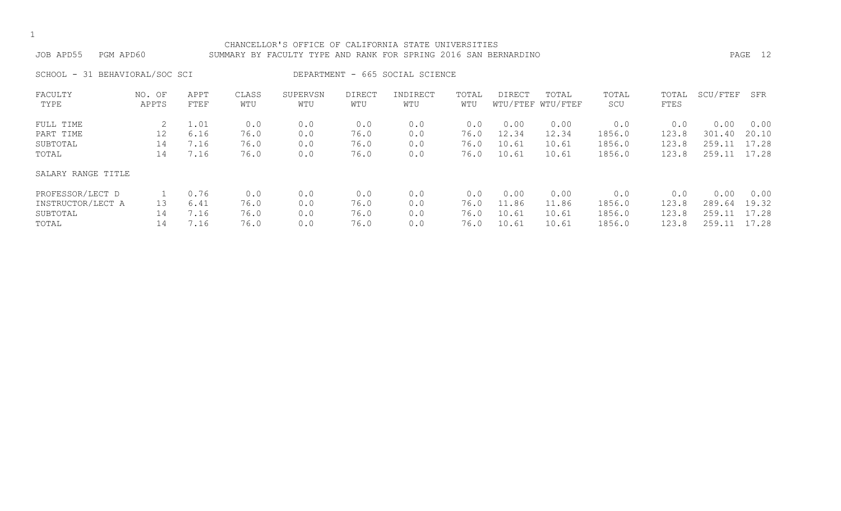#### CHANCELLOR'S OFFICE OF CALIFORNIA STATE UNIVERSITIES JOB APD55 PGM APD60 SUMMARY BY FACULTY TYPE AND RANK FOR SPRING 2016 SAN BERNARDINO PAGE 12

SCHOOL - 31 BEHAVIORAL/SOC SCI DEPARTMENT - 665 SOCIAL SCIENCE

| FACULTY            | NO. OF | APPT | CLASS | SUPERVSN | <b>DIRECT</b> | INDIRECT | TOTAL | DIRECT | TOTAL             | TOTAL  | TOTAL | SCU/FTEF | SFR   |
|--------------------|--------|------|-------|----------|---------------|----------|-------|--------|-------------------|--------|-------|----------|-------|
| TYPE               | APPTS  | FTEF | WTU   | WTU      | WTU           | WTU      | WTU   |        | WTU/FTEF WTU/FTEF | SCU    | FTES  |          |       |
| FULL TIME          |        | 1.01 | 0.0   | 0.0      | 0.0           | 0.0      | 0.0   | 0.00   | 0.00              | 0.0    | 0.0   | 0.00     | 0.00  |
| PART TIME          | 12     | 6.16 | 76.0  | 0.0      | 76.0          | 0.0      | 76.0  | 12.34  | 12.34             | 1856.0 | 123.8 | 301.40   | 20.10 |
| SUBTOTAL           | 14     | 7.16 | 76.0  | 0.0      | 76.0          | 0.0      | 76.0  | 10.61  | 10.61             | 1856.0 | 123.8 | 259.11   | 17.28 |
| TOTAL              | 14     | 7.16 | 76.0  | 0.0      | 76.0          | 0.0      | 76.0  | 10.61  | 10.61             | 1856.0 | 123.8 | 259.11   | 17.28 |
| SALARY RANGE TITLE |        |      |       |          |               |          |       |        |                   |        |       |          |       |
| PROFESSOR/LECT D   |        | 0.76 | 0.0   | 0.0      | 0.0           | 0.0      | 0.0   | 0.00   | 0.00              | 0.0    | 0.0   | 0.00     | 0.00  |
| INSTRUCTOR/LECT A  | 13     | 6.41 | 76.0  | 0.0      | 76.0          | 0.0      | 76.0  | 11.86  | 11.86             | 1856.0 | 123.8 | 289.64   | 19.32 |
| SUBTOTAL           | 14     | 7.16 | 76.0  | 0.0      | 76.0          | 0.0      | 76.0  | 10.61  | 10.61             | 1856.0 | 123.8 | 259.11   | 17.28 |
| TOTAL              | 14     | 7.16 | 76.0  | 0.0      | 76.0          | 0.0      | 76.0  | 10.61  | 10.61             | 1856.0 | 123.8 | 259.11   | 17.28 |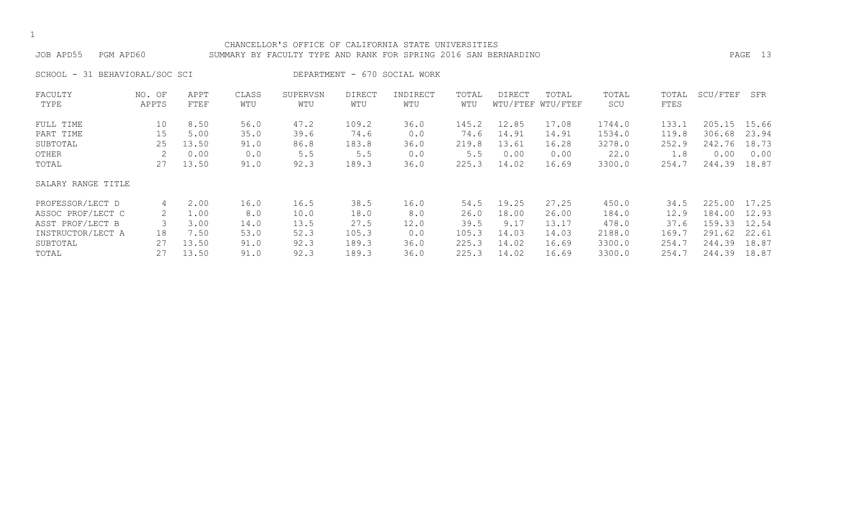#### CHANCELLOR'S OFFICE OF CALIFORNIA STATE UNIVERSITIES JOB APD55 PGM APD60 SUMMARY BY FACULTY TYPE AND RANK FOR SPRING 2016 SAN BERNARDINO PAGE 13

SCHOOL - 31 BEHAVIORAL/SOC SCI DEPARTMENT - 670 SOCIAL WORK

| FACULTY            | NO. OF | APPT  | CLASS | SUPERVSN | <b>DIRECT</b> | INDIRECT | TOTAL | <b>DIRECT</b> | TOTAL             | TOTAL  | TOTAL | SCU/FTEF | SFR   |
|--------------------|--------|-------|-------|----------|---------------|----------|-------|---------------|-------------------|--------|-------|----------|-------|
| TYPE               | APPTS  | FTEF  | WTU   | WTU      | WTU           | WTU      | WTU   |               | WTU/FTEF WTU/FTEF | SCU    | FTES  |          |       |
| FULL TIME          | 10     | 8.50  | 56.0  | 47.2     | 109.2         | 36.0     | 145.2 | 12.85         | 17.08             | 1744.0 | 133.1 | 205.15   | 15.66 |
| PART TIME          | 15     | 5.00  | 35.0  | 39.6     | 74.6          | 0.0      | 74.6  | 14.91         | 14.91             | 1534.0 | 119.8 | 306.68   | 23.94 |
| SUBTOTAL           | 25     | 13.50 | 91.0  | 86.8     | 183.8         | 36.0     | 219.8 | 13.61         | 16.28             | 3278.0 | 252.9 | 242.76   | 18.73 |
| OTHER              |        | 0.00  | 0.0   | 5.5      | 5.5           | 0.0      | 5.5   | 0.00          | 0.00              | 22.0   | 1.8   | 0.00     | 0.00  |
| TOTAL              | 27     | 13.50 | 91.0  | 92.3     | 189.3         | 36.0     | 225.3 | 14.02         | 16.69             | 3300.0 | 254.7 | 244.39   | 18.87 |
| SALARY RANGE TITLE |        |       |       |          |               |          |       |               |                   |        |       |          |       |
| PROFESSOR/LECT D   | 4      | 2.00  | 16.0  | 16.5     | 38.5          | 16.0     | 54.5  | 19.25         | 27.25             | 450.0  | 34.5  | 225.00   | 17.25 |
| ASSOC PROF/LECT C  | 2      | 1.00  | 8.0   | 10.0     | 18.0          | 8.0      | 26.0  | 18.00         | 26.00             | 184.0  | 12.9  | 184.00   | 12.93 |
| ASST PROF/LECT B   |        | 3.00  | 14.0  | 13.5     | 27.5          | 12.0     | 39.5  | 9.17          | 13.17             | 478.0  | 37.6  | 159.33   | 12.54 |
| INSTRUCTOR/LECT A  | 18     | 7.50  | 53.0  | 52.3     | 105.3         | 0.0      | 105.3 | 14.03         | 14.03             | 2188.0 | 169.7 | 291.62   | 22.61 |
| SUBTOTAL           | 27     | 13.50 | 91.0  | 92.3     | 189.3         | 36.0     | 225.3 | 14.02         | 16.69             | 3300.0 | 254.7 | 244.39   | 18.87 |
| TOTAL              | 27     | 13.50 | 91.0  | 92.3     | 189.3         | 36.0     | 225.3 | 14.02         | 16.69             | 3300.0 | 254.7 | 244.39   | 18.87 |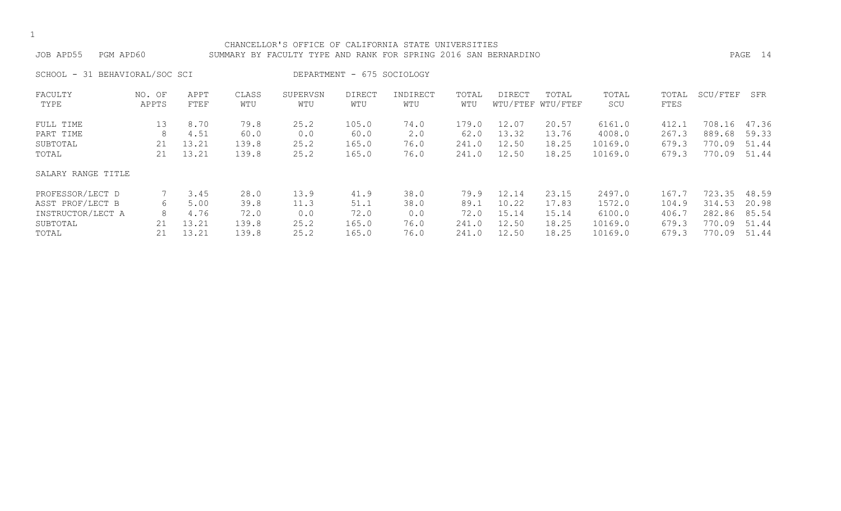#### CHANCELLOR'S OFFICE OF CALIFORNIA STATE UNIVERSITIES JOB APD55 PGM APD60 SUMMARY BY FACULTY TYPE AND RANK FOR SPRING 2016 SAN BERNARDINO PAGE 14

SCHOOL - 31 BEHAVIORAL/SOC SCI DEPARTMENT - 675 SOCIOLOGY

| FACULTY            | NO. OF | APPT  | CLASS | SUPERVSN | <b>DIRECT</b> | INDIRECT | TOTAL | <b>DIRECT</b> | TOTAL             | TOTAL   | TOTAL | SCU/FTEF | SFR   |
|--------------------|--------|-------|-------|----------|---------------|----------|-------|---------------|-------------------|---------|-------|----------|-------|
| TYPE               | APPTS  | FTEF  | WTU   | WTU      | WTU           | WTU      | WTU   |               | WTU/FTEF WTU/FTEF | SCU     | FTES  |          |       |
| FULL TIME          | 13     | 8.70  | 79.8  | 25.2     | 105.0         | 74.0     | 179.0 | 12.07         | 20.57             | 6161.0  | 412.1 | 708.16   | 47.36 |
| PART TIME          | 8      | 4.51  | 60.0  | 0.0      | 60.0          | 2.0      | 62.0  | 13.32         | 13.76             | 4008.0  | 267.3 | 889.68   | 59.33 |
| SUBTOTAL           | 21     | 13.21 | 139.8 | 25.2     | 165.0         | 76.0     | 241.0 | 12.50         | 18.25             | 10169.0 | 679.3 | 770.09   | 51.44 |
| TOTAL              | 21     | 13.21 | 139.8 | 25.2     | 165.0         | 76.0     | 241.0 | 12.50         | 18.25             | 10169.0 | 679.3 | 770.09   | 51.44 |
| SALARY RANGE TITLE |        |       |       |          |               |          |       |               |                   |         |       |          |       |
| PROFESSOR/LECT D   |        | 3.45  | 28.0  | 13.9     | 41.9          | 38.0     | 79.9  | 12.14         | 23.15             | 2497.0  | 167.7 | 723.35   | 48.59 |
| ASST PROF/LECT B   | 6      | 5.00  | 39.8  | 11.3     | 51.1          | 38.0     | 89.1  | 10.22         | 17.83             | 1572.0  | 104.9 | 314.53   | 20.98 |
| INSTRUCTOR/LECT A  | 8      | 4.76  | 72.0  | 0.0      | 72.0          | 0.0      | 72.0  | 15.14         | 15.14             | 6100.0  | 406.7 | 282.86   | 85.54 |
| SUBTOTAL           | 21     | 13.21 | 139.8 | 25.2     | 165.0         | 76.0     | 241.0 | 12.50         | 18.25             | 10169.0 | 679.3 | 770.09   | 51.44 |
| TOTAL              |        | 13.21 | 139.8 | 25.2     | 165.0         | 76.0     | 241.0 | 12.50         | 18.25             | 10169.0 | 679.3 | 770.09   | 51.44 |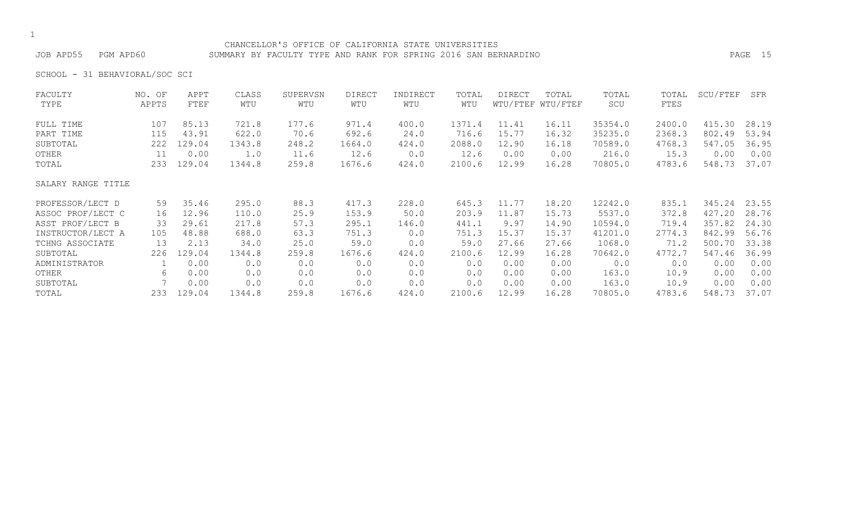### CHANCELLOR'S OFFICE OF CALIFORNIA STATE UNIVERSITIES JOB APD55 PGM APD60 SUMMARY BY FACULTY TYPE AND RANK FOR SPRING 2016 SAN BERNARDINO PAGE 15

SCHOOL - 31 BEHAVIORAL/SOC SCI

| FACULTY            | NO. OF | APPT   | CLASS  | SUPERVSN | <b>DIRECT</b> | INDIRECT | TOTAL  | DIRECT | TOTAL             | TOTAL   | TOTAL  | SCU/FTEF | SFR   |
|--------------------|--------|--------|--------|----------|---------------|----------|--------|--------|-------------------|---------|--------|----------|-------|
| TYPE               | APPTS  | FTEF   | WTU    | WTU      | WTU           | WTU      | WTU    |        | WTU/FTEF WTU/FTEF | SCU     | FTES   |          |       |
| FULL TIME          | 107    | 85.13  | 721.8  | 177.6    | 971.4         | 400.0    | 1371.4 | 11.41  | 16.11             | 35354.0 | 2400.0 | 415.30   | 28.19 |
| PART TIME          | 115    | 43.91  | 622.0  | 70.6     | 692.6         | 24.0     | 716.6  | 15.77  | 16.32             | 35235.0 | 2368.3 | 802.49   | 53.94 |
| SUBTOTAL           | 222    | 129.04 | 1343.8 | 248.2    | 1664.0        | 424.0    | 2088.0 | 12.90  | 16.18             | 70589.0 | 4768.3 | 547.05   | 36.95 |
| OTHER              | 11     | 0.00   | 1.0    | 11.6     | 12.6          | 0.0      | 12.6   | 0.00   | 0.00              | 216.0   | 15.3   | 0.00     | 0.00  |
| TOTAL              | 233    | 129.04 | 1344.8 | 259.8    | 1676.6        | 424.0    | 2100.6 | 12.99  | 16.28             | 70805.0 | 4783.6 | 548.73   | 37.07 |
| SALARY RANGE TITLE |        |        |        |          |               |          |        |        |                   |         |        |          |       |
| PROFESSOR/LECT D   | 59     | 35.46  | 295.0  | 88.3     | 417.3         | 228.0    | 645.3  | 11.77  | 18.20             | 12242.0 | 835.1  | 345.24   | 23.55 |
| ASSOC PROF/LECT C  | 16     | 12.96  | 110.0  | 25.9     | 153.9         | 50.0     | 203.9  | 11.87  | 15.73             | 5537.0  | 372.8  | 427.20   | 28.76 |
| ASST PROF/LECT B   | 33     | 29.61  | 217.8  | 57.3     | 295.1         | 146.0    | 441.1  | 9.97   | 14.90             | 10594.0 | 719.4  | 357.82   | 24.30 |
| INSTRUCTOR/LECT A  | 105    | 48.88  | 688.0  | 63.3     | 751.3         | 0.0      | 751.3  | 15.37  | 15.37             | 41201.0 | 2774.3 | 842.99   | 56.76 |
| TCHNG ASSOCIATE    | 13     | 2.13   | 34.0   | 25.0     | 59.0          | 0.0      | 59.0   | 27.66  | 27.66             | 1068.0  | 71.2   | 500.70   | 33.38 |
| SUBTOTAL           | 226    | 129.04 | 1344.8 | 259.8    | 1676.6        | 424.0    | 2100.6 | 12.99  | 16.28             | 70642.0 | 4772.7 | 547.46   | 36.99 |
| ADMINISTRATOR      |        | 0.00   | 0.0    | 0.0      | 0.0           | 0.0      | 0.0    | 0.00   | 0.00              | 0.0     | 0.0    | 0.00     | 0.00  |
| OTHER              | 6      | 0.00   | 0.0    | 0.0      | 0.0           | 0.0      | 0.0    | 0.00   | 0.00              | 163.0   | 10.9   | 0.00     | 0.00  |
| SUBTOTAL           |        | 0.00   | 0.0    | 0.0      | 0.0           | 0.0      | 0.0    | 0.00   | 0.00              | 163.0   | 10.9   | 0.00     | 0.00  |
| TOTAL              | 233    | 129.04 | 1344.8 | 259.8    | 1676.6        | 424.0    | 2100.6 | 12.99  | 16.28             | 70805.0 | 4783.6 | 548.73   | 37.07 |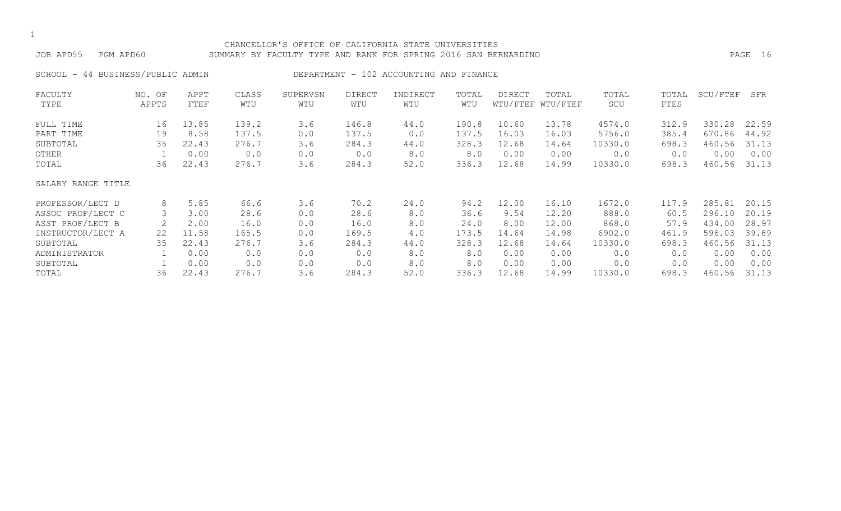#### CHANCELLOR'S OFFICE OF CALIFORNIA STATE UNIVERSITIES JOB APD55 PGM APD60 SUMMARY BY FACULTY TYPE AND RANK FOR SPRING 2016 SAN BERNARDINO PAGE 16

SCHOOL - 44 BUSINESS/PUBLIC ADMIN DEPARTMENT - 102 ACCOUNTING AND FINANCE

| FACULTY            | NO. OF | APPT  | CLASS | SUPERVSN | DIRECT | INDIRECT | TOTAL | DIRECT | TOTAL             | TOTAL   | TOTAL | SCU/FTEF | SFR   |
|--------------------|--------|-------|-------|----------|--------|----------|-------|--------|-------------------|---------|-------|----------|-------|
| TYPE               | APPTS  | FTEF  | WTU   | WTU      | WTU    | WTU      | WTU   |        | WTU/FTEF WTU/FTEF | SCU     | FTES  |          |       |
| FULL TIME          | 16     | 13.85 | 139.2 | 3.6      | 146.8  | 44.0     | 190.8 | 10.60  | 13.78             | 4574.0  | 312.9 | 330.28   | 22.59 |
| PART TIME          | 19     | 8.58  | 137.5 | 0.0      | 137.5  | 0.0      | 137.5 | 16.03  | 16.03             | 5756.0  | 385.4 | 670.86   | 44.92 |
| SUBTOTAL           | 35     | 22.43 | 276.7 | 3.6      | 284.3  | 44.0     | 328.3 | 12.68  | 14.64             | 10330.0 | 698.3 | 460.56   | 31.13 |
| OTHER              |        | 0.00  | 0.0   | 0.0      | 0.0    | 8.0      | 8.0   | 0.00   | 0.00              | 0.0     | 0.0   | 0.00     | 0.00  |
| TOTAL              | 36     | 22.43 | 276.7 | 3.6      | 284.3  | 52.0     | 336.3 | 12.68  | 14.99             | 10330.0 | 698.3 | 460.56   | 31.13 |
| SALARY RANGE TITLE |        |       |       |          |        |          |       |        |                   |         |       |          |       |
| PROFESSOR/LECT D   | 8      | 5.85  | 66.6  | 3.6      | 70.2   | 24.0     | 94.2  | 12.00  | 16.10             | 1672.0  | 117.9 | 285.81   | 20.15 |
| ASSOC PROF/LECT C  | 3      | 3.00  | 28.6  | 0.0      | 28.6   | 8.0      | 36.6  | 9.54   | 12.20             | 888.0   | 60.5  | 296.10   | 20.19 |
| ASST PROF/LECT B   |        | 2.00  | 16.0  | 0.0      | 16.0   | 8.0      | 24.0  | 8.00   | 12.00             | 868.0   | 57.9  | 434.00   | 28.97 |
| INSTRUCTOR/LECT A  | 22     | 11.58 | 165.5 | 0.0      | 169.5  | 4.0      | 173.5 | 14.64  | 14.98             | 6902.0  | 461.9 | 596.03   | 39.89 |
| SUBTOTAL           | 35     | 22.43 | 276.7 | 3.6      | 284.3  | 44.0     | 328.3 | 12.68  | 14.64             | 10330.0 | 698.3 | 460.56   | 31.13 |
| ADMINISTRATOR      |        | 0.00  | 0.0   | 0.0      | 0.0    | 8.0      | 8.0   | 0.00   | 0.00              | 0.0     | 0.0   | 0.00     | 0.00  |
| SUBTOTAL           |        | 0.00  | 0.0   | 0.0      | 0.0    | 8.0      | 8.0   | 0.00   | 0.00              | 0.0     | 0.0   | 0.00     | 0.00  |
| TOTAL              | 36     | 22.43 | 276.7 | 3.6      | 284.3  | 52.0     | 336.3 | 12.68  | 14.99             | 10330.0 | 698.3 | 460.56   | 31.13 |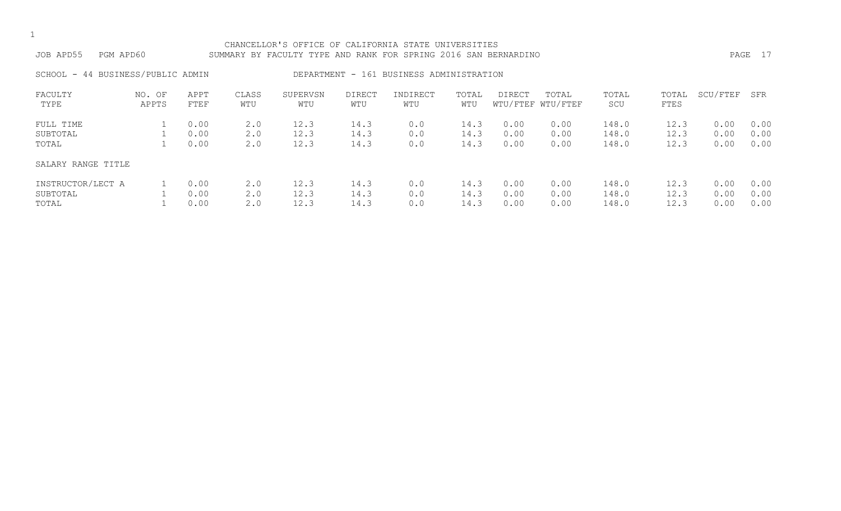#### CHANCELLOR'S OFFICE OF CALIFORNIA STATE UNIVERSITIES JOB APD55 PGM APD60 SUMMARY BY FACULTY TYPE AND RANK FOR SPRING 2016 SAN BERNARDINO PAGE 17

SCHOOL - 44 BUSINESS/PUBLIC ADMIN DEPARTMENT - 161 BUSINESS ADMINISTRATION

| FACULTY<br>TYPE    | NO. OF<br>APPTS | APPT<br>FTEF | CLASS<br>WTU | SUPERVSN<br>WTU | <b>DIRECT</b><br>WTU | INDIRECT<br>WTU | TOTAL<br>WTU | <b>DIRECT</b> | TOTAL<br>WTU/FTEF WTU/FTEF | TOTAL<br>SCU | TOTAL<br>FTES | SCU/FTEF | SFR  |
|--------------------|-----------------|--------------|--------------|-----------------|----------------------|-----------------|--------------|---------------|----------------------------|--------------|---------------|----------|------|
| FULL TIME          |                 | 0.00         | 2.0          | 12.3            | 14.3                 | 0.0             | 14.3         | 0.00          | 0.00                       | 148.0        | 12.3          | 0.00     | 0.00 |
| SUBTOTAL           |                 | 0.00         | 2.0          | 12.3            | 14.3                 | 0.0             | 14.3         | 0.00          | 0.00                       | 148.0        | 12.3          | 0.00     | 0.00 |
| TOTAL              |                 | 0.00         | 2.0          | 12.3            | 14.3                 | 0.0             | 14.3         | 0.00          | 0.00                       | 148.0        | 12.3          | 0.00     | 0.00 |
| SALARY RANGE TITLE |                 |              |              |                 |                      |                 |              |               |                            |              |               |          |      |
| INSTRUCTOR/LECT A  |                 | 0.00         | 2.0          | 12.3            | 14.3                 | 0.0             | 14.3         | 0.00          | 0.00                       | 148.0        | 12.3          | 0.00     | 0.00 |
| SUBTOTAL           |                 | 0.00         | $2 \cdot 0$  | 12.3            | 14.3                 | 0.0             | 14.3         | 0.00          | 0.00                       | 148.0        | 12.3          | 0.00     | 0.00 |
| TOTAL              |                 | 0.00         | 2.0          | 12.3            | 14.3                 | 0.0             | 14.3         | 0.00          | 0.00                       | 148.0        | 12.3          | 0.00     | 0.00 |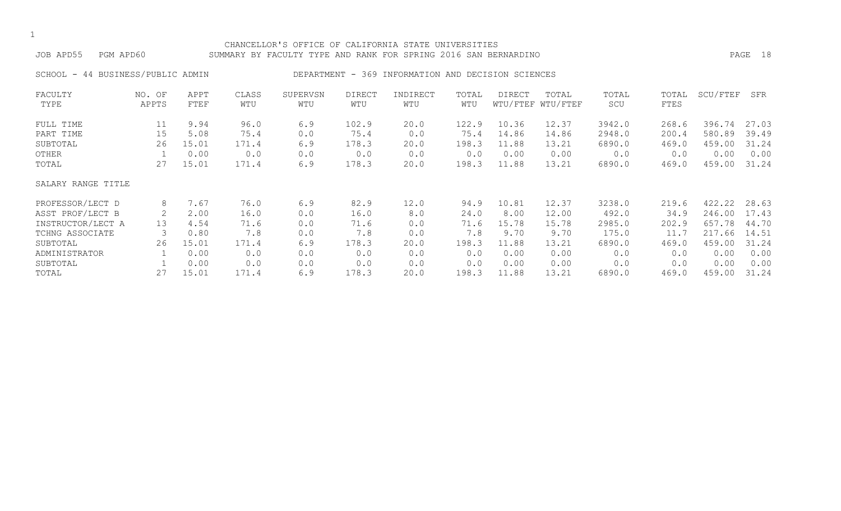#### CHANCELLOR'S OFFICE OF CALIFORNIA STATE UNIVERSITIES JOB APD55 PGM APD60 SUMMARY BY FACULTY TYPE AND RANK FOR SPRING 2016 SAN BERNARDINO PAGE 18

SCHOOL - 44 BUSINESS/PUBLIC ADMIN DEPARTMENT - 369 INFORMATION AND DECISION SCIENCES

| FACULTY            | NO. OF | APPT  | CLASS | SUPERVSN | <b>DIRECT</b> | INDIRECT | TOTAL | DIRECT | TOTAL             | TOTAL  | TOTAL | SCU/FTEF | SFR   |
|--------------------|--------|-------|-------|----------|---------------|----------|-------|--------|-------------------|--------|-------|----------|-------|
| TYPE               | APPTS  | FTEF  | WTU   | WTU      | WTU           | WTU      | WTU   |        | WTU/FTEF WTU/FTEF | SCU    | FTES  |          |       |
| FULL TIME          | 11     | 9.94  | 96.0  | 6.9      | 102.9         | 20.0     | 122.9 | 10.36  | 12.37             | 3942.0 | 268.6 | 396.74   | 27.03 |
| PART TIME          | 15     | 5.08  | 75.4  | 0.0      | 75.4          | 0.0      | 75.4  | 14.86  | 14.86             | 2948.0 | 200.4 | 580.89   | 39.49 |
| SUBTOTAL           | 26     | 15.01 | 171.4 | 6.9      | 178.3         | 20.0     | 198.3 | 11.88  | 13.21             | 6890.0 | 469.0 | 459.00   | 31.24 |
| OTHER              |        | 0.00  | 0.0   | 0.0      | 0.0           | 0.0      | 0.0   | 0.00   | 0.00              | 0.0    | 0.0   | 0.00     | 0.00  |
| TOTAL              | 27     | 15.01 | 171.4 | 6.9      | 178.3         | 20.0     | 198.3 | 11.88  | 13.21             | 6890.0 | 469.0 | 459.00   | 31.24 |
| SALARY RANGE TITLE |        |       |       |          |               |          |       |        |                   |        |       |          |       |
| PROFESSOR/LECT D   | 8      | 7.67  | 76.0  | 6.9      | 82.9          | 12.0     | 94.9  | 10.81  | 12.37             | 3238.0 | 219.6 | 422.22   | 28.63 |
| ASST PROF/LECT B   | 2      | 2.00  | 16.0  | 0.0      | 16.0          | 8.0      | 24.0  | 8.00   | 12.00             | 492.0  | 34.9  | 246.00   | 17.43 |
| INSTRUCTOR/LECT A  | 13     | 4.54  | 71.6  | 0.0      | 71.6          | 0.0      | 71.6  | 15.78  | 15.78             | 2985.0 | 202.9 | 657.78   | 44.70 |
| TCHNG ASSOCIATE    | 3      | 0.80  | 7.8   | 0.0      | 7.8           | 0.0      | 7.8   | 9.70   | 9.70              | 175.0  | 11.7  | 217.66   | 14.51 |
| SUBTOTAL           | 26     | 15.01 | 171.4 | 6.9      | 178.3         | 20.0     | 198.3 | 11.88  | 13.21             | 6890.0 | 469.0 | 459.00   | 31.24 |
| ADMINISTRATOR      |        | 0.00  | 0.0   | 0.0      | 0.0           | 0.0      | 0.0   | 0.00   | 0.00              | 0.0    | 0.0   | 0.00     | 0.00  |
| SUBTOTAL           |        | 0.00  | 0.0   | 0.0      | 0.0           | 0.0      | 0.0   | 0.00   | 0.00              | 0.0    | 0.0   | 0.00     | 0.00  |
| TOTAL              | 27     | 15.01 | 171.4 | 6.9      | 178.3         | 20.0     | 198.3 | 11.88  | 13.21             | 6890.0 | 469.0 | 459.00   | 31.24 |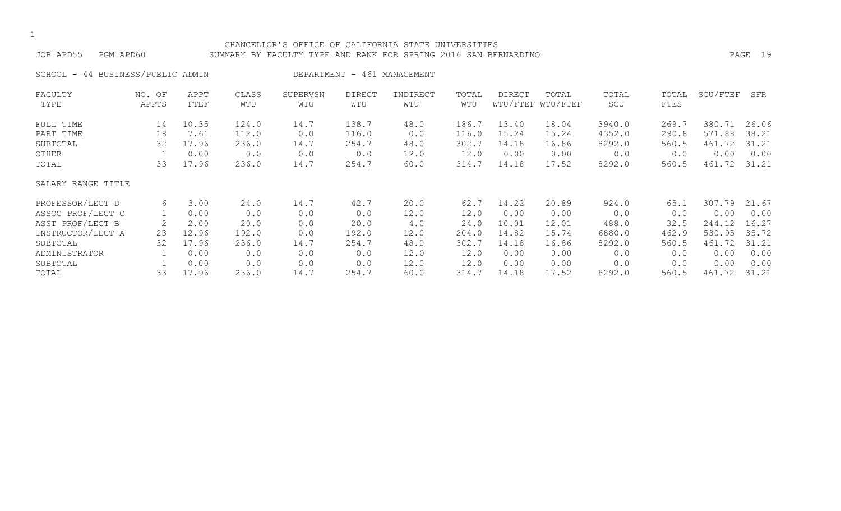#### CHANCELLOR'S OFFICE OF CALIFORNIA STATE UNIVERSITIES JOB APD55 PGM APD60 SUMMARY BY FACULTY TYPE AND RANK FOR SPRING 2016 SAN BERNARDINO PAGE 19

SCHOOL - 44 BUSINESS/PUBLIC ADMIN DEPARTMENT - 461 MANAGEMENT

| FACULTY<br>TYPE    | NO. OF<br>APPTS | APPT<br>FTEF | CLASS<br>WTU | SUPERVSN<br>WTU | DIRECT<br>WTU | INDIRECT<br>WTU | TOTAL<br>WTU | DIRECT | TOTAL<br>WTU/FTEF WTU/FTEF | TOTAL<br>SCU | TOTAL<br>FTES | SCU/FTEF | SFR   |
|--------------------|-----------------|--------------|--------------|-----------------|---------------|-----------------|--------------|--------|----------------------------|--------------|---------------|----------|-------|
|                    |                 |              |              |                 |               |                 |              |        |                            |              |               |          |       |
| FULL TIME          | 14              | 10.35        | 124.0        | 14.7            | 138.7         | 48.0            | 186.7        | 13.40  | 18.04                      | 3940.0       | 269.7         | 380.71   | 26.06 |
| PART TIME          | 18              | 7.61         | 112.0        | 0.0             | 116.0         | 0.0             | 116.0        | 15.24  | 15.24                      | 4352.0       | 290.8         | 571.88   | 38.21 |
| SUBTOTAL           | 32              | 17.96        | 236.0        | 14.7            | 254.7         | 48.0            | 302.7        | 14.18  | 16.86                      | 8292.0       | 560.5         | 461.72   | 31.21 |
| OTHER              |                 | 0.00         | 0.0          | 0.0             | 0.0           | 12.0            | 12.0         | 0.00   | 0.00                       | 0.0          | 0.0           | 0.00     | 0.00  |
| TOTAL              | 33              | 17.96        | 236.0        | 14.7            | 254.7         | 60.0            | 314.7        | 14.18  | 17.52                      | 8292.0       | 560.5         | 461.72   | 31.21 |
| SALARY RANGE TITLE |                 |              |              |                 |               |                 |              |        |                            |              |               |          |       |
| PROFESSOR/LECT D   | 6               | 3.00         | 24.0         | 14.7            | 42.7          | 20.0            | 62.7         | 14.22  | 20.89                      | 924.0        | 65.1          | 307.79   | 21.67 |
| ASSOC PROF/LECT C  |                 | 0.00         | 0.0          | 0.0             | 0.0           | 12.0            | 12.0         | 0.00   | 0.00                       | 0.0          | 0.0           | 0.00     | 0.00  |
| ASST PROF/LECT B   |                 | 2.00         | 20.0         | 0.0             | 20.0          | 4.0             | 24.0         | 10.01  | 12.01                      | 488.0        | 32.5          | 244.12   | 16.27 |
| INSTRUCTOR/LECT A  | 23              | 12.96        | 192.0        | 0.0             | 192.0         | 12.0            | 204.0        | 14.82  | 15.74                      | 6880.0       | 462.9         | 530.95   | 35.72 |
| SUBTOTAL           | 32              | 17.96        | 236.0        | 14.7            | 254.7         | 48.0            | 302.7        | 14.18  | 16.86                      | 8292.0       | 560.5         | 461.72   | 31.21 |
| ADMINISTRATOR      |                 | 0.00         | 0.0          | 0.0             | 0.0           | 12.0            | 12.0         | 0.00   | 0.00                       | 0.0          | 0.0           | 0.00     | 0.00  |
| SUBTOTAL           |                 | 0.00         | 0.0          | 0.0             | 0.0           | 12.0            | 12.0         | 0.00   | 0.00                       | 0.0          | 0.0           | 0.00     | 0.00  |
| TOTAL              | 33              | 17.96        | 236.0        | 14.7            | 254.7         | 60.0            | 314.7        | 14.18  | 17.52                      | 8292.0       | 560.5         | 461.72   | 31.21 |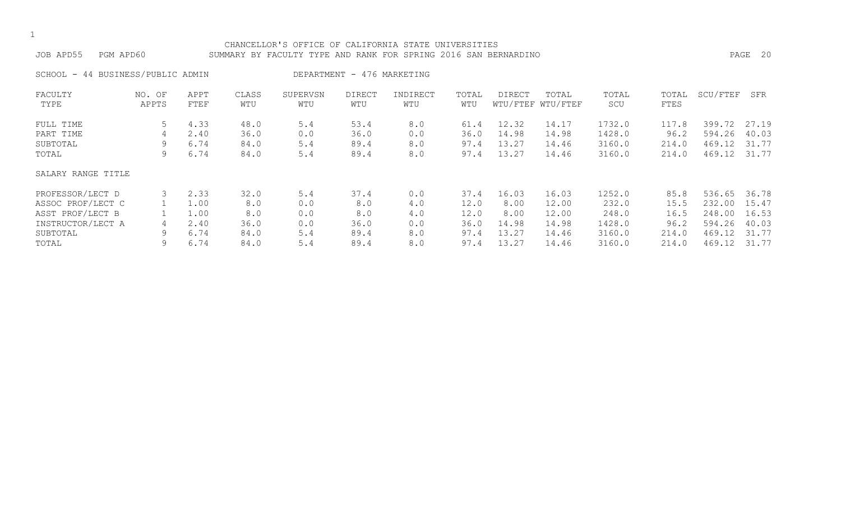#### CHANCELLOR'S OFFICE OF CALIFORNIA STATE UNIVERSITIES JOB APD55 PGM APD60 SUMMARY BY FACULTY TYPE AND RANK FOR SPRING 2016 SAN BERNARDINO PAGE 20

SCHOOL - 44 BUSINESS/PUBLIC ADMIN DEPARTMENT - 476 MARKETING FACULTY NO. OF APPT CLASS SUPERVSN DIRECT INDIRECT TOTAL DIRECT TOTAL TOTAL TOTAL SCU/FTEF SFR TYPE APPTS FTEF WTU WTU WTU WTU WTU WTU/FTEF WTU/FTEF SCU FTES FULL TIME 5 4.33 48.0 5.4 53.4 8.0 61.4 12.32 14.17 1732.0 117.8 399.72 27.19 PART TIME 4 2.40 36.0 0.0 36.0 0.0 36.0 14.98 14.98 1428.0 96.2 594.26 40.03 SUBTOTAL 9 6.74 84.0 5.4 89.4 8.0 97.4 13.27 14.46 3160.0 214.0 469.12 31.77 TOTAL 9 6.74 84.0 5.4 89.4 8.0 97.4 13.27 14.46 3160.0 214.0 469.12 31.77 SALARY RANGE TITLE PROFESSOR/LECT D 3 2.33 32.0 5.4 37.4 0.0 37.4 16.03 16.03 1252.0 85.8 536.65 36.78 ASSOC PROF/LECT C 1 1.00 8.0 0.0 8.0 4.0 12.0 8.00 12.00 232.0 15.5 232.00 15.47 ASST PROF/LECT B 1 1.00 8.0 0.0 8.0 4.0 12.0 8.00 12.00 248.0 16.5 248.00 16.53 INSTRUCTOR/LECT A 4 2.40 36.0 0.0 36.0 0.0 36.0 14.98 14.98 1428.0 96.2 594.26 40.03

SUBTOTAL 9 6.74 84.0 5.4 89.4 8.0 97.4 13.27 14.46 3160.0 214.0 469.12 31.77 TOTAL 9 6.74 84.0 5.4 89.4 8.0 97.4 13.27 14.46 3160.0 214.0 469.12 31.77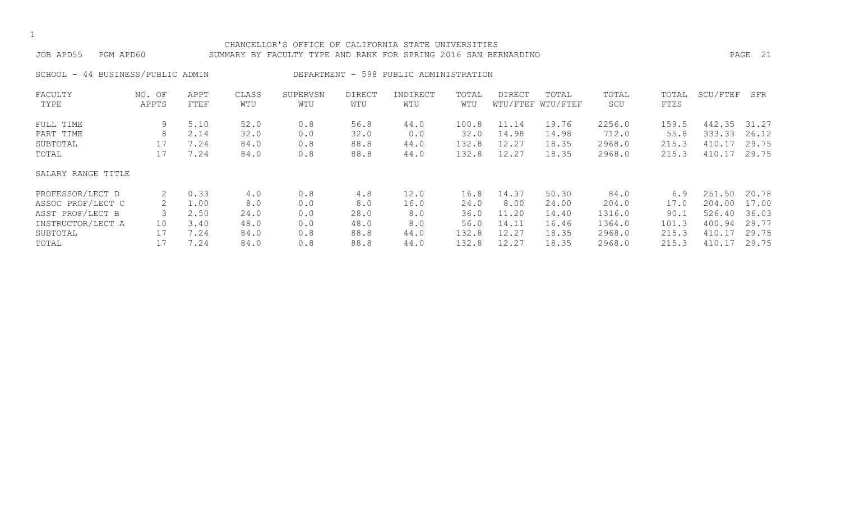#### CHANCELLOR'S OFFICE OF CALIFORNIA STATE UNIVERSITIES JOB APD55 PGM APD60 SUMMARY BY FACULTY TYPE AND RANK FOR SPRING 2016 SAN BERNARDINO PAGE 21

SCHOOL - 44 BUSINESS/PUBLIC ADMIN DEPARTMENT - 598 PUBLIC ADMINISTRATION

| FACULTY            | NO. OF | APPT | CLASS | SUPERVSN | DIRECT | INDIRECT | TOTAL | DIRECT | TOTAL             | TOTAL  | TOTAL | SCU/FTEF | SFR   |
|--------------------|--------|------|-------|----------|--------|----------|-------|--------|-------------------|--------|-------|----------|-------|
| TYPE               | APPTS  | FTEF | WTU   | WTU      | WTU    | WTU      | WTU   |        | WTU/FTEF WTU/FTEF | SCU    | FTES  |          |       |
| FULL TIME          | 9      | 5.10 | 52.0  | 0.8      | 56.8   | 44.0     | 100.8 | 11.14  | 19.76             | 2256.0 | 159.5 | 442.35   | 31.27 |
| PART TIME          | 8      | 2.14 | 32.0  | 0.0      | 32.0   | 0.0      | 32.0  | 14.98  | 14.98             | 712.0  | 55.8  | 333.33   | 26.12 |
| SUBTOTAL           | 17     | 7.24 | 84.0  | 0.8      | 88.8   | 44.0     | 132.8 | 12.27  | 18.35             | 2968.0 | 215.3 | 410.17   | 29.75 |
| TOTAL              | 17     | 7.24 | 84.0  | 0.8      | 88.8   | 44.0     | 132.8 | 12.27  | 18.35             | 2968.0 | 215.3 | 410.17   | 29.75 |
| SALARY RANGE TITLE |        |      |       |          |        |          |       |        |                   |        |       |          |       |
| PROFESSOR/LECT D   |        | 0.33 | 4.0   | 0.8      | 4.8    | 12.0     | 16.8  | 14.37  | 50.30             | 84.0   | 6.9   | 251.50   | 20.78 |
| ASSOC PROF/LECT C  |        | 1.00 | 8.0   | 0.0      | 8.0    | 16.0     | 24.0  | 8.00   | 24.00             | 204.0  | 17.0  | 204.00   | 17.00 |
| ASST PROF/LECT B   |        | 2.50 | 24.0  | 0.0      | 28.0   | 8.0      | 36.0  | 11.20  | 14.40             | 1316.0 | 90.1  | 526.40   | 36.03 |
| INSTRUCTOR/LECT A  | 10     | 3.40 | 48.0  | 0.0      | 48.0   | 8.0      | 56.0  | 14.11  | 16.46             | 1364.0 | 101.3 | 400.94   | 29.77 |
| SUBTOTAL           | 17     | 7.24 | 84.0  | 0.8      | 88.8   | 44.0     | 132.8 | 12.27  | 18.35             | 2968.0 | 215.3 | 410.1    | 29.75 |
| TOTAL              |        | 7.24 | 84.0  | 0.8      | 88.8   | 44.0     | 132.8 | 12.27  | 18.35             | 2968.0 | 215.3 | 410.17   | 29.75 |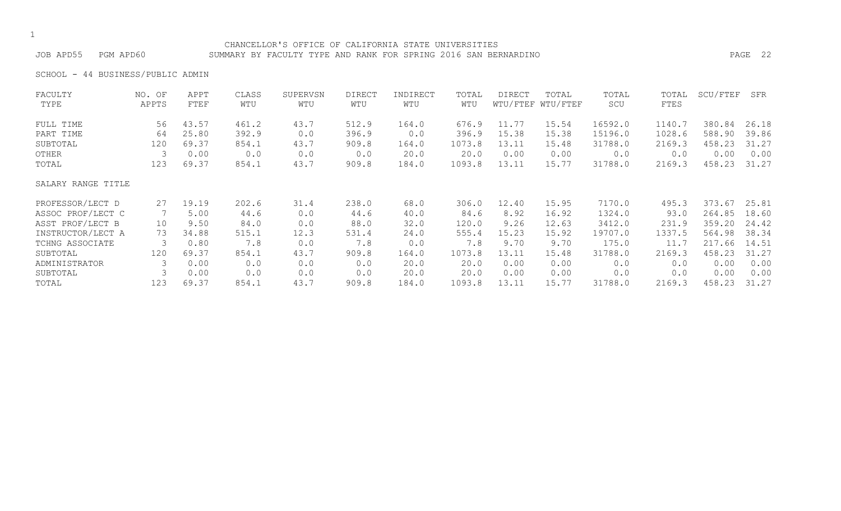### CHANCELLOR'S OFFICE OF CALIFORNIA STATE UNIVERSITIES JOB APD55 PGM APD60 SUMMARY BY FACULTY TYPE AND RANK FOR SPRING 2016 SAN BERNARDINO PAGE 22

SCHOOL - 44 BUSINESS/PUBLIC ADMIN

| FACULTY            | NO. OF | APPT  | CLASS | SUPERVSN | <b>DIRECT</b> | INDIRECT | TOTAL  | DIRECT | TOTAL             | TOTAL   | TOTAL  | SCU/FTEF | SFR   |
|--------------------|--------|-------|-------|----------|---------------|----------|--------|--------|-------------------|---------|--------|----------|-------|
| TYPE               | APPTS  | FTEF  | WTU   | WTU      | WTU           | WTU      | WTU    |        | WTU/FTEF WTU/FTEF | SCU     | FTES   |          |       |
| FULL TIME          | 56     | 43.57 | 461.2 | 43.7     | 512.9         | 164.0    | 676.9  | 11.77  | 15.54             | 16592.0 | 1140.7 | 380.84   | 26.18 |
| PART TIME          | 64     | 25.80 | 392.9 | 0.0      | 396.9         | 0.0      | 396.9  | 15.38  | 15.38             | 15196.0 | 1028.6 | 588.90   | 39.86 |
| SUBTOTAL           | 120    | 69.37 | 854.1 | 43.7     | 909.8         | 164.0    | 1073.8 | 13.11  | 15.48             | 31788.0 | 2169.3 | 458.23   | 31.27 |
| OTHER              |        | 0.00  | 0.0   | 0.0      | 0.0           | 20.0     | 20.0   | 0.00   | 0.00              | 0.0     | 0.0    | 0.00     | 0.00  |
| TOTAL              | 123    | 69.37 | 854.1 | 43.7     | 909.8         | 184.0    | 1093.8 | 13.11  | 15.77             | 31788.0 | 2169.3 | 458.23   | 31.27 |
| SALARY RANGE TITLE |        |       |       |          |               |          |        |        |                   |         |        |          |       |
| PROFESSOR/LECT D   | 27     | 19.19 | 202.6 | 31.4     | 238.0         | 68.0     | 306.0  | 12.40  | 15.95             | 7170.0  | 495.3  | 373.67   | 25.81 |
| ASSOC PROF/LECT C  |        | 5.00  | 44.6  | 0.0      | 44.6          | 40.0     | 84.6   | 8.92   | 16.92             | 1324.0  | 93.0   | 264.85   | 18.60 |
| ASST PROF/LECT B   | 10     | 9.50  | 84.0  | 0.0      | 88.0          | 32.0     | 120.0  | 9.26   | 12.63             | 3412.0  | 231.9  | 359.20   | 24.42 |
| INSTRUCTOR/LECT A  | 73     | 34.88 | 515.1 | 12.3     | 531.4         | 24.0     | 555.4  | 15.23  | 15.92             | 19707.0 | 1337.5 | 564.98   | 38.34 |
| TCHNG ASSOCIATE    | 3      | 0.80  | 7.8   | 0.0      | 7.8           | 0.0      | 7.8    | 9.70   | 9.70              | 175.0   | 11.7   | 217.66   | 14.51 |
| SUBTOTAL           | 120    | 69.37 | 854.1 | 43.7     | 909.8         | 164.0    | 1073.8 | 13.11  | 15.48             | 31788.0 | 2169.3 | 458.23   | 31.27 |
| ADMINISTRATOR      |        | 0.00  | 0.0   | 0.0      | 0.0           | 20.0     | 20.0   | 0.00   | 0.00              | 0.0     | 0.0    | 0.00     | 0.00  |
| SUBTOTAL           |        | 0.00  | 0.0   | 0.0      | 0.0           | 20.0     | 20.0   | 0.00   | 0.00              | 0.0     | 0.0    | 0.00     | 0.00  |
| TOTAL              | 123    | 69.37 | 854.1 | 43.7     | 909.8         | 184.0    | 1093.8 | 13.11  | 15.77             | 31788.0 | 2169.3 | 458.23   | 31.27 |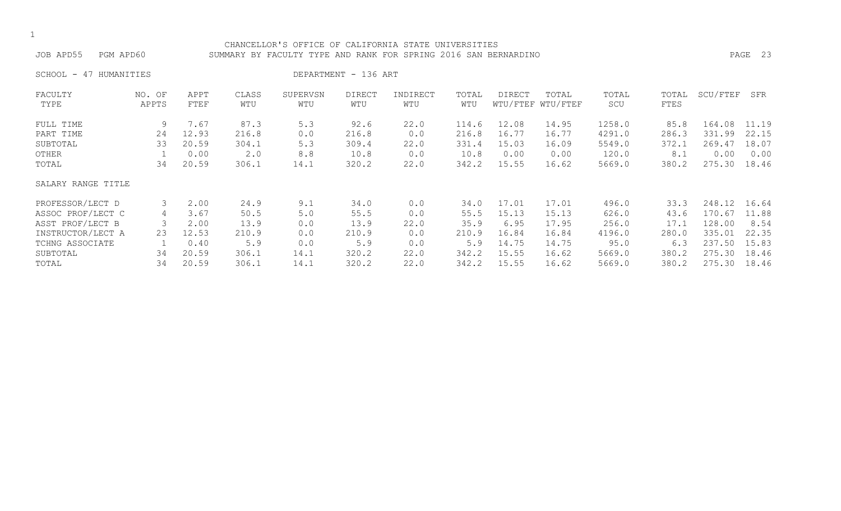#### CHANCELLOR'S OFFICE OF CALIFORNIA STATE UNIVERSITIES JOB APD55 PGM APD60 SUMMARY BY FACULTY TYPE AND RANK FOR SPRING 2016 SAN BERNARDINO PAGE 23

SCHOOL - 47 HUMANITIES DEPARTMENT - 136 ART

| FACULTY            | NO. OF | APPT  | CLASS | SUPERVSN | <b>DIRECT</b> | INDIRECT | TOTAL | DIRECT   | TOTAL    | TOTAL  | TOTAL | SCU/FTEF | SFR   |
|--------------------|--------|-------|-------|----------|---------------|----------|-------|----------|----------|--------|-------|----------|-------|
| TYPE               | APPTS  | FTEF  | WTU   | WTU      | WTU           | WTU      | WTU   | WTU/FTEF | WTU/FTEF | SCU    | FTES  |          |       |
| FULL TIME          | 9      | 7.67  | 87.3  | 5.3      | 92.6          | 22.0     | 114.6 | 12.08    | 14.95    | 1258.0 | 85.8  | 164.08   | 11.19 |
| PART TIME          | 24     | 12.93 | 216.8 | 0.0      | 216.8         | 0.0      | 216.8 | 16.77    | 16.77    | 4291.0 | 286.3 | 331.99   | 22.15 |
| SUBTOTAL           | 33     | 20.59 | 304.1 | 5.3      | 309.4         | 22.0     | 331.4 | 15.03    | 16.09    | 5549.0 | 372.1 | 269.47   | 18.07 |
| OTHER              |        | 0.00  | 2.0   | 8.8      | 10.8          | 0.0      | 10.8  | 0.00     | 0.00     | 120.0  | 8.1   | 0.00     | 0.00  |
| TOTAL              | 34     | 20.59 | 306.1 | 14.1     | 320.2         | 22.0     | 342.2 | 15.55    | 16.62    | 5669.0 | 380.2 | 275.30   | 18.46 |
| SALARY RANGE TITLE |        |       |       |          |               |          |       |          |          |        |       |          |       |
| PROFESSOR/LECT D   | 3      | 2.00  | 24.9  | 9.1      | 34.0          | 0.0      | 34.0  | 17.01    | 17.01    | 496.0  | 33.3  | 248.12   | 16.64 |
| ASSOC PROF/LECT C  | 4      | 3.67  | 50.5  | 5.0      | 55.5          | 0.0      | 55.5  | 15.13    | 15.13    | 626.0  | 43.6  | 170.67   | 11.88 |
| ASST PROF/LECT B   |        | 2.00  | 13.9  | 0.0      | 13.9          | 22.0     | 35.9  | 6.95     | 17.95    | 256.0  | 17.1  | 128.00   | 8.54  |
| INSTRUCTOR/LECT A  | 23     | 12.53 | 210.9 | 0.0      | 210.9         | 0.0      | 210.9 | 16.84    | 16.84    | 4196.0 | 280.0 | 335.01   | 22.35 |
| TCHNG ASSOCIATE    |        | 0.40  | 5.9   | 0.0      | 5.9           | 0.0      | 5.9   | 14.75    | 14.75    | 95.0   | 6.3   | 237.50   | 15.83 |
| SUBTOTAL           | 34     | 20.59 | 306.1 | 14.1     | 320.2         | 22.0     | 342.2 | 15.55    | 16.62    | 5669.0 | 380.2 | 275.30   | 18.46 |
| TOTAL              | 34     | 20.59 | 306.1 | 14.1     | 320.2         | 22.0     | 342.2 | 15.55    | 16.62    | 5669.0 | 380.2 | 275.30   | 18.46 |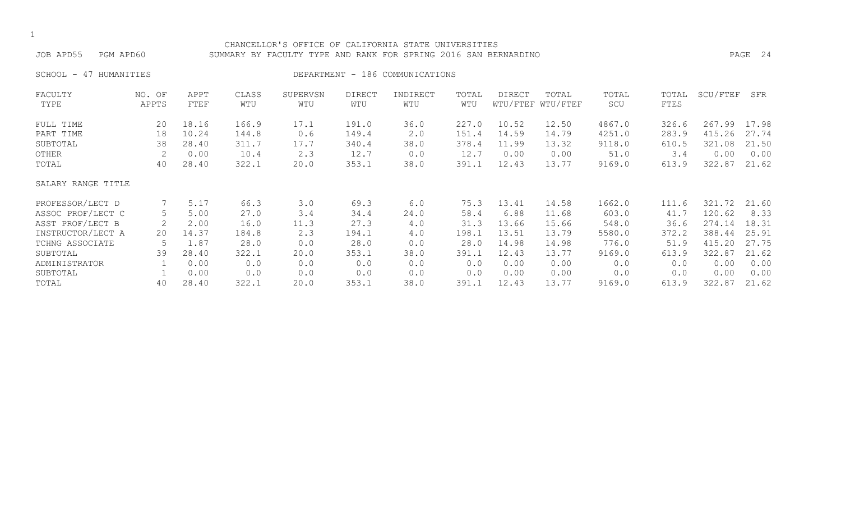| CHANCELLOR'S OFFICE OF CALIFORNIA STATE UNIVERSITIES<br>JOB APD55<br>PGM APD60<br>SUMMARY BY FACULTY TYPE AND RANK FOR SPRING 2016 SAN BERNARDINO |                 |              |              |                 |               |                                 |              |        |                            |              |               | PAGE 24  |       |  |  |
|---------------------------------------------------------------------------------------------------------------------------------------------------|-----------------|--------------|--------------|-----------------|---------------|---------------------------------|--------------|--------|----------------------------|--------------|---------------|----------|-------|--|--|
| 47 HUMANITIES<br>SCHOOL -                                                                                                                         |                 |              |              |                 |               | DEPARTMENT - 186 COMMUNICATIONS |              |        |                            |              |               |          |       |  |  |
| FACULTY<br>TYPE                                                                                                                                   | NO. OF<br>APPTS | APPT<br>FTEF | CLASS<br>WTU | SUPERVSN<br>WTU | DIRECT<br>WTU | INDIRECT<br>WTU                 | TOTAL<br>WTU | DIRECT | TOTAL<br>WTU/FTEF WTU/FTEF | TOTAL<br>SCU | TOTAL<br>FTES | SCU/FTEF | SFR   |  |  |
| FULL TIME                                                                                                                                         | 20              | 18.16        | 166.9        | 17.1            | 191.0         | 36.0                            | 227.0        | 10.52  | 12.50                      | 4867.0       | 326.6         | 267.99   | 17.98 |  |  |
| PART TIME                                                                                                                                         | 18              | 10.24        | 144.8        | 0.6             | 149.4         | 2.0                             | 151.4        | 14.59  | 14.79                      | 4251.0       | 283.9         | 415.26   | 27.74 |  |  |
| SUBTOTAL                                                                                                                                          | 38              | 28.40        | 311.7        | 17.7            | 340.4         | 38.0                            | 378.4        | 11.99  | 13.32                      | 9118.0       | 610.5         | 321.08   | 21.50 |  |  |
| OTHER                                                                                                                                             | 2               | 0.00         | 10.4         | 2.3             | 12.7          | 0.0                             | 12.7         | 0.00   | 0.00                       | 51.0         | 3.4           | 0.00     | 0.00  |  |  |
| TOTAL                                                                                                                                             | 40              | 28.40        | 322.1        | 20.0            | 353.1         | 38.0                            | 391.1        | 12.43  | 13.77                      | 9169.0       | 613.9         | 322.87   | 21.62 |  |  |
| SALARY RANGE TITLE                                                                                                                                |                 |              |              |                 |               |                                 |              |        |                            |              |               |          |       |  |  |
| PROFESSOR/LECT D                                                                                                                                  |                 | 5.17         | 66.3         | 3.0             | 69.3          | 6.0                             | 75.3         | 13.41  | 14.58                      | 1662.0       | 111.6         | 321.72   | 21.60 |  |  |
| ASSOC PROF/LECT C                                                                                                                                 | 5               | 5.00         | 27.0         | 3.4             | 34.4          | 24.0                            | 58.4         | 6.88   | 11.68                      | 603.0        | 41.7          | 120.62   | 8.33  |  |  |
| ASST PROF/LECT B                                                                                                                                  |                 | 2.00         | 16.0         | 11.3            | 27.3          | 4.0                             | 31.3         | 13.66  | 15.66                      | 548.0        | 36.6          | 274.14   | 18.31 |  |  |
| INSTRUCTOR/LECT A                                                                                                                                 | 20              | 14.37        | 184.8        | 2.3             | 194.1         | 4.0                             | 198.1        | 13.51  | 13.79                      | 5580.0       | 372.2         | 388.44   | 25.91 |  |  |
| TCHNG ASSOCIATE                                                                                                                                   | 5               | 1.87         | 28.0         | 0.0             | 28.0          | 0.0                             | 28.0         | 14.98  | 14.98                      | 776.0        | 51.9          | 415.20   | 27.75 |  |  |
| SUBTOTAL                                                                                                                                          | 39              | 28.40        | 322.1        | 20.0            | 353.1         | 38.0                            | 391.1        | 12.43  | 13.77                      | 9169.0       | 613.9         | 322.87   | 21.62 |  |  |
| ADMINISTRATOR                                                                                                                                     |                 | 0.00         | 0.0          | 0.0             | 0.0           | 0.0                             | 0.0          | 0.00   | 0.00                       | 0.0          | 0.0           | 0.00     | 0.00  |  |  |
| SUBTOTAL                                                                                                                                          |                 | 0.00         | 0.0          | 0.0             | 0.0           | 0.0                             | 0.0          | 0.00   | 0.00                       | 0.0          | 0.0           | 0.00     | 0.00  |  |  |
| TOTAL                                                                                                                                             | 40              | 28.40        | 322.1        | 20.0            | 353.1         | 38.0                            | 391.1        | 12.43  | 13.77                      | 9169.0       | 613.9         | 322.87   | 21.62 |  |  |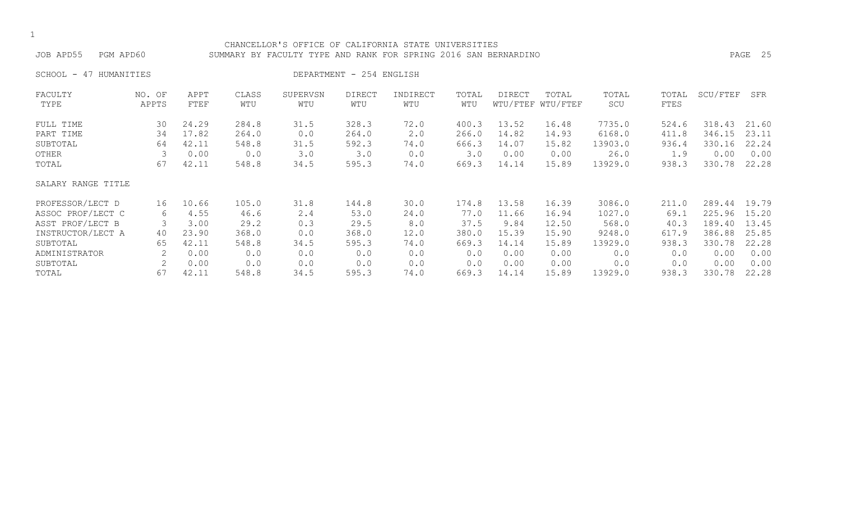| ۰.  |
|-----|
| . . |

SCHOOL - 47 HUMANITIES DEPARTMENT - 254 ENGLISH

| FACULTY            | NO. OF | APPT  | CLASS | SUPERVSN | DIRECT | INDIRECT | TOTAL | DIRECT | TOTAL             | TOTAL   | TOTAL | SCU/FTEF | SFR   |
|--------------------|--------|-------|-------|----------|--------|----------|-------|--------|-------------------|---------|-------|----------|-------|
| TYPE               | APPTS  | FTEF  | WTU   | WTU      | WTU    | WTU      | WTU   |        | WTU/FTEF WTU/FTEF | SCU     | FTES  |          |       |
| FULL TIME          | 30     | 24.29 | 284.8 | 31.5     | 328.3  | 72.0     | 400.3 | 13.52  | 16.48             | 7735.0  | 524.6 | 318.43   | 21.60 |
| PART TIME          | 34     | 17.82 | 264.0 | 0.0      | 264.0  | 2.0      | 266.0 | 14.82  | 14.93             | 6168.0  | 411.8 | 346.15   | 23.11 |
| SUBTOTAL           | 64     | 42.11 | 548.8 | 31.5     | 592.3  | 74.0     | 666.3 | 14.07  | 15.82             | 13903.0 | 936.4 | 330.16   | 22.24 |
| OTHER              |        | 0.00  | 0.0   | 3.0      | 3.0    | 0.0      | 3.0   | 0.00   | 0.00              | 26.0    | 1.9   | 0.00     | 0.00  |
| TOTAL              | 67     | 42.11 | 548.8 | 34.5     | 595.3  | 74.0     | 669.3 | 14.14  | 15.89             | 13929.0 | 938.3 | 330.78   | 22.28 |
| SALARY RANGE TITLE |        |       |       |          |        |          |       |        |                   |         |       |          |       |
| PROFESSOR/LECT D   | 16     | 10.66 | 105.0 | 31.8     | 144.8  | 30.0     | 174.8 | 13.58  | 16.39             | 3086.0  | 211.0 | 289.44   | 19.79 |
| ASSOC PROF/LECT C  | 6      | 4.55  | 46.6  | 2.4      | 53.0   | 24.0     | 77.0  | 11.66  | 16.94             | 1027.0  | 69.1  | 225.96   | 15.20 |
| ASST PROF/LECT B   |        | 3.00  | 29.2  | 0.3      | 29.5   | 8.0      | 37.5  | 9.84   | 12.50             | 568.0   | 40.3  | 189.40   | 13.45 |
| INSTRUCTOR/LECT A  | 40     | 23.90 | 368.0 | 0.0      | 368.0  | 12.0     | 380.0 | 15.39  | 15.90             | 9248.0  | 617.9 | 386.88   | 25.85 |
| SUBTOTAL           | 65     | 42.11 | 548.8 | 34.5     | 595.3  | 74.0     | 669.3 | 14.14  | 15.89             | 13929.0 | 938.3 | 330.78   | 22.28 |
| ADMINISTRATOR      |        | 0.00  | 0.0   | 0.0      | 0.0    | 0.0      | 0.0   | 0.00   | 0.00              | 0.0     | 0.0   | 0.00     | 0.00  |
| SUBTOTAL           | 2      | 0.00  | 0.0   | 0.0      | 0.0    | 0.0      | 0.0   | 0.00   | 0.00              | 0.0     | 0.0   | 0.00     | 0.00  |
| TOTAL              | 67     | 42.11 | 548.8 | 34.5     | 595.3  | 74.0     | 669.3 | 14.14  | 15.89             | 13929.0 | 938.3 | 330.78   | 22.28 |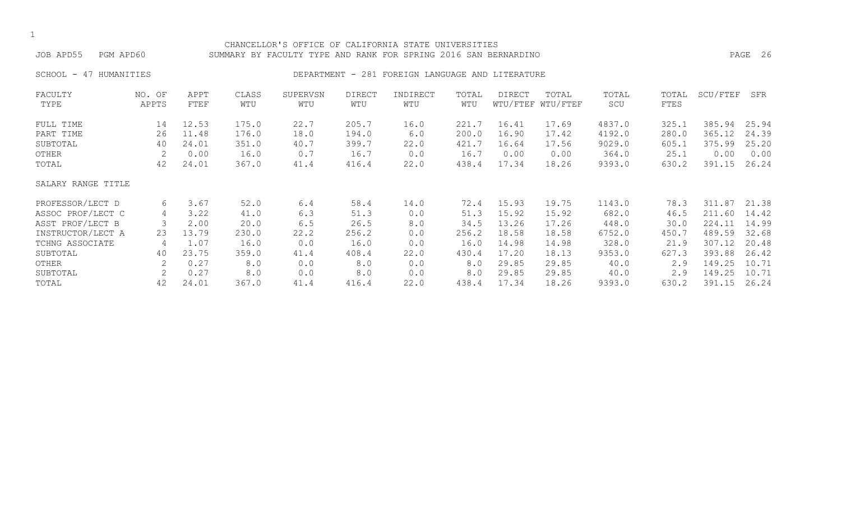| ۰.  |
|-----|
| . . |

#### SCHOOL - 47 HUMANITIES **DEPARTMENT - 281 FOREIGN LANGUAGE AND LITERATURE**

| FACULTY            | NO. OF | APPT  | CLASS | SUPERVSN | DIRECT | INDIRECT | TOTAL | DIRECT | TOTAL             | TOTAL  | TOTAL | SCU/FTEF | SFR   |
|--------------------|--------|-------|-------|----------|--------|----------|-------|--------|-------------------|--------|-------|----------|-------|
| TYPE               | APPTS  | FTEF  | WTU   | WTU      | WTU    | WTU      | WTU   |        | WTU/FTEF WTU/FTEF | SCU    | FTES  |          |       |
| FULL TIME          | 14     | 12.53 | 175.0 | 22.7     | 205.7  | 16.0     | 221.7 | 16.41  | 17.69             | 4837.0 | 325.1 | 385.94   | 25.94 |
| PART TIME          | 26     | 11.48 | 176.0 | 18.0     | 194.0  | 6.0      | 200.0 | 16.90  | 17.42             | 4192.0 | 280.0 | 365.12   | 24.39 |
| SUBTOTAL           | 40     | 24.01 | 351.0 | 40.7     | 399.7  | 22.0     | 421.7 | 16.64  | 17.56             | 9029.0 | 605.1 | 375.99   | 25.20 |
| OTHER              | 2      | 0.00  | 16.0  | 0.7      | 16.7   | 0.0      | 16.7  | 0.00   | 0.00              | 364.0  | 25.1  | 0.00     | 0.00  |
| TOTAL              | 42     | 24.01 | 367.0 | 41.4     | 416.4  | 22.0     | 438.4 | 17.34  | 18.26             | 9393.0 | 630.2 | 391.15   | 26.24 |
| SALARY RANGE TITLE |        |       |       |          |        |          |       |        |                   |        |       |          |       |
| PROFESSOR/LECT D   | 6      | 3.67  | 52.0  | 6.4      | 58.4   | 14.0     | 72.4  | 15.93  | 19.75             | 1143.0 | 78.3  | 311.87   | 21.38 |
| ASSOC PROF/LECT C  | 4      | 3.22  | 41.0  | 6.3      | 51.3   | 0.0      | 51.3  | 15.92  | 15.92             | 682.0  | 46.5  | 211.60   | 14.42 |
| ASST PROF/LECT B   | 3      | 2.00  | 20.0  | 6.5      | 26.5   | 8.0      | 34.5  | 13.26  | 17.26             | 448.0  | 30.0  | 224.11   | 14.99 |
| INSTRUCTOR/LECT A  | 23     | 13.79 | 230.0 | 22.2     | 256.2  | 0.0      | 256.2 | 18.58  | 18.58             | 6752.0 | 450.7 | 489.59   | 32.68 |
| TCHNG ASSOCIATE    | 4      | 1.07  | 16.0  | 0.0      | 16.0   | 0.0      | 16.0  | 14.98  | 14.98             | 328.0  | 21.9  | 307.12   | 20.48 |
| SUBTOTAL           | 40     | 23.75 | 359.0 | 41.4     | 408.4  | 22.0     | 430.4 | 17.20  | 18.13             | 9353.0 | 627.3 | 393.88   | 26.42 |
| OTHER              | 2      | 0.27  | 8.0   | 0.0      | 8.0    | 0.0      | 8.0   | 29.85  | 29.85             | 40.0   | 2.9   | 149.25   | 10.71 |
| SUBTOTAL           | 2      | 0.27  | 8.0   | 0.0      | 8.0    | 0.0      | 8.0   | 29.85  | 29.85             | 40.0   | 2.9   | 149.25   | 10.71 |
| TOTAL              | 42     | 24.01 | 367.0 | 41.4     | 416.4  | 22.0     | 438.4 | 17.34  | 18.26             | 9393.0 | 630.2 | 391.15   | 26.24 |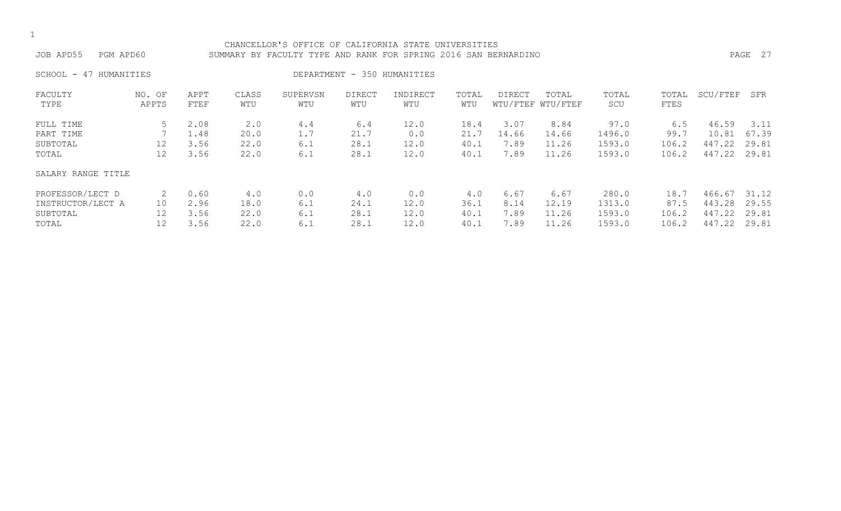| ۰. |
|----|
|    |

SCHOOL - 47 HUMANITIES DEPARTMENT - 350 HUMANITIES

| FACULTY            | NO. OF | APPT | CLASS       | SUPERVSN | <b>DIRECT</b> | INDIRECT | TOTAL | <b>DIRECT</b> | TOTAL             | TOTAL  | TOTAL | SCU/FTEF | SFR   |
|--------------------|--------|------|-------------|----------|---------------|----------|-------|---------------|-------------------|--------|-------|----------|-------|
| TYPE               | APPTS  | FTEF | WTU         | WTU      | WTU           | WTU      | WTU   |               | WTU/FTEF WTU/FTEF | SCU    | FTES  |          |       |
| FULL TIME          | 5      | 2.08 | $2 \cdot 0$ | 4.4      | 6.4           | 12.0     | 18.4  | 3.07          | 8.84              | 97.0   | 6.5   | 46.59    | 3.11  |
| PART TIME          |        | 1.48 | 20.0        | 1.7      | 21.7          | 0.0      | 21.7  | 14.66         | 14.66             | 1496.0 | 99.7  | 10.81    | 67.39 |
| SUBTOTAL           | 12     | 3.56 | 22.0        | 6.1      | 28.1          | 12.0     | 40.1  | 7.89          | 11.26             | 1593.0 | 106.2 | 447.22   | 29.81 |
| TOTAL              | 12     | 3.56 | 22.0        | 6.1      | 28.1          | 12.0     | 40.1  | 7.89          | 11.26             | 1593.0 | 106.2 | 447.22   | 29.81 |
| SALARY RANGE TITLE |        |      |             |          |               |          |       |               |                   |        |       |          |       |
| PROFESSOR/LECT D   |        | 0.60 | 4.0         | 0.0      | 4.0           | 0.0      | 4.0   | 6.67          | 6.67              | 280.0  | 18.7  | 466.67   | 31.12 |
| INSTRUCTOR/LECT A  | 10     | 2.96 | 18.0        | 6.1      | 24.1          | 12.0     | 36.1  | 8.14          | 12.19             | 1313.0 | 87.5  | 443.28   | 29.55 |
| SUBTOTAL           | 12     | 3.56 | 22.0        | 6.1      | 28.1          | 12.0     | 40.1  | 7.89          | 11.26             | 1593.0 | 106.2 | 447.22   | 29.81 |
| TOTAL              | 12     | 3.56 | 22.0        | 6.1      | 28.1          | 12.0     | 40.1  | 7.89          | 11.26             | 1593.0 | 106.2 | 447.22   | 29.81 |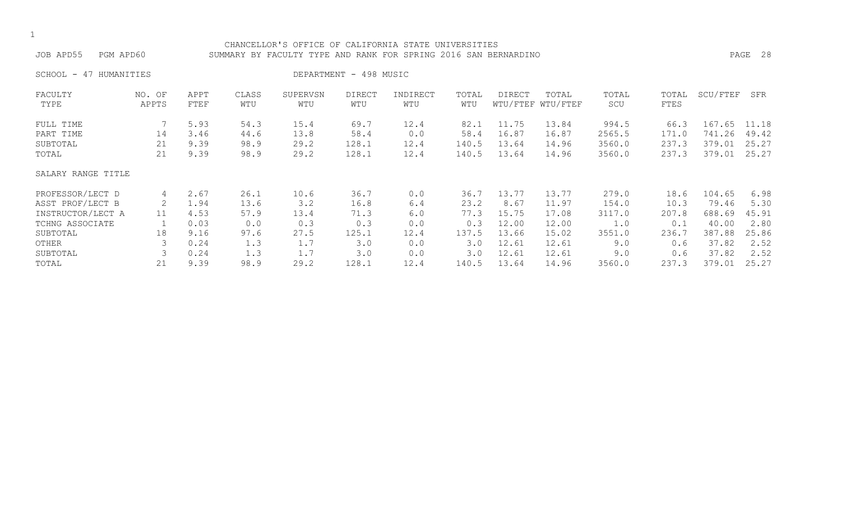| ۰.  |
|-----|
| . . |

SCHOOL - 47 HUMANITIES **DEPARTMENT - 498 MUSIC** 

| FACULTY            | NO. OF | APPT | CLASS | SUPERVSN    | <b>DIRECT</b> | INDIRECT | TOTAL | DIRECT | TOTAL             | TOTAL  | TOTAL | SCU/FTEF | SFR   |
|--------------------|--------|------|-------|-------------|---------------|----------|-------|--------|-------------------|--------|-------|----------|-------|
| TYPE               | APPTS  | FTEF | WTU   | WTU         | WTU           | WTU      | WTU   |        | WTU/FTEF WTU/FTEF | SCU    | FTES  |          |       |
| FULL TIME          |        | 5.93 | 54.3  | 15.4        | 69.7          | 12.4     | 82.1  | 11.75  | 13.84             | 994.5  | 66.3  | 167.65   | 11.18 |
| PART TIME          | 14     | 3.46 | 44.6  | 13.8        | 58.4          | 0.0      | 58.4  | 16.87  | 16.87             | 2565.5 | 171.0 | 741.26   | 49.42 |
| SUBTOTAL           | 21     | 9.39 | 98.9  | 29.2        | 128.1         | 12.4     | 140.5 | 13.64  | 14.96             | 3560.0 | 237.3 | 379.01   | 25.27 |
| TOTAL              | 21     | 9.39 | 98.9  | 29.2        | 128.1         | 12.4     | 140.5 | 13.64  | 14.96             | 3560.0 | 237.3 | 379.01   | 25.27 |
| SALARY RANGE TITLE |        |      |       |             |               |          |       |        |                   |        |       |          |       |
| PROFESSOR/LECT D   | 4      | 2.67 | 26.1  | 10.6        | 36.7          | 0.0      | 36.7  | 13.77  | 13.77             | 279.0  | 18.6  | 104.65   | 6.98  |
| ASST PROF/LECT B   |        | 1.94 | 13.6  | $3 \cdot 2$ | 16.8          | 6.4      | 23.2  | 8.67   | 11.97             | 154.0  | 10.3  | 79.46    | 5.30  |
| INSTRUCTOR/LECT A  | 11     | 4.53 | 57.9  | 13.4        | 71.3          | 6.0      | 77.3  | 15.75  | 17.08             | 3117.0 | 207.8 | 688.69   | 45.91 |
| TCHNG ASSOCIATE    |        | 0.03 | 0.0   | 0.3         | 0.3           | 0.0      | 0.3   | 12.00  | 12.00             | 1.0    | 0.1   | 40.00    | 2.80  |
| SUBTOTAL           | 18     | 9.16 | 97.6  | 27.5        | 125.1         | 12.4     | 137.5 | 13.66  | 15.02             | 3551.0 | 236.7 | 387.88   | 25.86 |
| OTHER              | 3      | 0.24 | 1.3   | 1.7         | 3.0           | 0.0      | 3.0   | 12.61  | 12.61             | 9.0    | 0.6   | 37.82    | 2.52  |
| SUBTOTAL           | 3      | 0.24 | 1.3   | 1.7         | 3.0           | 0.0      | 3.0   | 12.61  | 12.61             | 9.0    | 0.6   | 37.82    | 2.52  |
| TOTAL              | 21     | 9.39 | 98.9  | 29.2        | 128.1         | 12.4     | 140.5 | 13.64  | 14.96             | 3560.0 | 237.3 | 379.01   | 25.27 |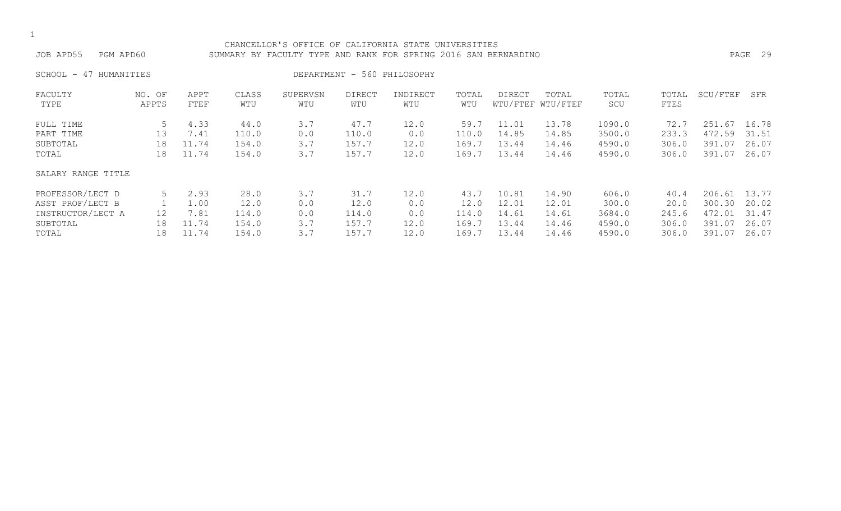| CHANCELLOR'S OFFICE OF CALIFORNIA STATE UNIVERSITIES<br>SUMMARY BY FACULTY TYPE AND RANK FOR SPRING 2016 SAN BERNARDINO<br>JOB APD55<br>PGM APD60 |                 |              |              |                 |               |                             |              |               |                            |              |               |          | 29<br>PAGE |
|---------------------------------------------------------------------------------------------------------------------------------------------------|-----------------|--------------|--------------|-----------------|---------------|-----------------------------|--------------|---------------|----------------------------|--------------|---------------|----------|------------|
| SCHOOL -<br>47                                                                                                                                    | HUMANITIES      |              |              |                 |               | DEPARTMENT - 560 PHILOSOPHY |              |               |                            |              |               |          |            |
| FACULTY<br>TYPE                                                                                                                                   | NO. OF<br>APPTS | APPT<br>FTEF | CLASS<br>WTU | SUPERVSN<br>WTU | DIRECT<br>WTU | INDIRECT<br>WTU             | TOTAL<br>WTU | <b>DIRECT</b> | TOTAL<br>WTU/FTEF WTU/FTEF | TOTAL<br>SCU | TOTAL<br>FTES | SCU/FTEF | SFR        |
| FULL TIME                                                                                                                                         | 5               | 4.33         | 44.0         | 3.7             | 47.7          | 12.0                        | 59.7         | 11.01         | 13.78                      | 1090.0       | 72.7          | 251.67   | 16.78      |
| PART TIME                                                                                                                                         | 13              | 7.41         | 110.0        | 0.0             | 110.0         | 0.0                         | 110.0        | 14.85         | 14.85                      | 3500.0       | 233.3         | 472.59   | 31.51      |
| SUBTOTAL                                                                                                                                          | 18              | 11.74        | 154.0        | 3.7             | 157.7         | 12.0                        | 169.7        | 13.44         | 14.46                      | 4590.0       | 306.0         | 391.07   | 26.07      |
| TOTAL                                                                                                                                             | 18              | 11.74        | 154.0        | 3.7             | 157.7         | 12.0                        | 169.7        | 13.44         | 14.46                      | 4590.0       | 306.0         | 391.07   | 26.07      |
| SALARY RANGE TITLE                                                                                                                                |                 |              |              |                 |               |                             |              |               |                            |              |               |          |            |
| PROFESSOR/LECT D                                                                                                                                  | 5               | 2.93         | 28.0         | 3.7             | 31.7          | 12.0                        | 43.7         | 10.81         | 14.90                      | 606.0        | 40.4          | 206.61   | 13.77      |
| ASST PROF/LECT B                                                                                                                                  |                 | 1.00         | 12.0         | 0.0             | 12.0          | 0.0                         | 12.0         | 12.01         | 12.01                      | 300.0        | 20.0          | 300.30   | 20.02      |
| INSTRUCTOR/LECT A                                                                                                                                 | 12              | 7.81         | 114.0        | 0.0             | 114.0         | 0.0                         | 114.0        | 14.61         | 14.61                      | 3684.0       | 245.6         | 472.01   | 31.47      |
| SUBTOTAL                                                                                                                                          | 18              | 11.74        | 154.0        | 3.7             | 157.7         | 12.0                        | 169.7        | 13.44         | 14.46                      | 4590.0       | 306.0         | 391.07   | 26.07      |
| TOTAL                                                                                                                                             | 18              | 11.74        | 154.0        | 3.7             | 157.7         | 12.0                        | 169.7        | 13.44         | 14.46                      | 4590.0       | 306.0         | 391.07   | 26.07      |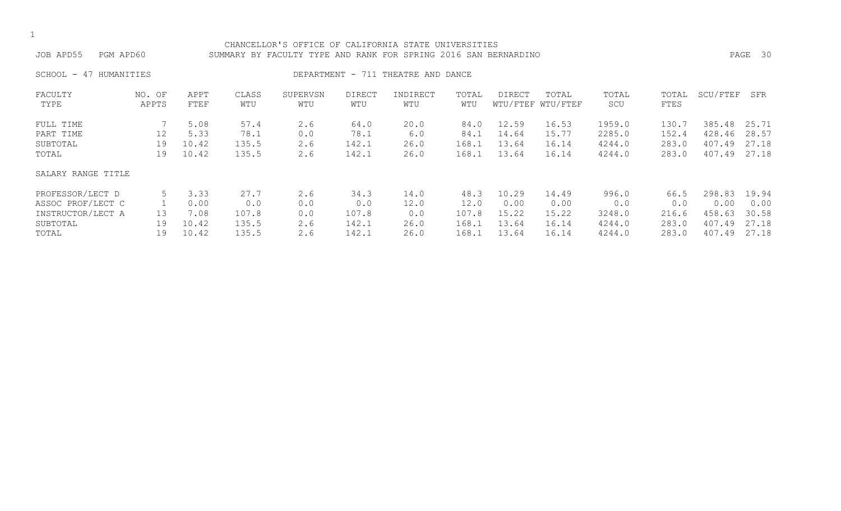| JOB APD55              | CHANCELLOR'S OFFICE OF CALIFORNIA STATE UNIVERSITIES<br>PGM APD60<br>SUMMARY BY FACULTY TYPE AND RANK FOR SPRING 2016 SAN BERNARDINO |              |              |                 |                      |                                    |              |               |                            |              |               |              | PAGE 30 |
|------------------------|--------------------------------------------------------------------------------------------------------------------------------------|--------------|--------------|-----------------|----------------------|------------------------------------|--------------|---------------|----------------------------|--------------|---------------|--------------|---------|
| SCHOOL - 47 HUMANITIES |                                                                                                                                      |              |              |                 |                      | DEPARTMENT - 711 THEATRE AND DANCE |              |               |                            |              |               |              |         |
| FACULTY<br>TYPE        | NO. OF<br>APPTS                                                                                                                      | APPT<br>FTEF | CLASS<br>WTU | SUPERVSN<br>WTU | <b>DIRECT</b><br>WTU | INDIRECT<br>WTU                    | TOTAL<br>WTU | <b>DIRECT</b> | TOTAL<br>WTU/FTEF WTU/FTEF | TOTAL<br>SCU | TOTAL<br>FTES | SCU/FTEF     | SFR     |
| FULL TIME              |                                                                                                                                      | 5.08         | 57.4         | 2.6             | 64.0                 | 20.0                               | 84.0         | 12.59         | 16.53                      | 1959.0       | 130.7         | 385.48 25.71 |         |
| PART TIME              | 12                                                                                                                                   | 5.33         | 78.1         | 0.0             | 78.1                 | 6.0                                | 84.1         | 14.64         | 15.77                      | 2285.0       | 152.4         | 428.46       | 28.57   |
| SUBTOTAL               | 19                                                                                                                                   | 10.42        | 135.5        | 2.6             | 142.1                | 26.0                               | 168.1        | 13.64         | 16.14                      | 4244.0       | 283.0         | 407.49       | 27.18   |
| TOTAL                  | 19                                                                                                                                   | 10.42        | 135.5        | 2.6             | 142.1                | 26.0                               | 168.1        | 13.64         | 16.14                      | 4244.0       | 283.0         | 407.49       | 27.18   |

| PROFESSOR/LECT D  |   | 3.33  | 27.7  | 2.6 | 34.3  | ⊥4.0 | 48.3  | 10.29 | 14.49 | 996.0  | 66.5  | 298.83 | 19.94 |
|-------------------|---|-------|-------|-----|-------|------|-------|-------|-------|--------|-------|--------|-------|
| ASSOC PROF/LECT C |   | 0.00  |       | 0.0 |       | 12.0 | 12.0  | 0.00  | 0.00  |        |       | 0.00   | 0.00  |
| INSTRUCTOR/LECT A |   | 7.08  | 107.8 |     | 107.8 | 0.0  | 107.8 | 15 22 | 15.22 | 3248.0 | 216.6 | 458.63 | 30.58 |
| SUBTOTAL          | Q | 10.42 | 135.5 | 2.6 | 142.1 | 26.0 | 168.1 | 13.64 | 16.14 | 4244.0 | 283.0 | 407.49 | 27.18 |
| TOTAL             |   | 10.42 | .35.5 | 2.6 | 142.1 | 26.0 | 168.1 | 13.64 | 16.14 | 4244.0 | 283.0 | 407.49 | 27.18 |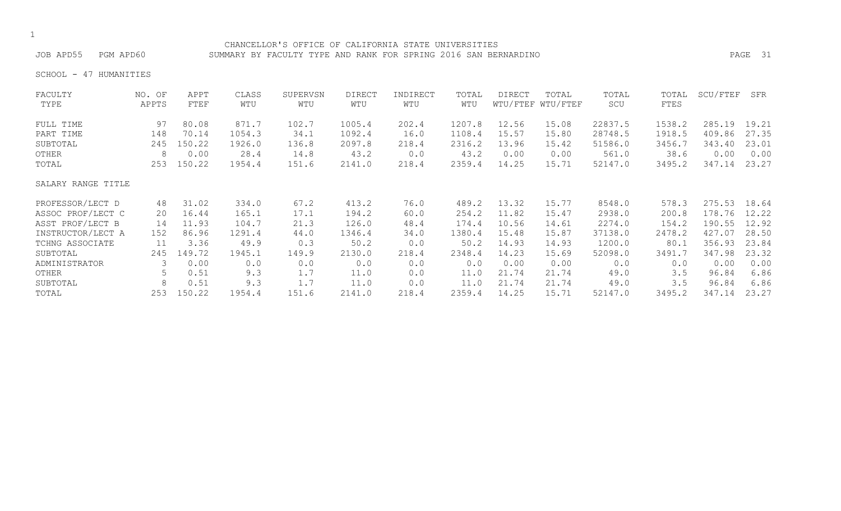### CHANCELLOR'S OFFICE OF CALIFORNIA STATE UNIVERSITIES JOB APD55 PGM APD60 SUMMARY BY FACULTY TYPE AND RANK FOR SPRING 2016 SAN BERNARDINO PAGE 31

SCHOOL - 47 HUMANITIES

| FACULTY            | NO. OF | APPT   | CLASS  | SUPERVSN | <b>DIRECT</b> | INDIRECT | TOTAL  | <b>DIRECT</b> | TOTAL             | TOTAL   | TOTAL  | SCU/FTEF | SFR   |
|--------------------|--------|--------|--------|----------|---------------|----------|--------|---------------|-------------------|---------|--------|----------|-------|
| TYPE               | APPTS  | FTEF   | WTU    | WTU      | WTU           | WTU      | WTU    |               | WTU/FTEF WTU/FTEF | SCU     | FTES   |          |       |
| FULL TIME          | 97     | 80.08  | 871.7  | 102.7    | 1005.4        | 202.4    | 1207.8 | 12.56         | 15.08             | 22837.5 | 1538.2 | 285.19   | 19.21 |
| PART TIME          | 148    | 70.14  | 1054.3 | 34.1     | 1092.4        | 16.0     | 1108.4 | 15.57         | 15.80             | 28748.5 | 1918.5 | 409.86   | 27.35 |
| SUBTOTAL           | 245    | 150.22 | 1926.0 | 136.8    | 2097.8        | 218.4    | 2316.2 | 13.96         | 15.42             | 51586.0 | 3456.7 | 343.40   | 23.01 |
| OTHER              | 8      | 0.00   | 28.4   | 14.8     | 43.2          | 0.0      | 43.2   | 0.00          | 0.00              | 561.0   | 38.6   | 0.00     | 0.00  |
| TOTAL              | 253    | 150.22 | 1954.4 | 151.6    | 2141.0        | 218.4    | 2359.4 | 14.25         | 15.71             | 52147.0 | 3495.2 | 347.14   | 23.27 |
| SALARY RANGE TITLE |        |        |        |          |               |          |        |               |                   |         |        |          |       |
| PROFESSOR/LECT D   | 48     | 31.02  | 334.0  | 67.2     | 413.2         | 76.0     | 489.2  | 13.32         | 15.77             | 8548.0  | 578.3  | 275.53   | 18.64 |
| ASSOC PROF/LECT C  | 20     | 16.44  | 165.1  | 17.1     | 194.2         | 60.0     | 254.2  | 11.82         | 15.47             | 2938.0  | 200.8  | 178.76   | 12.22 |
| ASST PROF/LECT B   | 14     | 11.93  | 104.7  | 21.3     | 126.0         | 48.4     | 174.4  | 10.56         | 14.61             | 2274.0  | 154.2  | 190.55   | 12.92 |
| INSTRUCTOR/LECT A  | 152    | 86.96  | 1291.4 | 44.0     | 1346.4        | 34.0     | 1380.4 | 15.48         | 15.87             | 37138.0 | 2478.2 | 427.07   | 28.50 |
| TCHNG ASSOCIATE    | 11     | 3.36   | 49.9   | 0.3      | 50.2          | 0.0      | 50.2   | 14.93         | 14.93             | 1200.0  | 80.1   | 356.93   | 23.84 |
| SUBTOTAL           | 245    | 149.72 | 1945.1 | 149.9    | 2130.0        | 218.4    | 2348.4 | 14.23         | 15.69             | 52098.0 | 3491.7 | 347.98   | 23.32 |
| ADMINISTRATOR      | 3      | 0.00   | 0.0    | 0.0      | 0.0           | 0.0      | 0.0    | 0.00          | 0.00              | 0.0     | 0.0    | 0.00     | 0.00  |
| OTHER              | 5.     | 0.51   | 9.3    | 1.7      | 11.0          | 0.0      | 11.0   | 21.74         | 21.74             | 49.0    | 3.5    | 96.84    | 6.86  |
| SUBTOTAL           | 8      | 0.51   | 9.3    | 1.7      | 11.0          | 0.0      | 11.0   | 21.74         | 21.74             | 49.0    | 3.5    | 96.84    | 6.86  |
| TOTAL              | 253    | 150.22 | 1954.4 | 151.6    | 2141.0        | 218.4    | 2359.4 | 14.25         | 15.71             | 52147.0 | 3495.2 | 347.14   | 23.27 |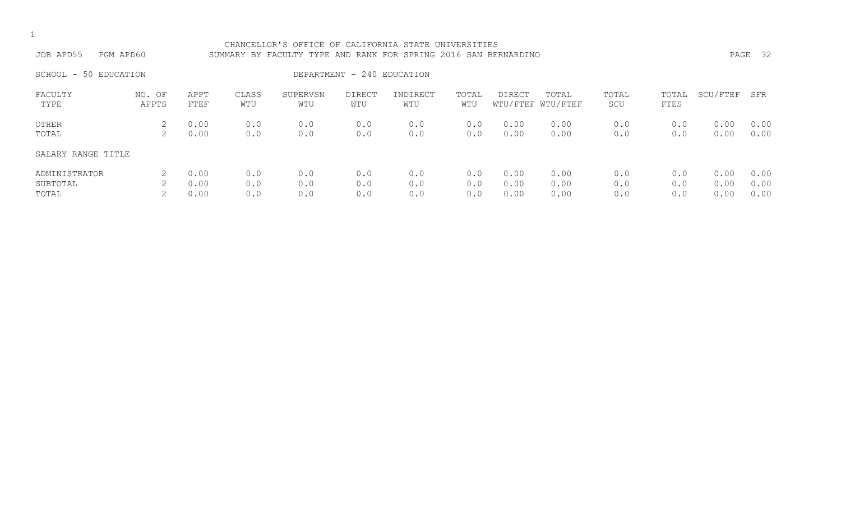| CHANCELLOR'S OFFICE OF CALIFORNIA STATE UNIVERSITIES<br>PGM APD60<br>JOB APD55<br>SUMMARY BY FACULTY TYPE AND RANK FOR SPRING 2016 SAN BERNARDINO<br>DEPARTMENT - 240 EDUCATION |                 |                      |                   |                   |                      |                   |                   |                      |                            |                   |                   |                      | PAGE 32              |
|---------------------------------------------------------------------------------------------------------------------------------------------------------------------------------|-----------------|----------------------|-------------------|-------------------|----------------------|-------------------|-------------------|----------------------|----------------------------|-------------------|-------------------|----------------------|----------------------|
| SCHOOL - 50 EDUCATION                                                                                                                                                           |                 |                      |                   |                   |                      |                   |                   |                      |                            |                   |                   |                      |                      |
| FACULTY<br>TYPE                                                                                                                                                                 | NO. OF<br>APPTS | APPT<br>FTEF         | CLASS<br>WTU      | SUPERVSN<br>WTU   | <b>DIRECT</b><br>WTU | INDIRECT<br>WTU   | TOTAL<br>WTU      | DIRECT               | TOTAL<br>WTU/FTEF WTU/FTEF | TOTAL<br>SCU      | TOTAL<br>FTES     | SCU/FTEF             | SFR                  |
| OTHER<br>TOTAL                                                                                                                                                                  | 2               | 0.00<br>0.00         | 0.0<br>0.0        | 0.0<br>0.0        | 0.0<br>0.0           | 0.0<br>0.0        | 0.0<br>0.0        | 0.00<br>0.00         | 0.00<br>0.00               | 0.0<br>0.0        | 0.0<br>0.0        | 0.00<br>0.00         | 0.00<br>0.00         |
| SALARY RANGE TITLE                                                                                                                                                              |                 |                      |                   |                   |                      |                   |                   |                      |                            |                   |                   |                      |                      |
| ADMINISTRATOR<br>SUBTOTAL<br>TOTAL                                                                                                                                              |                 | 0.00<br>0.00<br>0.00 | 0.0<br>0.0<br>0.0 | 0.0<br>0.0<br>0.0 | 0.0<br>0.0<br>0.0    | 0.0<br>0.0<br>0.0 | 0.0<br>0.0<br>0.0 | 0.00<br>0.00<br>0.00 | 0.00<br>0.00<br>0.00       | 0.0<br>0.0<br>0.0 | 0.0<br>0.0<br>0.0 | 0.00<br>0.00<br>0.00 | 0.00<br>0.00<br>0.00 |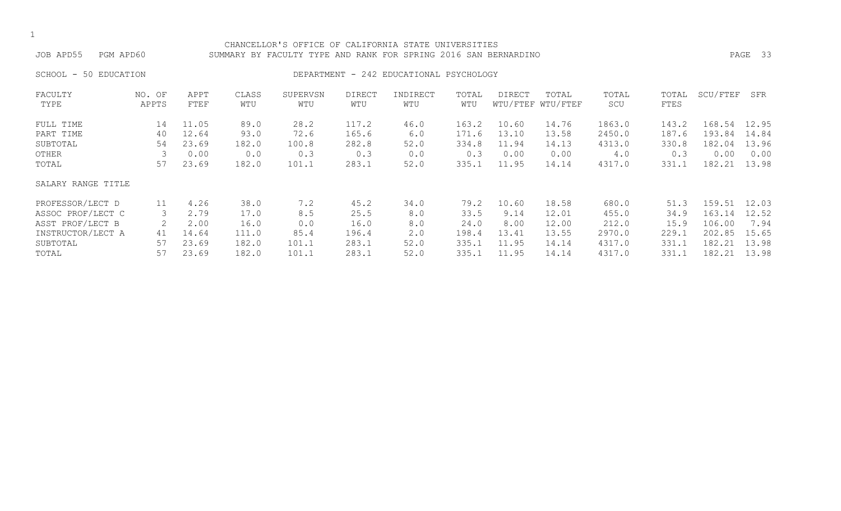#### CHANCELLOR'S OFFICE OF CALIFORNIA STATE UNIVERSITIES JOB APD55 PGM APD60 SUMMARY BY FACULTY TYPE AND RANK FOR SPRING 2016 SAN BERNARDINO PAGE 33

# SCHOOL - 50 EDUCATION **DEPARTMENT - 242 EDUCATIONAL PSYCHOLOGY**

| FACULTY            | NO. OF | APPT  | CLASS | SUPERVSN | <b>DIRECT</b> | INDIRECT | TOTAL | DIRECT | TOTAL             | TOTAL  | TOTAL | SCU/FTEF | SFR   |
|--------------------|--------|-------|-------|----------|---------------|----------|-------|--------|-------------------|--------|-------|----------|-------|
| TYPE               | APPTS  | FTEF  | WTU   | WTU      | WTU           | WTU      | WTU   |        | WTU/FTEF WTU/FTEF | SCU    | FTES  |          |       |
| FULL TIME          | 14     | 11.05 | 89.0  | 28.2     | 117.2         | 46.0     | 163.2 | 10.60  | 14.76             | 1863.0 | 143.2 | 168.54   | 12.95 |
| PART TIME          | 40     | 12.64 | 93.0  | 72.6     | 165.6         | 6.0      | 171.6 | 13.10  | 13.58             | 2450.0 | 187.6 | 193.84   | 14.84 |
| SUBTOTAL           | 54     | 23.69 | 182.0 | 100.8    | 282.8         | 52.0     | 334.8 | 11.94  | 14.13             | 4313.0 | 330.8 | 182.04   | 13.96 |
| OTHER              |        | 0.00  | 0.0   | 0.3      | 0.3           | 0.0      | 0.3   | 0.00   | 0.00              | 4.0    | 0.3   | 0.00     | 0.00  |
| TOTAL              | 57     | 23.69 | 182.0 | 101.1    | 283.1         | 52.0     | 335.1 | 11.95  | 14.14             | 4317.0 | 331.1 | 182.21   | 13.98 |
| SALARY RANGE TITLE |        |       |       |          |               |          |       |        |                   |        |       |          |       |
| PROFESSOR/LECT D   | 11     | 4.26  | 38.0  | 7.2      | 45.2          | 34.0     | 79.2  | 10.60  | 18.58             | 680.0  | 51.3  | 159.51   | 12.03 |
| ASSOC PROF/LECT C  | 3      | 2.79  | 17.0  | 8.5      | 25.5          | 8.0      | 33.5  | 9.14   | 12.01             | 455.0  | 34.9  | 163.14   | 12.52 |
| ASST PROF/LECT B   | 2      | 2.00  | 16.0  | 0.0      | 16.0          | 8.0      | 24.0  | 8.00   | 12.00             | 212.0  | 15.9  | 106.00   | 7.94  |
| INSTRUCTOR/LECT A  | 41     | 14.64 | 111.0 | 85.4     | 196.4         | 2.0      | 198.4 | 13.41  | 13.55             | 2970.0 | 229.1 | 202.85   | 15.65 |
| SUBTOTAL           | 57     | 23.69 | 182.0 | 101.1    | 283.1         | 52.0     | 335.1 | 11.95  | 14.14             | 4317.0 | 331.1 | 182.21   | 13.98 |
| TOTAL              | 57     | 23.69 | 182.0 | 101.1    | 283.1         | 52.0     | 335.1 | 11.95  | 14.14             | 4317.0 | 331.1 | 182.21   | 13.98 |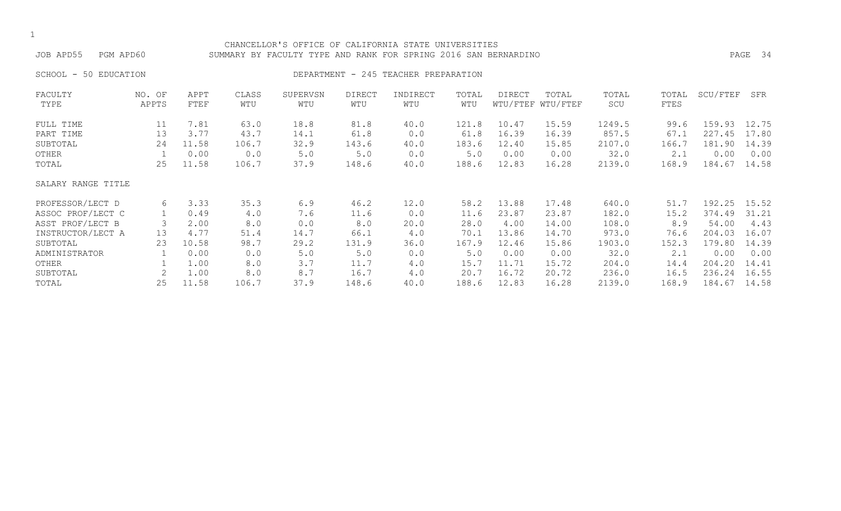SCHOOL - 50 EDUCATION **DEPARTMENT - 245 TEACHER PREPARATION** 

| FACULTY            | NO. OF | APPT  | CLASS | SUPERVSN | DIRECT | INDIRECT | TOTAL | DIRECT | TOTAL             | TOTAL  | TOTAL | SCU/FTEF | SFR   |
|--------------------|--------|-------|-------|----------|--------|----------|-------|--------|-------------------|--------|-------|----------|-------|
| TYPE               | APPTS  | FTEF  | WTU   | WTU      | WTU    | WTU      | WTU   |        | WTU/FTEF WTU/FTEF | SCU    | FTES  |          |       |
| FULL TIME          | 11     | 7.81  | 63.0  | 18.8     | 81.8   | 40.0     | 121.8 | 10.47  | 15.59             | 1249.5 | 99.6  | 159.93   | 12.75 |
| PART TIME          | 13     | 3.77  | 43.7  | 14.1     | 61.8   | 0.0      | 61.8  | 16.39  | 16.39             | 857.5  | 67.1  | 227.45   | 17.80 |
| SUBTOTAL           | 24     | 11.58 | 106.7 | 32.9     | 143.6  | 40.0     | 183.6 | 12.40  | 15.85             | 2107.0 | 166.7 | 181.90   | 14.39 |
| OTHER              |        | 0.00  | 0.0   | $5.0$    | 5.0    | 0.0      | 5.0   | 0.00   | 0.00              | 32.0   | 2.1   | 0.00     | 0.00  |
| TOTAL              | 25     | 11.58 | 106.7 | 37.9     | 148.6  | 40.0     | 188.6 | 12.83  | 16.28             | 2139.0 | 168.9 | 184.67   | 14.58 |
| SALARY RANGE TITLE |        |       |       |          |        |          |       |        |                   |        |       |          |       |
| PROFESSOR/LECT D   | 6      | 3.33  | 35.3  | 6.9      | 46.2   | 12.0     | 58.2  | 13.88  | 17.48             | 640.0  | 51.7  | 192.25   | 15.52 |
| ASSOC PROF/LECT C  |        | 0.49  | 4.0   | 7.6      | 11.6   | 0.0      | 11.6  | 23.87  | 23.87             | 182.0  | 15.2  | 374.49   | 31.21 |
| ASST PROF/LECT B   | 3      | 2.00  | 8.0   | 0.0      | 8.0    | 20.0     | 28.0  | 4.00   | 14.00             | 108.0  | 8.9   | 54.00    | 4.43  |
| INSTRUCTOR/LECT A  | 13     | 4.77  | 51.4  | 14.7     | 66.1   | 4.0      | 70.1  | 13.86  | 14.70             | 973.0  | 76.6  | 204.03   | 16.07 |
| SUBTOTAL           | 23     | 10.58 | 98.7  | 29.2     | 131.9  | 36.0     | 167.9 | 12.46  | 15.86             | 1903.0 | 152.3 | 179.80   | 14.39 |
| ADMINISTRATOR      |        | 0.00  | 0.0   | 5.0      | 5.0    | 0.0      | $5.0$ | 0.00   | 0.00              | 32.0   | 2.1   | 0.00     | 0.00  |
| OTHER              |        | 1.00  | 8.0   | 3.7      | 11.7   | 4.0      | 15.7  | 11.71  | 15.72             | 204.0  | 14.4  | 204.20   | 14.41 |
| SUBTOTAL           |        | 1.00  | 8.0   | 8.7      | 16.7   | 4.0      | 20.7  | 16.72  | 20.72             | 236.0  | 16.5  | 236.24   | 16.55 |
| TOTAL              | 25     | 11.58 | 106.7 | 37.9     | 148.6  | 40.0     | 188.6 | 12.83  | 16.28             | 2139.0 | 168.9 | 184.67   | 14.58 |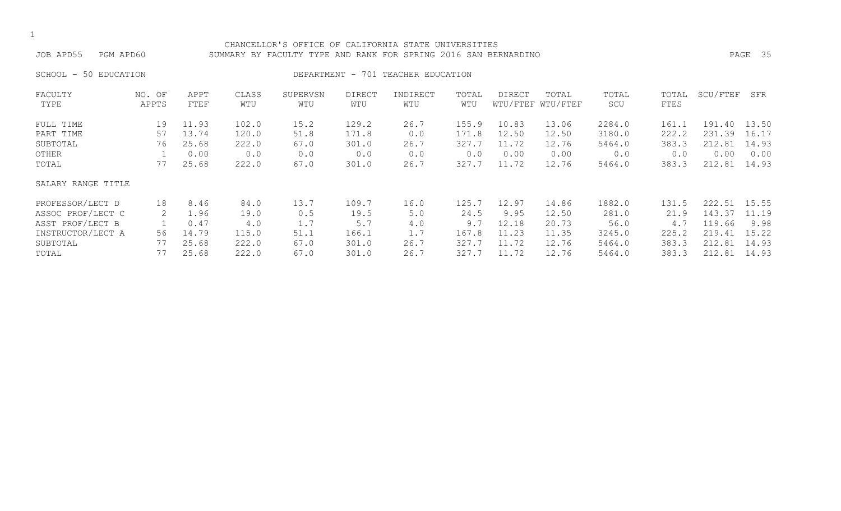#### CHANCELLOR'S OFFICE OF CALIFORNIA STATE UNIVERSITIES JOB APD55 PGM APD60 SUMMARY BY FACULTY TYPE AND RANK FOR SPRING 2016 SAN BERNARDINO PAGE 35

SCHOOL - 50 EDUCATION **DEPARTMENT - 701 TEACHER EDUCATION** 

| FACULTY            | NO. OF | APPT  | CLASS | SUPERVSN | <b>DIRECT</b> | INDIRECT | TOTAL | DIRECT | TOTAL             | TOTAL  | TOTAL | SCU/FTEF | SFR   |
|--------------------|--------|-------|-------|----------|---------------|----------|-------|--------|-------------------|--------|-------|----------|-------|
| TYPE               | APPTS  | FTEF  | WTU   | WTU      | WTU           | WTU      | WTU   |        | WTU/FTEF WTU/FTEF | SCU    | FTES  |          |       |
| FULL TIME          | 19     | 11.93 | 102.0 | 15.2     | 129.2         | 26.7     | 155.9 | 10.83  | 13.06             | 2284.0 | 161.1 | 191.40   | 13.50 |
| PART TIME          | 57     | 13.74 | 120.0 | 51.8     | 171.8         | 0.0      | 171.8 | 12.50  | 12.50             | 3180.0 | 222.2 | 231.39   | 16.17 |
| SUBTOTAL           | 76     | 25.68 | 222.0 | 67.0     | 301.0         | 26.7     | 327.7 | 11.72  | 12.76             | 5464.0 | 383.3 | 212.81   | 14.93 |
| OTHER              |        | 0.00  | 0.0   | 0.0      | 0.0           | 0.0      | 0.0   | 0.00   | 0.00              | 0.0    | 0.0   | 0.00     | 0.00  |
| TOTAL              | 77     | 25.68 | 222.0 | 67.0     | 301.0         | 26.7     | 327.7 | 11.72  | 12.76             | 5464.0 | 383.3 | 212.81   | 14.93 |
| SALARY RANGE TITLE |        |       |       |          |               |          |       |        |                   |        |       |          |       |
| PROFESSOR/LECT D   | 18     | 8.46  | 84.0  | 13.7     | 109.7         | 16.0     | 125.7 | 12.97  | 14.86             | 1882.0 | 131.5 | 222.51   | 15.55 |
| ASSOC PROF/LECT C  |        | 1.96  | 19.0  | 0.5      | 19.5          | 5.0      | 24.5  | 9.95   | 12.50             | 281.0  | 21.9  | 143.37   | 11.19 |
| ASST PROF/LECT B   |        | 0.47  | 4.0   | 1.7      | 5.7           | 4.0      | 9.7   | 12.18  | 20.73             | 56.0   | 4.7   | 119.66   | 9.98  |
| INSTRUCTOR/LECT A  | 56     | 14.79 | 115.0 | 51.1     | 166.1         | 1.7      | 167.8 | 11.23  | 11.35             | 3245.0 | 225.2 | 219.41   | 15.22 |
| SUBTOTAL           | 77     | 25.68 | 222.0 | 67.0     | 301.0         | 26.7     | 327.7 | 11.72  | 12.76             | 5464.0 | 383.3 | 212.81   | 14.93 |
| TOTAL              |        | 25.68 | 222.0 | 67.0     | 301.0         | 26.7     | 327.7 | 11.72  | 12.76             | 5464.0 | 383.3 | 212.81   | 14.93 |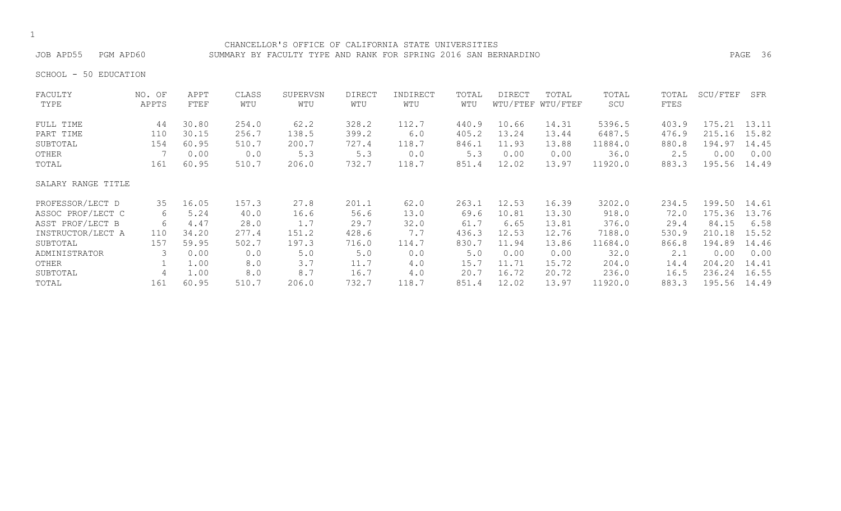CHANCELLOR'S OFFICE OF CALIFORNIA STATE UNIVERSITIES JOB APD55 PGM APD60 SUMMARY BY FACULTY TYPE AND RANK FOR SPRING 2016 SAN BERNARDINO PAGE 36

SCHOOL - 50 EDUCATION

| FACULTY            | NO. OF | APPT  | CLASS | SUPERVSN | <b>DIRECT</b> | INDIRECT | TOTAL | <b>DIRECT</b> | TOTAL             | TOTAL   | TOTAL | SCU/FTEF | SFR   |
|--------------------|--------|-------|-------|----------|---------------|----------|-------|---------------|-------------------|---------|-------|----------|-------|
| TYPE               | APPTS  | FTEF  | WTU   | WTU      | WTU           | WTU      | WTU   |               | WTU/FTEF WTU/FTEF | SCU     | FTES  |          |       |
| FULL TIME          | 44     | 30.80 | 254.0 | 62.2     | 328.2         | 112.7    | 440.9 | 10.66         | 14.31             | 5396.5  | 403.9 | 175.21   | 13.11 |
| PART TIME          | 110    | 30.15 | 256.7 | 138.5    | 399.2         | 6.0      | 405.2 | 13.24         | 13.44             | 6487.5  | 476.9 | 215.16   | 15.82 |
| SUBTOTAL           | 154    | 60.95 | 510.7 | 200.7    | 727.4         | 118.7    | 846.1 | 11.93         | 13.88             | 11884.0 | 880.8 | 194.97   | 14.45 |
| OTHER              |        | 0.00  | 0.0   | 5.3      | 5.3           | 0.0      | 5.3   | 0.00          | 0.00              | 36.0    | 2.5   | 0.00     | 0.00  |
| TOTAL              | 161    | 60.95 | 510.7 | 206.0    | 732.7         | 118.7    | 851.4 | 12.02         | 13.97             | 11920.0 | 883.3 | 195.56   | 14.49 |
| SALARY RANGE TITLE |        |       |       |          |               |          |       |               |                   |         |       |          |       |
| PROFESSOR/LECT D   | 35     | 16.05 | 157.3 | 27.8     | 201.1         | 62.0     | 263.1 | 12.53         | 16.39             | 3202.0  | 234.5 | 199.50   | 14.61 |
| ASSOC PROF/LECT C  | 6      | 5.24  | 40.0  | 16.6     | 56.6          | 13.0     | 69.6  | 10.81         | 13.30             | 918.0   | 72.0  | 175.36   | 13.76 |
| ASST PROF/LECT B   | 6      | 4.47  | 28.0  | 1.7      | 29.7          | 32.0     | 61.7  | 6.65          | 13.81             | 376.0   | 29.4  | 84.15    | 6.58  |
| INSTRUCTOR/LECT A  | 110    | 34.20 | 277.4 | 151.2    | 428.6         | 7.7      | 436.3 | 12.53         | 12.76             | 7188.0  | 530.9 | 210.18   | 15.52 |
| SUBTOTAL           | 157    | 59.95 | 502.7 | 197.3    | 716.0         | 114.7    | 830.7 | 11.94         | 13.86             | 11684.0 | 866.8 | 194.89   | 14.46 |
| ADMINISTRATOR      | 3      | 0.00  | 0.0   | 5.0      | 5.0           | 0.0      | 5.0   | 0.00          | 0.00              | 32.0    | 2.1   | 0.00     | 0.00  |
| OTHER              |        | 1.00  | 8.0   | 3.7      | 11.7          | 4.0      | 15.7  | 11.71         | 15.72             | 204.0   | 14.4  | 204.20   | 14.41 |
| SUBTOTAL           | 4      | 1.00  | 8.0   | 8.7      | 16.7          | 4.0      | 20.7  | 16.72         | 20.72             | 236.0   | 16.5  | 236.24   | 16.55 |
| TOTAL              | 161    | 60.95 | 510.7 | 206.0    | 732.7         | 118.7    | 851.4 | 12.02         | 13.97             | 11920.0 | 883.3 | 195.56   | 14.49 |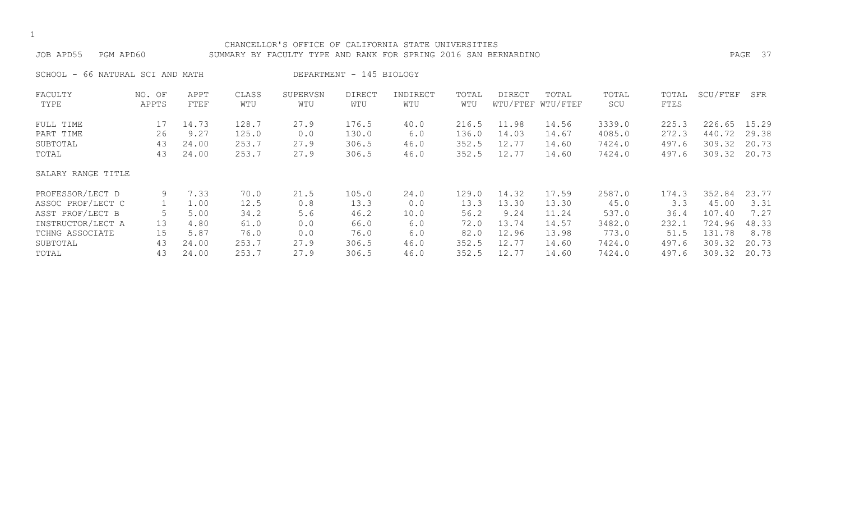#### CHANCELLOR'S OFFICE OF CALIFORNIA STATE UNIVERSITIES JOB APD55 PGM APD60 SUMMARY BY FACULTY TYPE AND RANK FOR SPRING 2016 SAN BERNARDINO PAGE 37

SCHOOL - 66 NATURAL SCI AND MATH DEPARTMENT - 145 BIOLOGY

| FACULTY            | NO. OF | APPT  | CLASS | SUPERVSN | <b>DIRECT</b> | INDIRECT | TOTAL | DIRECT | TOTAL             | TOTAL  | TOTAL | SCU/FTEF | SFR   |
|--------------------|--------|-------|-------|----------|---------------|----------|-------|--------|-------------------|--------|-------|----------|-------|
| TYPE               | APPTS  | FTEF  | WTU   | WTU      | WTU           | WTU      | WTU   |        | WTU/FTEF WTU/FTEF | SCU    | FTES  |          |       |
| FULL TIME          | 17     | 14.73 | 128.7 | 27.9     | 176.5         | 40.0     | 216.5 | 11.98  | 14.56             | 3339.0 | 225.3 | 226.65   | 15.29 |
| PART TIME          | 26     | 9.27  | 125.0 | 0.0      | 130.0         | 6.0      | 136.0 | 14.03  | 14.67             | 4085.0 | 272.3 | 440.72   | 29.38 |
| SUBTOTAL           | 43     | 24.00 | 253.7 | 27.9     | 306.5         | 46.0     | 352.5 | 12.77  | 14.60             | 7424.0 | 497.6 | 309.32   | 20.73 |
| TOTAL              | 43     | 24.00 | 253.7 | 27.9     | 306.5         | 46.0     | 352.5 | 12.77  | 14.60             | 7424.0 | 497.6 | 309.32   | 20.73 |
| SALARY RANGE TITLE |        |       |       |          |               |          |       |        |                   |        |       |          |       |
| PROFESSOR/LECT D   | 9      | 7.33  | 70.0  | 21.5     | 105.0         | 24.0     | 129.0 | 14.32  | 17.59             | 2587.0 | 174.3 | 352.84   | 23.77 |
| ASSOC PROF/LECT C  |        | 1.00  | 12.5  | 0.8      | 13.3          | 0.0      | 13.3  | 13.30  | 13.30             | 45.0   | 3.3   | 45.00    | 3.31  |
| ASST PROF/LECT B   |        | 5.00  | 34.2  | 5.6      | 46.2          | 10.0     | 56.2  | 9.24   | 11.24             | 537.0  | 36.4  | 107.40   | 7.27  |
| INSTRUCTOR/LECT A  | 13     | 4.80  | 61.0  | 0.0      | 66.0          | 6.0      | 72.0  | 13.74  | 14.57             | 3482.0 | 232.1 | 724.96   | 48.33 |
| TCHNG ASSOCIATE    | 15     | 5.87  | 76.0  | 0.0      | 76.0          | 6.0      | 82.0  | 12.96  | 13.98             | 773.0  | 51.5  | 131.78   | 8.78  |
| SUBTOTAL           | 43     | 24.00 | 253.7 | 27.9     | 306.5         | 46.0     | 352.5 | 12.77  | 14.60             | 7424.0 | 497.6 | 309.32   | 20.73 |
| TOTAL              | 43     | 24.00 | 253.7 | 27.9     | 306.5         | 46.0     | 352.5 | 12.77  | 14.60             | 7424.0 | 497.6 | 309.32   | 20.73 |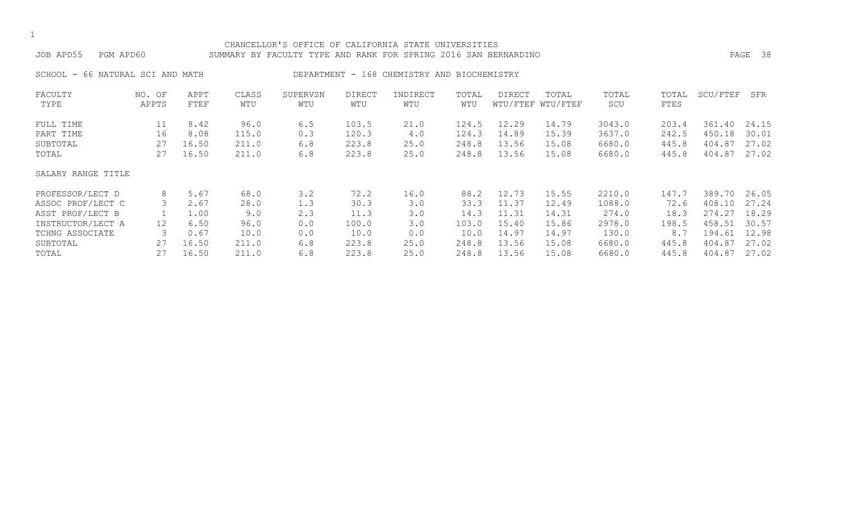# CHANCELLOR'S OFFICE OF CALIFORNIA STATE UNIVERSITIES JOB APD55 PGM APD60 SUMMARY BY FACULTY TYPE AND RANK FOR SPRING 2016 SAN BERNARDINO PAGE 38

SCHOOL - 66 NATURAL SCI AND MATH DEPARTMENT - 168 CHEMISTRY AND BIOCHEMISTRY

| FACULTY            | NO. OF | APPT  | CLASS | SUPERVSN | <b>DIRECT</b> | INDIRECT | TOTAL | DIRECT | TOTAL             | TOTAL  | TOTAL | SCU/FTEF | SFR   |
|--------------------|--------|-------|-------|----------|---------------|----------|-------|--------|-------------------|--------|-------|----------|-------|
| TYPE               | APPTS  | FTEF  | WTU   | WTU      | WTU           | WTU      | WTU   |        | WTU/FTEF WTU/FTEF | SCU    | FTES  |          |       |
| FULL TIME          | 11     | 8.42  | 96.0  | 6.5      | 103.5         | 21.0     | 124.5 | 12.29  | 14.79             | 3043.0 | 203.4 | 361.40   | 24.15 |
| PART TIME          | 16     | 8.08  | 115.0 | 0.3      | 120.3         | 4.0      | 124.3 | 14.89  | 15.39             | 3637.0 | 242.5 | 450.18   | 30.01 |
| SUBTOTAL           | 27     | 16.50 | 211.0 | 6.8      | 223.8         | 25.0     | 248.8 | 13.56  | 15.08             | 6680.0 | 445.8 | 404.87   | 27.02 |
| TOTAL              | 27     | 16.50 | 211.0 | 6.8      | 223.8         | 25.0     | 248.8 | 13.56  | 15.08             | 6680.0 | 445.8 | 404.87   | 27.02 |
| SALARY RANGE TITLE |        |       |       |          |               |          |       |        |                   |        |       |          |       |
| PROFESSOR/LECT D   | 8      | 5.67  | 68.0  | 3.2      | 72.2          | 16.0     | 88.2  | 12.73  | 15.55             | 2210.0 | 147.7 | 389.70   | 26.05 |
| ASSOC PROF/LECT C  |        | 2.67  | 28.0  | 1.3      | 30.3          | 3.0      | 33.3  | 11.37  | 12.49             | 1088.0 | 72.6  | 408.10   | 27.24 |
| ASST PROF/LECT B   |        | 1.00  | 9.0   | 2.3      | 11.3          | 3.0      | 14.3  | 11.31  | 14.31             | 274.0  | 18.3  | 274.27   | 18.29 |
| INSTRUCTOR/LECT A  | 12     | 6.50  | 96.0  | 0.0      | 100.0         | 3.0      | 103.0 | 15.40  | 15.86             | 2978.0 | 198.5 | 458.51   | 30.57 |
| TCHNG ASSOCIATE    |        | 0.67  | 10.0  | 0.0      | 10.0          | 0.0      | 10.0  | 14.97  | 14.97             | 130.0  | 8.7   | 194.61   | 12.98 |
| SUBTOTAL           | 27     | 16.50 | 211.0 | 6.8      | 223.8         | 25.0     | 248.8 | 13.56  | 15.08             | 6680.0 | 445.8 | 404.87   | 27.02 |
| TOTAL              | 27     | 16.50 | 211.0 | 6.8      | 223.8         | 25.0     | 248.8 | 13.56  | 15.08             | 6680.0 | 445.8 | 404.87   | 27.02 |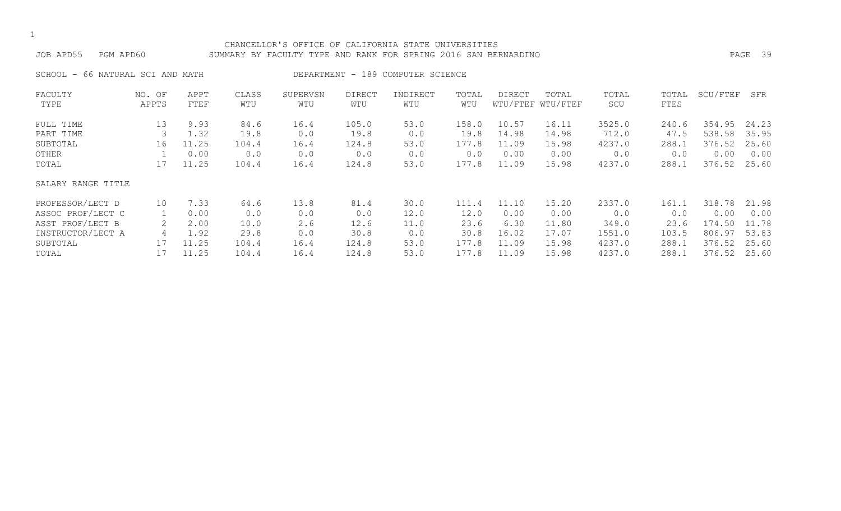#### CHANCELLOR'S OFFICE OF CALIFORNIA STATE UNIVERSITIES JOB APD55 PGM APD60 SUMMARY BY FACULTY TYPE AND RANK FOR SPRING 2016 SAN BERNARDINO PAGE 39

SCHOOL - 66 NATURAL SCI AND MATH DEPARTMENT - 189 COMPUTER SCIENCE

| FACULTY            | NO. OF          | APPT  | CLASS | SUPERVSN | <b>DIRECT</b> | INDIRECT | TOTAL | DIRECT | TOTAL             | TOTAL  | TOTAL | SCU/FTEF | SFR   |
|--------------------|-----------------|-------|-------|----------|---------------|----------|-------|--------|-------------------|--------|-------|----------|-------|
| TYPE               | APPTS           | FTEF  | WTU   | WTU      | WTU           | WTU      | WTU   |        | WTU/FTEF WTU/FTEF | SCU    | FTES  |          |       |
| FULL TIME          | 13              | 9.93  | 84.6  | 16.4     | 105.0         | 53.0     | 158.0 | 10.57  | 16.11             | 3525.0 | 240.6 | 354.95   | 24.23 |
| PART TIME          |                 | 1.32  | 19.8  | 0.0      | 19.8          | 0.0      | 19.8  | 14.98  | 14.98             | 712.0  | 47.5  | 538.58   | 35.95 |
| SUBTOTAL           | 16              | 11.25 | 104.4 | 16.4     | 124.8         | 53.0     | 177.8 | 11.09  | 15.98             | 4237.0 | 288.1 | 376.52   | 25.60 |
| OTHER              |                 | 0.00  | 0.0   | 0.0      | 0.0           | 0.0      | 0.0   | 0.00   | 0.00              | 0.0    | 0.0   | 0.00     | 0.00  |
| TOTAL              | 17              | 11.25 | 104.4 | 16.4     | 124.8         | 53.0     | 177.8 | 11.09  | 15.98             | 4237.0 | 288.1 | 376.52   | 25.60 |
| SALARY RANGE TITLE |                 |       |       |          |               |          |       |        |                   |        |       |          |       |
| PROFESSOR/LECT D   | 10 <sup>°</sup> | 7.33  | 64.6  | 13.8     | 81.4          | 30.0     | 111.4 | 11.10  | 15.20             | 2337.0 | 161.1 | 318.78   | 21.98 |
| ASSOC PROF/LECT C  |                 | 0.00  | 0.0   | 0.0      | 0.0           | 12.0     | 12.0  | 0.00   | 0.00              | 0.0    | 0.0   | 0.00     | 0.00  |
| ASST PROF/LECT B   | 2               | 2.00  | 10.0  | 2.6      | 12.6          | 11.0     | 23.6  | 6.30   | 11.80             | 349.0  | 23.6  | 174.50   | 11.78 |
| INSTRUCTOR/LECT A  | 4               | 1.92  | 29.8  | 0.0      | 30.8          | 0.0      | 30.8  | 16.02  | 17.07             | 1551.0 | 103.5 | 806.97   | 53.83 |
| SUBTOTAL           | 17              | 11.25 | 104.4 | 16.4     | 124.8         | 53.0     | 177.8 | 11.09  | 15.98             | 4237.0 | 288.1 | 376.52   | 25.60 |
| TOTAL              |                 | 11.25 | 104.4 | 16.4     | 124.8         | 53.0     | 177.8 | 11.09  | 15.98             | 4237.0 | 288.1 | 376.52   | 25.60 |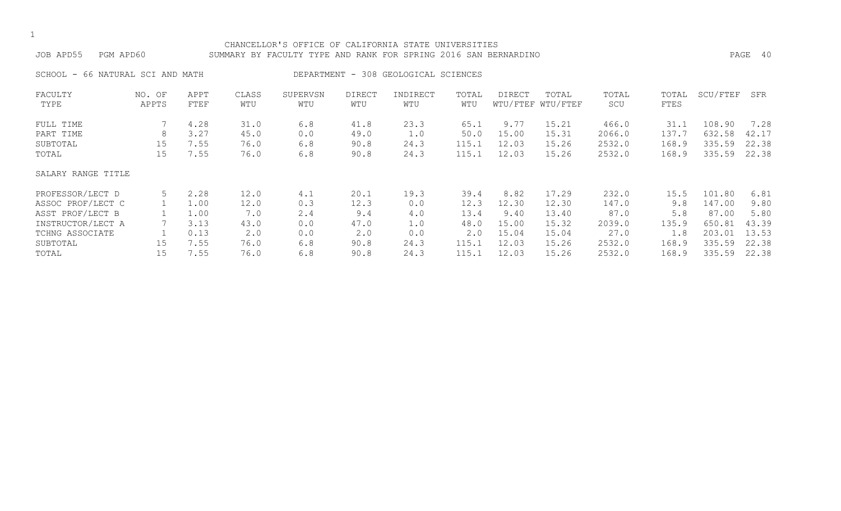#### CHANCELLOR'S OFFICE OF CALIFORNIA STATE UNIVERSITIES JOB APD55 PGM APD60 SUMMARY BY FACULTY TYPE AND RANK FOR SPRING 2016 SAN BERNARDINO PAGE 40

SCHOOL - 66 NATURAL SCI AND MATH DEPARTMENT - 308 GEOLOGICAL SCIENCES

| FACULTY            | NO. OF | APPT | CLASS | SUPERVSN | <b>DIRECT</b> | INDIRECT | TOTAL | DIRECT | TOTAL             | TOTAL  | TOTAL | SCU/FTEF | SFR   |
|--------------------|--------|------|-------|----------|---------------|----------|-------|--------|-------------------|--------|-------|----------|-------|
| TYPE               | APPTS  | FTEF | WTU   | WTU      | WTU           | WTU      | WTU   |        | WTU/FTEF WTU/FTEF | SCU    | FTES  |          |       |
| FULL TIME          |        | 4.28 | 31.0  | 6.8      | 41.8          | 23.3     | 65.1  | 9.77   | 15.21             | 466.0  | 31.1  | 108.90   | 7.28  |
| PART TIME          | 8      | 3.27 | 45.0  | 0.0      | 49.0          | 1.0      | 50.0  | 15.00  | 15.31             | 2066.0 | 137.7 | 632.58   | 42.17 |
| SUBTOTAL           | 15     | 7.55 | 76.0  | 6.8      | 90.8          | 24.3     | 115.1 | 12.03  | 15.26             | 2532.0 | 168.9 | 335.59   | 22.38 |
| TOTAL              | 15     | 7.55 | 76.0  | 6.8      | 90.8          | 24.3     | 115.1 | 12.03  | 15.26             | 2532.0 | 168.9 | 335.59   | 22.38 |
| SALARY RANGE TITLE |        |      |       |          |               |          |       |        |                   |        |       |          |       |
| PROFESSOR/LECT D   | 5      | 2.28 | 12.0  | 4.1      | 20.1          | 19.3     | 39.4  | 8.82   | 17.29             | 232.0  | 15.5  | 101.80   | 6.81  |
| ASSOC PROF/LECT C  |        | 1.00 | 12.0  | 0.3      | 12.3          | 0.0      | 12.3  | 12.30  | 12.30             | 147.0  | 9.8   | 147.00   | 9.80  |
| ASST PROF/LECT B   |        | 1.00 | 7.0   | 2.4      | 9.4           | 4.0      | 13.4  | 9.40   | 13.40             | 87.0   | 5.8   | 87.00    | 5.80  |
| INSTRUCTOR/LECT A  |        | 3.13 | 43.0  | 0.0      | 47.0          | 1.0      | 48.0  | 15.00  | 15.32             | 2039.0 | 135.9 | 650.81   | 43.39 |
| TCHNG ASSOCIATE    |        | 0.13 | 2.0   | 0.0      | 2.0           | 0.0      | 2.0   | 15.04  | 15.04             | 27.0   | 1.8   | 203.01   | 13.53 |
| SUBTOTAL           | 15     | 7.55 | 76.0  | 6.8      | 90.8          | 24.3     | 115.1 | 12.03  | 15.26             | 2532.0 | 168.9 | 335.59   | 22.38 |
| TOTAL              | 15     | 7.55 | 76.0  | 6.8      | 90.8          | 24.3     | 115.1 | 12.03  | 15.26             | 2532.0 | 168.9 | 335.59   | 22.38 |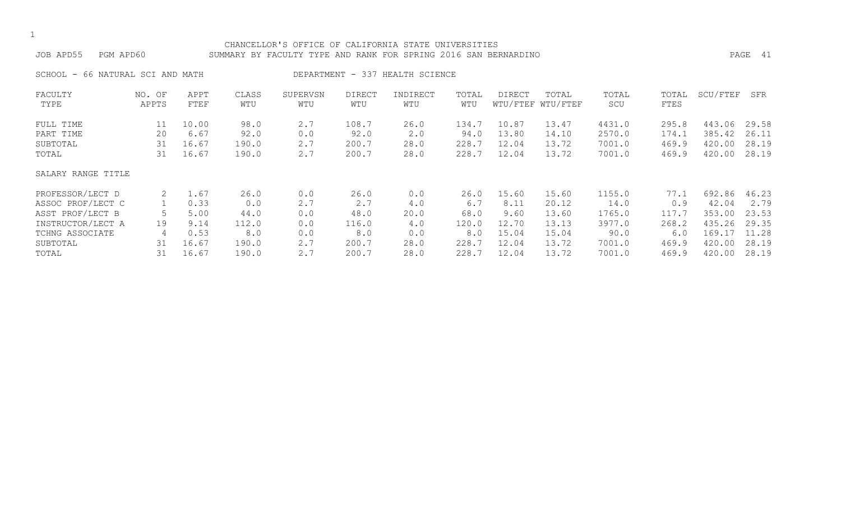#### CHANCELLOR'S OFFICE OF CALIFORNIA STATE UNIVERSITIES JOB APD55 PGM APD60 SUMMARY BY FACULTY TYPE AND RANK FOR SPRING 2016 SAN BERNARDINO PAGE 41

SCHOOL - 66 NATURAL SCI AND MATH DEPARTMENT - 337 HEALTH SCIENCE

| FACULTY            | NO. OF | APPT  | CLASS | SUPERVSN | <b>DIRECT</b> | INDIRECT | TOTAL | <b>DIRECT</b> | TOTAL             | TOTAL  | TOTAL | SCU/FTEF | SFR   |
|--------------------|--------|-------|-------|----------|---------------|----------|-------|---------------|-------------------|--------|-------|----------|-------|
| TYPE               | APPTS  | FTEF  | WTU   | WTU      | WTU           | WTU      | WTU   |               | WTU/FTEF WTU/FTEF | SCU    | FTES  |          |       |
| FULL TIME          | 11     | 10.00 | 98.0  | 2.7      | 108.7         | 26.0     | 134.7 | 10.87         | 13.47             | 4431.0 | 295.8 | 443.06   | 29.58 |
| PART TIME          | 20     | 6.67  | 92.0  | 0.0      | 92.0          | 2.0      | 94.0  | 13.80         | 14.10             | 2570.0 | 174.1 | 385.42   | 26.11 |
| SUBTOTAL           | 31     | 16.67 | 190.0 | 2.7      | 200.7         | 28.0     | 228.7 | 12.04         | 13.72             | 7001.0 | 469.9 | 420.00   | 28.19 |
| TOTAL              | 31     | 16.67 | 190.0 | 2.7      | 200.7         | 28.0     | 228.7 | 12.04         | 13.72             | 7001.0 | 469.9 | 420.00   | 28.19 |
| SALARY RANGE TITLE |        |       |       |          |               |          |       |               |                   |        |       |          |       |
| PROFESSOR/LECT D   | 2      | 1.67  | 26.0  | 0.0      | 26.0          | 0.0      | 26.0  | 15.60         | 15.60             | 1155.0 | 77.1  | 692.86   | 46.23 |
| ASSOC PROF/LECT C  |        | 0.33  | 0.0   | 2.7      | 2.7           | 4.0      | 6.7   | 8.11          | 20.12             | 14.0   | 0.9   | 42.04    | 2.79  |
| ASST PROF/LECT B   |        | 5.00  | 44.0  | 0.0      | 48.0          | 20.0     | 68.0  | 9.60          | 13.60             | 1765.0 | 117.7 | 353.00   | 23.53 |
| INSTRUCTOR/LECT A  | 19     | 9.14  | 112.0 | 0.0      | 116.0         | 4.0      | 120.0 | 12.70         | 13.13             | 3977.0 | 268.2 | 435.26   | 29.35 |
| TCHNG ASSOCIATE    | 4      | 0.53  | 8.0   | 0.0      | 8.0           | 0.0      | 8.0   | 15.04         | 15.04             | 90.0   | 6.0   | 169.17   | 11.28 |
| SUBTOTAL           | 31     | 16.67 | 190.0 | 2.7      | 200.7         | 28.0     | 228.7 | 12.04         | 13.72             | 7001.0 | 469.9 | 420.00   | 28.19 |
| TOTAL              | 31     | 16.67 | 190.0 | 2.7      | 200.7         | 28.0     | 228.7 | 12.04         | 13.72             | 7001.0 | 469.9 | 420.00   | 28.19 |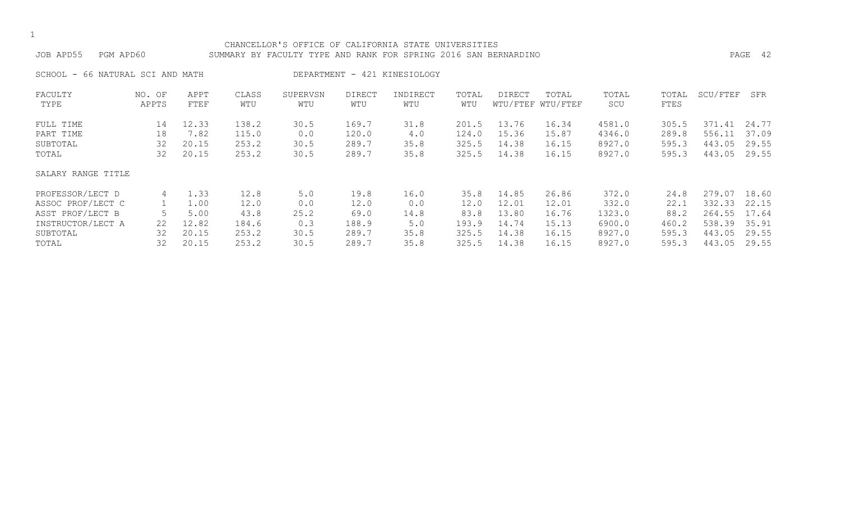#### CHANCELLOR'S OFFICE OF CALIFORNIA STATE UNIVERSITIES JOB APD55 PGM APD60 SUMMARY BY FACULTY TYPE AND RANK FOR SPRING 2016 SAN BERNARDINO PAGE 42

SCHOOL - 66 NATURAL SCI AND MATH DEPARTMENT - 421 KINESIOLOGY

| FACULTY            | NO. OF | APPT  | CLASS | SUPERVSN | <b>DIRECT</b> | INDIRECT | TOTAL | DIRECT | TOTAL             | TOTAL  | TOTAL | SCU/FTEF | SFR   |
|--------------------|--------|-------|-------|----------|---------------|----------|-------|--------|-------------------|--------|-------|----------|-------|
| TYPE               | APPTS  | FTEF  | WTU   | WTU      | WTU           | WTU      | WTU   |        | WTU/FTEF WTU/FTEF | SCU    | FTES  |          |       |
| FULL TIME          | 14     | 12.33 | 138.2 | 30.5     | 169.7         | 31.8     | 201.5 | 13.76  | 16.34             | 4581.0 | 305.5 | 371.41   | 24.77 |
| PART TIME          | 18     | 7.82  | 115.0 | 0.0      | 120.0         | 4.0      | 124.0 | 15.36  | 15.87             | 4346.0 | 289.8 | 556.11   | 37.09 |
| SUBTOTAL           | 32     | 20.15 | 253.2 | 30.5     | 289.7         | 35.8     | 325.5 | 14.38  | 16.15             | 8927.0 | 595.3 | 443.05   | 29.55 |
| TOTAL              | 32     | 20.15 | 253.2 | 30.5     | 289.7         | 35.8     | 325.5 | 14.38  | 16.15             | 8927.0 | 595.3 | 443.05   | 29.55 |
| SALARY RANGE TITLE |        |       |       |          |               |          |       |        |                   |        |       |          |       |
| PROFESSOR/LECT D   | 4      | 1.33  | 12.8  | 5.0      | 19.8          | 16.0     | 35.8  | 14.85  | 26.86             | 372.0  | 24.8  | 279.07   | 18.60 |
| ASSOC PROF/LECT C  |        | 1.00  | 12.0  | 0.0      | 12.0          | 0.0      | 12.0  | 12.01  | 12.01             | 332.0  | 22.1  | 332.33   | 22.15 |
| ASST PROF/LECT B   |        | 5.00  | 43.8  | 25.2     | 69.0          | 14.8     | 83.8  | 13.80  | 16.76             | 1323.0 | 88.2  | 264.55   | 17.64 |
| INSTRUCTOR/LECT A  | 22     | 12.82 | 184.6 | 0.3      | 188.9         | 5.0      | 193.9 | 14.74  | 15.13             | 6900.0 | 460.2 | 538.39   | 35.91 |
| SUBTOTAL           | 32     | 20.15 | 253.2 | 30.5     | 289.7         | 35.8     | 325.5 | 14.38  | 16.15             | 8927.0 | 595.3 | 443.05   | 29.55 |
| TOTAL              | 32     | 20.15 | 253.2 | 30.5     | 289.7         | 35.8     | 325.5 | 14.38  | 16.15             | 8927.0 | 595.3 | 443.05   | 29.55 |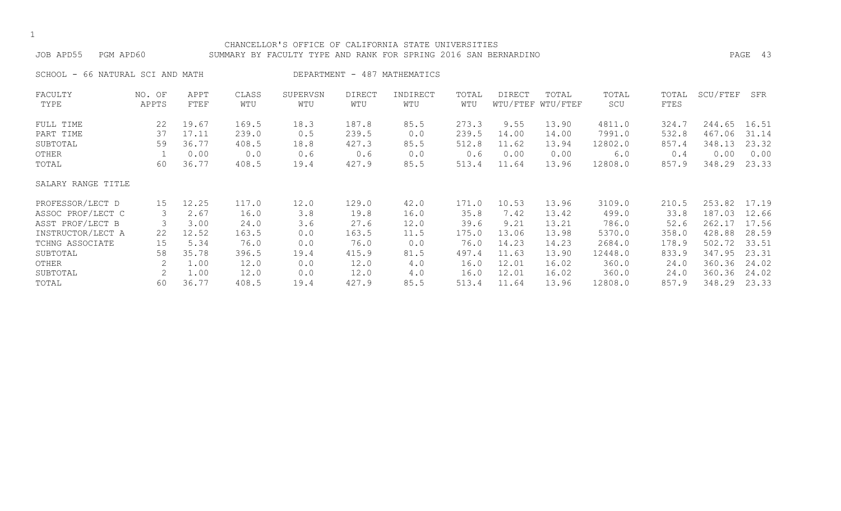#### CHANCELLOR'S OFFICE OF CALIFORNIA STATE UNIVERSITIES JOB APD55 PGM APD60 SUMMARY BY FACULTY TYPE AND RANK FOR SPRING 2016 SAN BERNARDINO PAGE 43

SCHOOL - 66 NATURAL SCI AND MATH CHART AND DEPARTMENT - 487 MATHEMATICS

| FACULTY            | NO. OF | APPT  | CLASS | SUPERVSN | <b>DIRECT</b> | INDIRECT | TOTAL | DIRECT | TOTAL             | TOTAL   | TOTAL | SCU/FTEF | SFR   |
|--------------------|--------|-------|-------|----------|---------------|----------|-------|--------|-------------------|---------|-------|----------|-------|
| TYPE               | APPTS  | FTEF  | WTU   | WTU      | WTU           | WTU      | WTU   |        | WTU/FTEF WTU/FTEF | SCU     | FTES  |          |       |
| FULL TIME          | 22     | 19.67 | 169.5 | 18.3     | 187.8         | 85.5     | 273.3 | 9.55   | 13.90             | 4811.0  | 324.7 | 244.65   | 16.51 |
| PART TIME          | 37     | 17.11 | 239.0 | 0.5      | 239.5         | 0.0      | 239.5 | 14.00  | 14.00             | 7991.0  | 532.8 | 467.06   | 31.14 |
| SUBTOTAL           | 59     | 36.77 | 408.5 | 18.8     | 427.3         | 85.5     | 512.8 | 11.62  | 13.94             | 12802.0 | 857.4 | 348.13   | 23.32 |
| OTHER              |        | 0.00  | 0.0   | 0.6      | 0.6           | 0.0      | 0.6   | 0.00   | 0.00              | 6.0     | 0.4   | 0.00     | 0.00  |
| TOTAL              | 60     | 36.77 | 408.5 | 19.4     | 427.9         | 85.5     | 513.4 | 11.64  | 13.96             | 12808.0 | 857.9 | 348.29   | 23.33 |
| SALARY RANGE TITLE |        |       |       |          |               |          |       |        |                   |         |       |          |       |
| PROFESSOR/LECT D   | 15     | 12.25 | 117.0 | 12.0     | 129.0         | 42.0     | 171.0 | 10.53  | 13.96             | 3109.0  | 210.5 | 253.82   | 17.19 |
| ASSOC PROF/LECT C  | 3      | 2.67  | 16.0  | 3.8      | 19.8          | 16.0     | 35.8  | 7.42   | 13.42             | 499.0   | 33.8  | 187.03   | 12.66 |
| ASST PROF/LECT B   | 3      | 3.00  | 24.0  | 3.6      | 27.6          | 12.0     | 39.6  | 9.21   | 13.21             | 786.0   | 52.6  | 262.17   | 17.56 |
| INSTRUCTOR/LECT A  | 22     | 12.52 | 163.5 | 0.0      | 163.5         | 11.5     | 175.0 | 13.06  | 13.98             | 5370.0  | 358.0 | 428.88   | 28.59 |
| TCHNG ASSOCIATE    | 15     | 5.34  | 76.0  | 0.0      | 76.0          | 0.0      | 76.0  | 14.23  | 14.23             | 2684.0  | 178.9 | 502.72   | 33.51 |
| SUBTOTAL           | 58     | 35.78 | 396.5 | 19.4     | 415.9         | 81.5     | 497.4 | 11.63  | 13.90             | 12448.0 | 833.9 | 347.95   | 23.31 |
| OTHER              |        | 1.00  | 12.0  | 0.0      | 12.0          | 4.0      | 16.0  | 12.01  | 16.02             | 360.0   | 24.0  | 360.36   | 24.02 |
| SUBTOTAL           | 2      | 1.00  | 12.0  | 0.0      | 12.0          | 4.0      | 16.0  | 12.01  | 16.02             | 360.0   | 24.0  | 360.36   | 24.02 |
| TOTAL              | 60     | 36.77 | 408.5 | 19.4     | 427.9         | 85.5     | 513.4 | 11.64  | 13.96             | 12808.0 | 857.9 | 348.29   | 23.33 |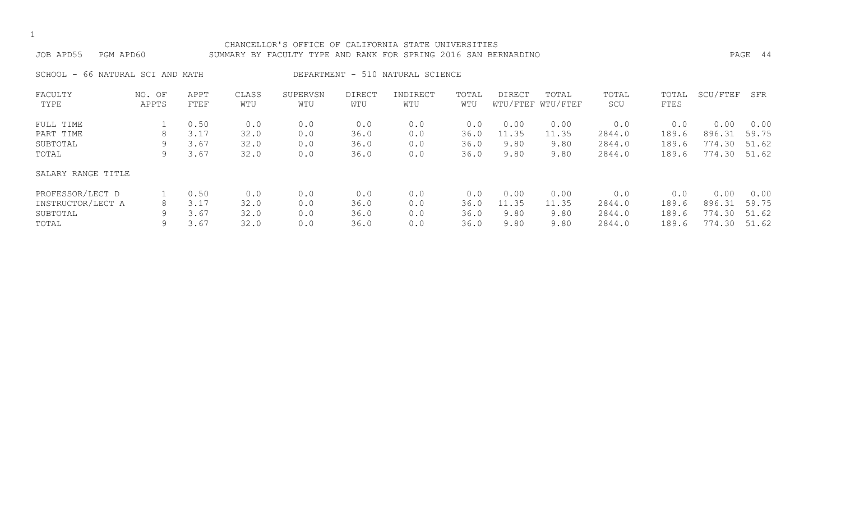#### CHANCELLOR'S OFFICE OF CALIFORNIA STATE UNIVERSITIES JOB APD55 PGM APD60 SUMMARY BY FACULTY TYPE AND RANK FOR SPRING 2016 SAN BERNARDINO PAGE 44

SCHOOL - 66 NATURAL SCI AND MATH DEPARTMENT - 510 NATURAL SCIENCE

| FACULTY            | NO. OF | APPT | CLASS | SUPERVSN | <b>DIRECT</b> | INDIRECT | TOTAL | <b>DIRECT</b> | TOTAL             | TOTAL  | TOTAL | SCU/FTEF | SFR   |
|--------------------|--------|------|-------|----------|---------------|----------|-------|---------------|-------------------|--------|-------|----------|-------|
| TYPE               | APPTS  | FTEF | WTU   | WTU      | WTU           | WTU      | WTU   |               | WTU/FTEF WTU/FTEF | SCU    | FTES  |          |       |
| FULL TIME          |        | 0.50 | 0.0   | 0.0      | 0.0           | 0.0      | 0.0   | 0.00          | 0.00              | 0.0    | 0.0   | 0.00     | 0.00  |
| PART TIME          | 8      | 3.17 | 32.0  | 0.0      | 36.0          | 0.0      | 36.0  | 11.35         | 11.35             | 2844.0 | 189.6 | 896.31   | 59.75 |
| SUBTOTAL           | 9      | 3.67 | 32.0  | 0.0      | 36.0          | 0.0      | 36.0  | 9.80          | 9.80              | 2844.0 | 189.6 | 774.30   | 51.62 |
| TOTAL              | 9      | 3.67 | 32.0  | 0.0      | 36.0          | 0.0      | 36.0  | 9.80          | 9.80              | 2844.0 | 189.6 | 774.30   | 51.62 |
| SALARY RANGE TITLE |        |      |       |          |               |          |       |               |                   |        |       |          |       |
| PROFESSOR/LECT D   |        | 0.50 | 0.0   | 0.0      | 0.0           | 0.0      | 0.0   | 0.00          | 0.00              | 0.0    | 0.0   | 0.00     | 0.00  |
| INSTRUCTOR/LECT A  | 8      | 3.17 | 32.0  | 0.0      | 36.0          | 0.0      | 36.0  | 11.35         | 11.35             | 2844.0 | 189.6 | 896.31   | 59.75 |
| SUBTOTAL           | 9      | 3.67 | 32.0  | 0.0      | 36.0          | 0.0      | 36.0  | 9.80          | 9.80              | 2844.0 | 189.6 | 774.30   | 51.62 |
| TOTAL              | 9      | 3.67 | 32.0  | 0.0      | 36.0          | 0.0      | 36.0  | 9.80          | 9.80              | 2844.0 | 189.6 | 774.30   | 51.62 |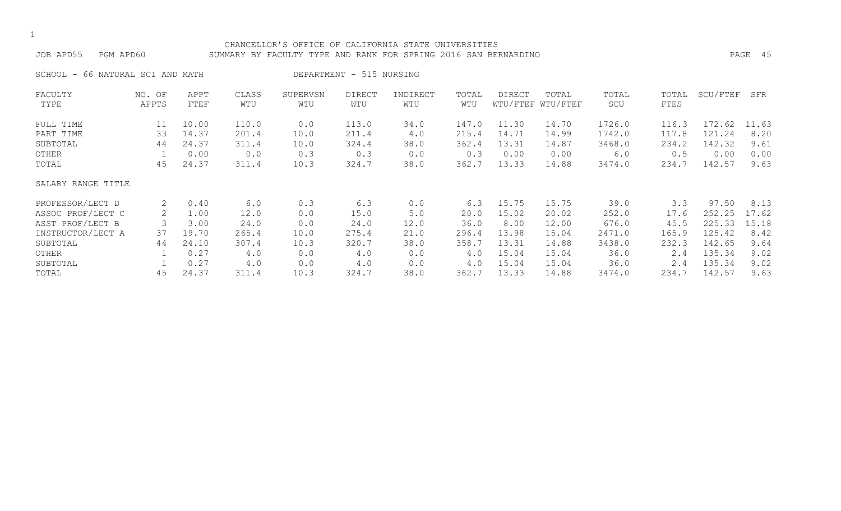#### CHANCELLOR'S OFFICE OF CALIFORNIA STATE UNIVERSITIES JOB APD55 PGM APD60 SUMMARY BY FACULTY TYPE AND RANK FOR SPRING 2016 SAN BERNARDINO PAGE 45

SCHOOL - 66 NATURAL SCI AND MATH DEPARTMENT - 515 NURSING

| FACULTY            | NO. OF | APPT  | CLASS | SUPERVSN | <b>DIRECT</b> | INDIRECT | TOTAL | DIRECT   | TOTAL    | TOTAL  | TOTAL | SCU/FTEF | SFR   |
|--------------------|--------|-------|-------|----------|---------------|----------|-------|----------|----------|--------|-------|----------|-------|
| TYPE               | APPTS  | FTEF  | WTU   | WTU      | WTU           | WTU      | WTU   | WTU/FTEF | WTU/FTEF | SCU    | FTES  |          |       |
| FULL TIME          | 11     | 10.00 | 110.0 | 0.0      | 113.0         | 34.0     | 147.0 | 11.30    | 14.70    | 1726.0 | 116.3 | 172.62   | 11.63 |
| PART TIME          | 33     | 14.37 | 201.4 | 10.0     | 211.4         | 4.0      | 215.4 | 14.71    | 14.99    | 1742.0 | 117.8 | 121.24   | 8.20  |
| SUBTOTAL           | 44     | 24.37 | 311.4 | 10.0     | 324.4         | 38.0     | 362.4 | 13.31    | 14.87    | 3468.0 | 234.2 | 142.32   | 9.61  |
| OTHER              |        | 0.00  | 0.0   | 0.3      | 0.3           | 0.0      | 0.3   | 0.00     | 0.00     | 6.0    | 0.5   | 0.00     | 0.00  |
| TOTAL              | 45     | 24.37 | 311.4 | 10.3     | 324.7         | 38.0     | 362.7 | 13.33    | 14.88    | 3474.0 | 234.7 | 142.57   | 9.63  |
| SALARY RANGE TITLE |        |       |       |          |               |          |       |          |          |        |       |          |       |
| PROFESSOR/LECT D   |        | 0.40  | 6.0   | 0.3      | 6.3           | 0.0      | 6.3   | 15.75    | 15.75    | 39.0   | 3.3   | 97.50    | 8.13  |
| ASSOC PROF/LECT C  | 2      | 1.00  | 12.0  | 0.0      | 15.0          | 5.0      | 20.0  | 15.02    | 20.02    | 252.0  | 17.6  | 252.25   | 17.62 |
| ASST PROF/LECT B   |        | 3.00  | 24.0  | 0.0      | 24.0          | 12.0     | 36.0  | 8.00     | 12.00    | 676.0  | 45.5  | 225.33   | 15.18 |
| INSTRUCTOR/LECT A  | 37     | 19.70 | 265.4 | 10.0     | 275.4         | 21.0     | 296.4 | 13.98    | 15.04    | 2471.0 | 165.9 | 125.42   | 8.42  |
| SUBTOTAL           | 44     | 24.10 | 307.4 | 10.3     | 320.7         | 38.0     | 358.7 | 13.31    | 14.88    | 3438.0 | 232.3 | 142.65   | 9.64  |
| OTHER              |        | 0.27  | 4.0   | 0.0      | 4.0           | 0.0      | 4.0   | 15.04    | 15.04    | 36.0   | 2.4   | 135.34   | 9.02  |
| SUBTOTAL           |        | 0.27  | 4.0   | 0.0      | 4.0           | 0.0      | 4.0   | 15.04    | 15.04    | 36.0   | 2.4   | 135.34   | 9.02  |
| TOTAL              | 45     | 24.37 | 311.4 | 10.3     | 324.7         | 38.0     | 362.7 | 13.33    | 14.88    | 3474.0 | 234.7 | 142.57   | 9.63  |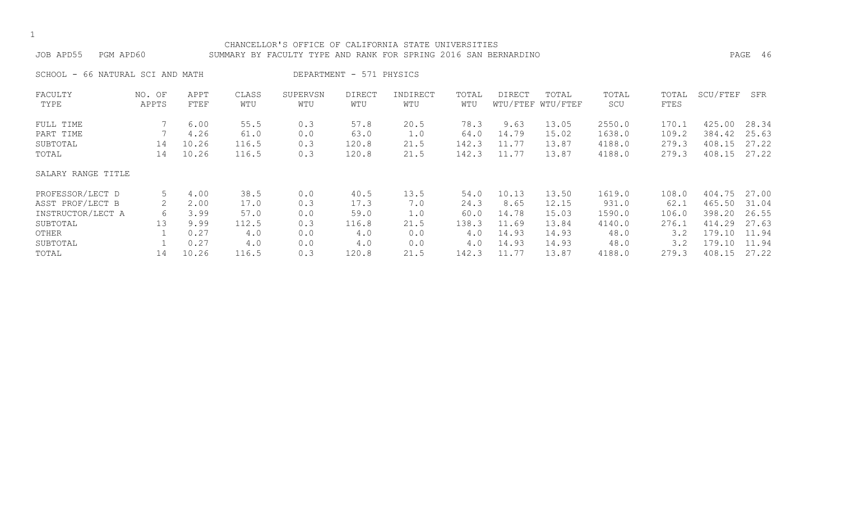#### CHANCELLOR'S OFFICE OF CALIFORNIA STATE UNIVERSITIES JOB APD55 PGM APD60 SUMMARY BY FACULTY TYPE AND RANK FOR SPRING 2016 SAN BERNARDINO PAGE 46

SCHOOL - 66 NATURAL SCI AND MATH DEPARTMENT - 571 PHYSICS

| FACULTY            | NO. OF | APPT  | CLASS | SUPERVSN | <b>DIRECT</b> | INDIRECT | TOTAL | DIRECT | TOTAL             | TOTAL  | TOTAL | SCU/FTEF | SFR   |
|--------------------|--------|-------|-------|----------|---------------|----------|-------|--------|-------------------|--------|-------|----------|-------|
| TYPE               | APPTS  | FTEF  | WTU   | WTU      | WTU           | WTU      | WTU   |        | WTU/FTEF WTU/FTEF | SCU    | FTES  |          |       |
| FULL TIME          |        | 6.00  | 55.5  | 0.3      | 57.8          | 20.5     | 78.3  | 9.63   | 13.05             | 2550.0 | 170.1 | 425.00   | 28.34 |
| PART TIME          |        | 4.26  | 61.0  | 0.0      | 63.0          | 1.0      | 64.0  | 14.79  | 15.02             | 1638.0 | 109.2 | 384.42   | 25.63 |
| SUBTOTAL           | 14     | 10.26 | 116.5 | 0.3      | 120.8         | 21.5     | 142.3 | 11.77  | 13.87             | 4188.0 | 279.3 | 408.15   | 27.22 |
| TOTAL              | 14     | 10.26 | 116.5 | 0.3      | 120.8         | 21.5     | 142.3 | 11.77  | 13.87             | 4188.0 | 279.3 | 408.15   | 27.22 |
| SALARY RANGE TITLE |        |       |       |          |               |          |       |        |                   |        |       |          |       |
| PROFESSOR/LECT D   | 5      | 4.00  | 38.5  | 0.0      | 40.5          | 13.5     | 54.0  | 10.13  | 13.50             | 1619.0 | 108.0 | 404.75   | 27.00 |
| ASST PROF/LECT B   | 2      | 2.00  | 17.0  | 0.3      | 17.3          | 7.0      | 24.3  | 8.65   | 12.15             | 931.0  | 62.1  | 465.50   | 31.04 |
| INSTRUCTOR/LECT A  | 6      | 3.99  | 57.0  | 0.0      | 59.0          | 1.0      | 60.0  | 14.78  | 15.03             | 1590.0 | 106.0 | 398.20   | 26.55 |
| SUBTOTAL           | 13     | 9.99  | 112.5 | 0.3      | 116.8         | 21.5     | 138.3 | 11.69  | 13.84             | 4140.0 | 276.1 | 414.29   | 27.63 |
| OTHER              |        | 0.27  | 4.0   | 0.0      | 4.0           | 0.0      | 4.0   | 14.93  | 14.93             | 48.0   | 3.2   | 179.10   | 11.94 |
| SUBTOTAL           |        | 0.27  | 4.0   | 0.0      | 4.0           | 0.0      | 4.0   | 14.93  | 14.93             | 48.0   | 3.2   | 179.10   | 11.94 |
| TOTAL              | 14     | 10.26 | 116.5 | 0.3      | 120.8         | 21.5     | 142.3 | 11.77  | 13.87             | 4188.0 | 279.3 | 408.15   | 27.22 |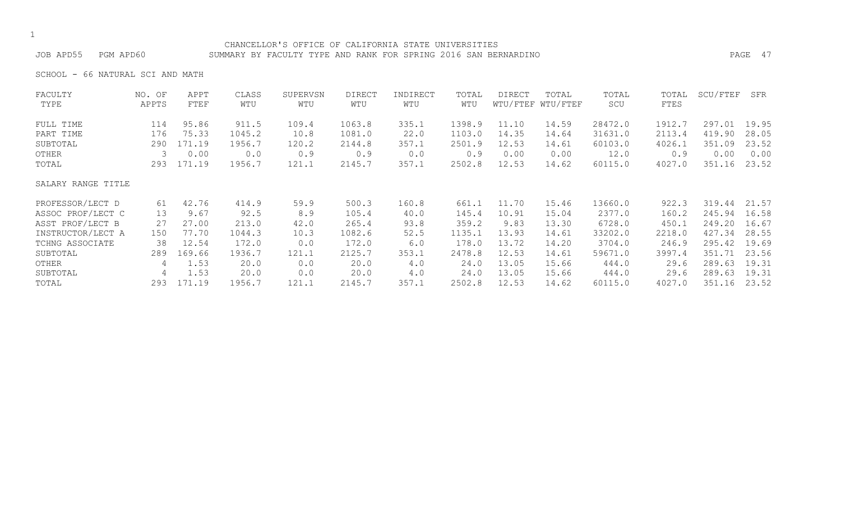### CHANCELLOR'S OFFICE OF CALIFORNIA STATE UNIVERSITIES JOB APD55 PGM APD60 SUMMARY BY FACULTY TYPE AND RANK FOR SPRING 2016 SAN BERNARDINO PAGE 47

SCHOOL - 66 NATURAL SCI AND MATH

| FACULTY            | NO. OF | APPT   | CLASS  | SUPERVSN | <b>DIRECT</b> | INDIRECT | TOTAL  | <b>DIRECT</b> | TOTAL             | TOTAL   | TOTAL  | SCU/FTEF | SFR   |
|--------------------|--------|--------|--------|----------|---------------|----------|--------|---------------|-------------------|---------|--------|----------|-------|
| TYPE               | APPTS  | FTEF   | WTU    | WTU      | WTU           | WTU      | WTU    |               | WTU/FTEF WTU/FTEF | SCU     | FTES   |          |       |
| FULL TIME          | 114    | 95.86  | 911.5  | 109.4    | 1063.8        | 335.1    | 1398.9 | 11.10         | 14.59             | 28472.0 | 1912.7 | 297.01   | 19.95 |
| PART TIME          | 176    | 75.33  | 1045.2 | 10.8     | 1081.0        | 22.0     | 1103.0 | 14.35         | 14.64             | 31631.0 | 2113.4 | 419.90   | 28.05 |
| SUBTOTAL           | 290    | 171.19 | 1956.7 | 120.2    | 2144.8        | 357.1    | 2501.9 | 12.53         | 14.61             | 60103.0 | 4026.1 | 351.09   | 23.52 |
| OTHER              |        | 0.00   | 0.0    | 0.9      | 0.9           | 0.0      | 0.9    | 0.00          | 0.00              | 12.0    | 0.9    | 0.00     | 0.00  |
| TOTAL              | 293    | 171.19 | 1956.7 | 121.1    | 2145.7        | 357.1    | 2502.8 | 12.53         | 14.62             | 60115.0 | 4027.0 | 351.16   | 23.52 |
| SALARY RANGE TITLE |        |        |        |          |               |          |        |               |                   |         |        |          |       |
| PROFESSOR/LECT D   | 61     | 42.76  | 414.9  | 59.9     | 500.3         | 160.8    | 661.1  | 11.70         | 15.46             | 13660.0 | 922.3  | 319.44   | 21.57 |
| ASSOC PROF/LECT C  | 13     | 9.67   | 92.5   | 8.9      | 105.4         | 40.0     | 145.4  | 10.91         | 15.04             | 2377.0  | 160.2  | 245.94   | 16.58 |
| ASST PROF/LECT B   | 27     | 27.00  | 213.0  | 42.0     | 265.4         | 93.8     | 359.2  | 9.83          | 13.30             | 6728.0  | 450.1  | 249.20   | 16.67 |
| INSTRUCTOR/LECT A  | 150    | 77.70  | 1044.3 | 10.3     | 1082.6        | 52.5     | 1135.1 | 13.93         | 14.61             | 33202.0 | 2218.0 | 427.34   | 28.55 |
| TCHNG ASSOCIATE    | 38     | 12.54  | 172.0  | 0.0      | 172.0         | 6.0      | 178.0  | 13.72         | 14.20             | 3704.0  | 246.9  | 295.42   | 19.69 |
| SUBTOTAL           | 289    | 169.66 | 1936.7 | 121.1    | 2125.7        | 353.1    | 2478.8 | 12.53         | 14.61             | 59671.0 | 3997.4 | 351.71   | 23.56 |
| OTHER              | 4      | 1.53   | 20.0   | 0.0      | 20.0          | 4.0      | 24.0   | 13.05         | 15.66             | 444.0   | 29.6   | 289.63   | 19.31 |
| SUBTOTAL           | 4      | 1.53   | 20.0   | 0.0      | 20.0          | 4.0      | 24.0   | 13.05         | 15.66             | 444.0   | 29.6   | 289.63   | 19.31 |
| TOTAL              | 293    | 171.19 | 1956.7 | 121.1    | 2145.7        | 357.1    | 2502.8 | 12.53         | 14.62             | 60115.0 | 4027.0 | 351.16   | 23.52 |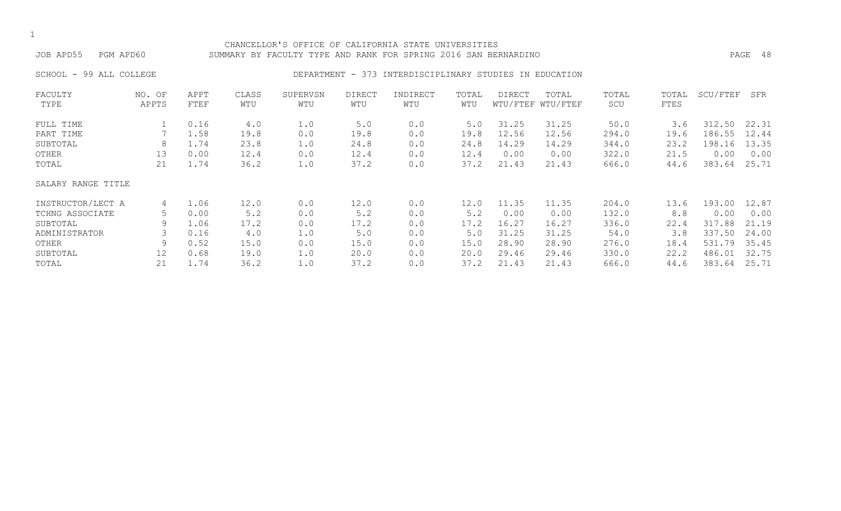#### CHANCELLOR'S OFFICE OF CALIFORNIA STATE UNIVERSITIES JOB APD55 PGM APD60 SUMMARY BY FACULTY TYPE AND RANK FOR SPRING 2016 SAN BERNARDINO PAGE 48

# SCHOOL - 99 ALL COLLEGE THE RESOLUTION DEPARTMENT - 373 INTERDISCIPLINARY STUDIES IN EDUCATION

| FACULTY            | NO. OF | APPT | CLASS | SUPERVSN | DIRECT | INDIRECT | TOTAL | DIRECT | TOTAL             | TOTAL | TOTAL | SCU/FTEF | SFR   |
|--------------------|--------|------|-------|----------|--------|----------|-------|--------|-------------------|-------|-------|----------|-------|
| TYPE               | APPTS  | FTEF | WTU   | WTU      | WTU    | WTU      | WTU   |        | WTU/FTEF WTU/FTEF | SCU   | FTES  |          |       |
| FULL TIME          |        | 0.16 | 4.0   | 1.0      | 5.0    | 0.0      | 5.0   | 31.25  | 31.25             | 50.0  | 3.6   | 312.50   | 22.31 |
| PART TIME          |        | 1.58 | 19.8  | 0.0      | 19.8   | 0.0      | 19.8  | 12.56  | 12.56             | 294.0 | 19.6  | 186.55   | 12.44 |
| SUBTOTAL           | 8      | 1.74 | 23.8  | 1.0      | 24.8   | 0.0      | 24.8  | 14.29  | 14.29             | 344.0 | 23.2  | 198.16   | 13.35 |
| OTHER              | 13     | 0.00 | 12.4  | 0.0      | 12.4   | 0.0      | 12.4  | 0.00   | 0.00              | 322.0 | 21.5  | 0.00     | 0.00  |
| TOTAL              | 21     | 1.74 | 36.2  | 1.0      | 37.2   | 0.0      | 37.2  | 21.43  | 21.43             | 666.0 | 44.6  | 383.64   | 25.71 |
| SALARY RANGE TITLE |        |      |       |          |        |          |       |        |                   |       |       |          |       |
| INSTRUCTOR/LECT A  | 4      | 1.06 | 12.0  | 0.0      | 12.0   | 0.0      | 12.0  | 11.35  | 11.35             | 204.0 | 13.6  | 193.00   | 12.87 |
| TCHNG ASSOCIATE    | 5      | 0.00 | 5.2   | 0.0      | 5.2    | 0.0      | 5.2   | 0.00   | 0.00              | 132.0 | 8.8   | 0.00     | 0.00  |
| SUBTOTAL           | 9      | 1.06 | 17.2  | 0.0      | 17.2   | 0.0      | 17.2  | 16.27  | 16.27             | 336.0 | 22.4  | 317.88   | 21.19 |
| ADMINISTRATOR      |        | 0.16 | 4.0   | 1.0      | 5.0    | 0.0      | 5.0   | 31.25  | 31.25             | 54.0  | 3.8   | 337.50   | 24.00 |
| OTHER              | 9      | 0.52 | 15.0  | 0.0      | 15.0   | 0.0      | 15.0  | 28.90  | 28.90             | 276.0 | 18.4  | 531.79   | 35.45 |
| SUBTOTAL           | 12     | 0.68 | 19.0  | 1.0      | 20.0   | 0.0      | 20.0  | 29.46  | 29.46             | 330.0 | 22.2  | 486.01   | 32.75 |
| TOTAL              |        | 1.74 | 36.2  | 1.0      | 37.2   | 0.0      | 37.2  | 21.43  | 21.43             | 666.0 | 44.6  | 383.64   | 25.71 |